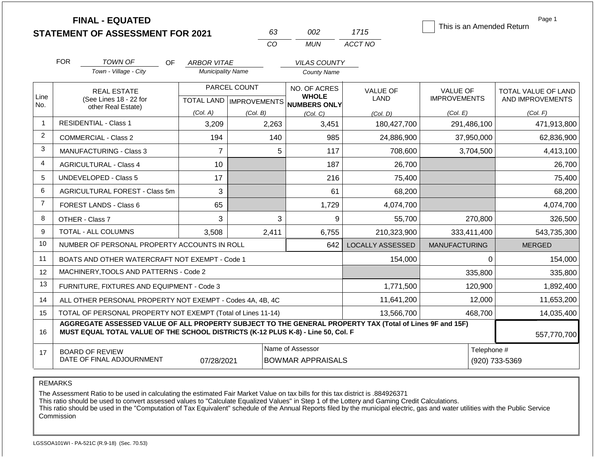|                |                                                                                                                                  | <b>FINAL - EQUATED</b><br><b>STATEMENT OF ASSESSMENT FOR 2021</b>                                                                                                                            |                          |              | 63  | 002                                                      | 1715                    | This is an Amended Return | Page 1              |
|----------------|----------------------------------------------------------------------------------------------------------------------------------|----------------------------------------------------------------------------------------------------------------------------------------------------------------------------------------------|--------------------------|--------------|-----|----------------------------------------------------------|-------------------------|---------------------------|---------------------|
|                |                                                                                                                                  |                                                                                                                                                                                              |                          | CO           |     | <b>MUN</b>                                               | ACCT NO                 |                           |                     |
|                | <b>FOR</b>                                                                                                                       | <b>TOWN OF</b><br>OF.                                                                                                                                                                        | <b>ARBOR VITAE</b>       |              |     | <b>VILAS COUNTY</b>                                      |                         |                           |                     |
|                |                                                                                                                                  | Town - Village - City                                                                                                                                                                        | <b>Municipality Name</b> |              |     | <b>County Name</b>                                       |                         |                           |                     |
|                |                                                                                                                                  | <b>REAL ESTATE</b>                                                                                                                                                                           |                          | PARCEL COUNT |     | NO. OF ACRES                                             | <b>VALUE OF</b>         | <b>VALUE OF</b>           | TOTAL VALUE OF LAND |
| Line<br>No.    |                                                                                                                                  | (See Lines 18 - 22 for                                                                                                                                                                       |                          |              |     | <b>WHOLE</b><br>TOTAL LAND   IMPROVEMENTS   NUMBERS ONLY | <b>LAND</b>             | <b>IMPROVEMENTS</b>       | AND IMPROVEMENTS    |
|                |                                                                                                                                  | other Real Estate)                                                                                                                                                                           | (Col. A)                 | (Col. B)     |     | (Col, C)                                                 | (Col. D)                | (Col. E)                  | (Col. F)            |
| $\mathbf{1}$   |                                                                                                                                  | <b>RESIDENTIAL - Class 1</b>                                                                                                                                                                 | 3,209                    | 2,263        |     | 3,451                                                    | 180,427,700             | 291,486,100               | 471,913,800         |
| $\overline{2}$ |                                                                                                                                  | <b>COMMERCIAL - Class 2</b>                                                                                                                                                                  | 194                      |              | 140 | 985                                                      | 24,886,900              | 37,950,000                | 62,836,900          |
| 3              |                                                                                                                                  | <b>MANUFACTURING - Class 3</b>                                                                                                                                                               | $\overline{7}$           |              | 5   | 117                                                      | 708,600                 | 3,704,500                 | 4,413,100           |
| 4              |                                                                                                                                  | <b>AGRICULTURAL - Class 4</b>                                                                                                                                                                | 10                       |              |     | 187                                                      | 26,700                  |                           | 26,700              |
| 5              |                                                                                                                                  | UNDEVELOPED - Class 5                                                                                                                                                                        | 17                       |              |     | 216                                                      | 75,400                  |                           | 75,400              |
| 6              |                                                                                                                                  | AGRICULTURAL FOREST - Class 5m                                                                                                                                                               | 3                        |              |     | 61                                                       | 68,200                  |                           | 68,200              |
| $\overline{7}$ |                                                                                                                                  | FOREST LANDS - Class 6                                                                                                                                                                       | 65                       |              |     | 1,729                                                    | 4,074,700               |                           | 4,074,700           |
| 8              |                                                                                                                                  | OTHER - Class 7                                                                                                                                                                              | 3                        |              | 3   | 9                                                        | 55,700                  | 270,800                   | 326,500             |
| 9              |                                                                                                                                  | <b>TOTAL - ALL COLUMNS</b>                                                                                                                                                                   | 3,508                    | 2,411        |     | 6,755                                                    | 210,323,900             | 333,411,400               | 543,735,300         |
| 10             |                                                                                                                                  | NUMBER OF PERSONAL PROPERTY ACCOUNTS IN ROLL                                                                                                                                                 |                          |              |     | 642                                                      | <b>LOCALLY ASSESSED</b> | <b>MANUFACTURING</b>      | <b>MERGED</b>       |
| 11             |                                                                                                                                  | BOATS AND OTHER WATERCRAFT NOT EXEMPT - Code 1                                                                                                                                               |                          |              |     |                                                          | 154,000                 | $\Omega$                  | 154,000             |
| 12             |                                                                                                                                  | MACHINERY, TOOLS AND PATTERNS - Code 2                                                                                                                                                       |                          |              |     |                                                          |                         | 335,800                   | 335,800             |
| 13             |                                                                                                                                  | FURNITURE, FIXTURES AND EQUIPMENT - Code 3                                                                                                                                                   |                          |              |     |                                                          | 1,771,500               | 120,900                   | 1,892,400           |
| 14             |                                                                                                                                  | ALL OTHER PERSONAL PROPERTY NOT EXEMPT - Codes 4A, 4B, 4C                                                                                                                                    |                          |              |     |                                                          | 11,641,200              | 12,000                    | 11,653,200          |
| 15             |                                                                                                                                  | TOTAL OF PERSONAL PROPERTY NOT EXEMPT (Total of Lines 11-14)                                                                                                                                 |                          |              |     |                                                          | 13,566,700              | 468,700                   | 14,035,400          |
| 16             |                                                                                                                                  | AGGREGATE ASSESSED VALUE OF ALL PROPERTY SUBJECT TO THE GENERAL PROPERTY TAX (Total of Lines 9F and 15F)<br>MUST EQUAL TOTAL VALUE OF THE SCHOOL DISTRICTS (K-12 PLUS K-8) - Line 50, Col. F |                          |              |     |                                                          |                         |                           | 557,770,700         |
| 17             | Name of Assessor<br>Telephone #<br><b>BOARD OF REVIEW</b><br>DATE OF FINAL ADJOURNMENT<br><b>BOWMAR APPRAISALS</b><br>07/28/2021 |                                                                                                                                                                                              |                          |              |     |                                                          |                         | (920) 733-5369            |                     |

The Assessment Ratio to be used in calculating the estimated Fair Market Value on tax bills for this tax district is .884926371

This ratio should be used to convert assessed values to "Calculate Equalized Values" in Step 1 of the Lottery and Gaming Credit Calculations.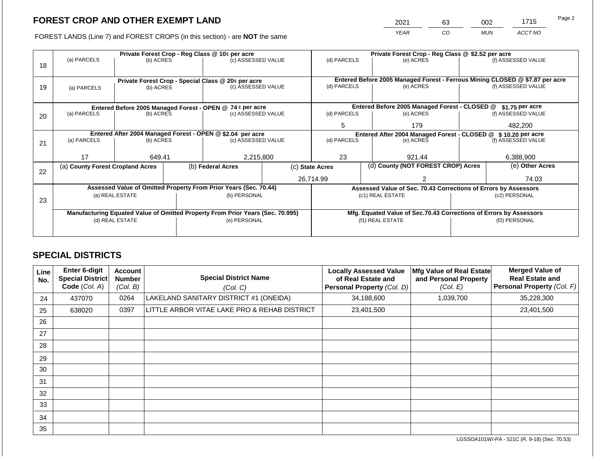2021 63 002 1715 Page 2

FOREST LANDS (Line 7) and FOREST CROPS (in this section) - are **NOT** the same *YEAR CO MUN ACCT NO*

|    |                                                            |                                                                                              | Private Forest Crop - Reg Class @ 10¢ per acre |                                                                                | Private Forest Crop - Reg Class @ \$2.52 per acre |                                                       |                  |                                                                 |                                                                    |                                                                              |  |
|----|------------------------------------------------------------|----------------------------------------------------------------------------------------------|------------------------------------------------|--------------------------------------------------------------------------------|---------------------------------------------------|-------------------------------------------------------|------------------|-----------------------------------------------------------------|--------------------------------------------------------------------|------------------------------------------------------------------------------|--|
|    | (a) PARCELS                                                | (b) ACRES                                                                                    |                                                | (c) ASSESSED VALUE                                                             |                                                   | (d) PARCELS                                           |                  | (e) ACRES                                                       |                                                                    | (f) ASSESSED VALUE                                                           |  |
| 18 |                                                            |                                                                                              |                                                |                                                                                |                                                   |                                                       |                  |                                                                 |                                                                    |                                                                              |  |
|    |                                                            |                                                                                              |                                                |                                                                                |                                                   |                                                       |                  |                                                                 |                                                                    |                                                                              |  |
|    |                                                            |                                                                                              |                                                | Private Forest Crop - Special Class @ 20¢ per acre                             |                                                   |                                                       |                  |                                                                 |                                                                    | Entered Before 2005 Managed Forest - Ferrous Mining CLOSED @ \$7.87 per acre |  |
| 19 | (a) PARCELS                                                | (b) ACRES                                                                                    |                                                | (c) ASSESSED VALUE                                                             |                                                   | (d) PARCELS                                           |                  | (e) ACRES                                                       |                                                                    | (f) ASSESSED VALUE                                                           |  |
|    |                                                            |                                                                                              |                                                |                                                                                |                                                   |                                                       |                  |                                                                 |                                                                    |                                                                              |  |
|    |                                                            |                                                                                              |                                                |                                                                                | Entered Before 2005 Managed Forest - CLOSED @     |                                                       | $$1.75$ per acre |                                                                 |                                                                    |                                                                              |  |
| 20 | (a) PARCELS                                                | Entered Before 2005 Managed Forest - OPEN @ 74 ¢ per acre<br>(b) ACRES<br>(c) ASSESSED VALUE |                                                | (d) PARCELS                                                                    |                                                   | (e) ACRES                                             |                  | (f) ASSESSED VALUE                                              |                                                                    |                                                                              |  |
|    |                                                            |                                                                                              |                                                |                                                                                |                                                   |                                                       |                  |                                                                 |                                                                    |                                                                              |  |
|    |                                                            |                                                                                              |                                                |                                                                                | 5                                                 |                                                       | 179              |                                                                 | 482.200                                                            |                                                                              |  |
|    | Entered After 2004 Managed Forest - OPEN @ \$2.04 per acre |                                                                                              |                                                |                                                                                |                                                   |                                                       |                  | Entered After 2004 Managed Forest - CLOSED @ \$ 10.20 per acre  |                                                                    |                                                                              |  |
| 21 | (a) PARCELS                                                | (b) ACRES                                                                                    |                                                | (c) ASSESSED VALUE                                                             |                                                   | (d) PARCELS                                           |                  | (e) ACRES                                                       |                                                                    | (f) ASSESSED VALUE                                                           |  |
|    |                                                            |                                                                                              |                                                |                                                                                |                                                   |                                                       |                  |                                                                 |                                                                    |                                                                              |  |
|    | 17                                                         | 649.41                                                                                       |                                                | 2,215,800                                                                      |                                                   | 23                                                    |                  | 921.44                                                          |                                                                    | 6,388,900                                                                    |  |
|    | (a) County Forest Cropland Acres                           |                                                                                              |                                                | (b) Federal Acres                                                              |                                                   | (d) County (NOT FOREST CROP) Acres<br>(c) State Acres |                  |                                                                 |                                                                    | (e) Other Acres                                                              |  |
| 22 |                                                            |                                                                                              |                                                |                                                                                |                                                   |                                                       |                  |                                                                 |                                                                    |                                                                              |  |
|    |                                                            |                                                                                              |                                                |                                                                                |                                                   | 26,714.99                                             |                  |                                                                 |                                                                    | 74.03                                                                        |  |
|    |                                                            |                                                                                              |                                                | Assessed Value of Omitted Property From Prior Years (Sec. 70.44)               |                                                   |                                                       |                  | Assessed Value of Sec. 70.43 Corrections of Errors by Assessors |                                                                    |                                                                              |  |
|    |                                                            | (a) REAL ESTATE                                                                              |                                                | (b) PERSONAL                                                                   |                                                   |                                                       |                  | (c1) REAL ESTATE                                                |                                                                    | (c2) PERSONAL                                                                |  |
| 23 |                                                            |                                                                                              |                                                |                                                                                |                                                   |                                                       |                  |                                                                 |                                                                    |                                                                              |  |
|    |                                                            |                                                                                              |                                                | Manufacturing Equated Value of Omitted Property From Prior Years (Sec. 70.995) |                                                   |                                                       |                  |                                                                 | Mfg. Equated Value of Sec.70.43 Corrections of Errors by Assessors |                                                                              |  |
|    |                                                            | (d) REAL ESTATE                                                                              |                                                | (e) PERSONAL                                                                   |                                                   |                                                       |                  | (f1) REAL ESTATE                                                | (f2) PERSONAL                                                      |                                                                              |  |
|    |                                                            |                                                                                              |                                                |                                                                                |                                                   |                                                       |                  |                                                                 |                                                                    |                                                                              |  |
|    |                                                            |                                                                                              |                                                |                                                                                |                                                   |                                                       |                  |                                                                 |                                                                    |                                                                              |  |

### **SPECIAL DISTRICTS**

| Line<br>No. | Enter 6-digit<br>Special District<br>Code (Col. A) | <b>Account</b><br><b>Number</b><br>(Col. B) | <b>Special District Name</b><br>(Col. C)     | <b>Locally Assessed Value</b><br>of Real Estate and<br>Personal Property (Col. D) | Mfg Value of Real Estate<br>and Personal Property<br>(Col. E) | <b>Merged Value of</b><br><b>Real Estate and</b><br>Personal Property (Col. F) |
|-------------|----------------------------------------------------|---------------------------------------------|----------------------------------------------|-----------------------------------------------------------------------------------|---------------------------------------------------------------|--------------------------------------------------------------------------------|
| 24          | 437070                                             | 0264                                        | LAKELAND SANITARY DISTRICT #1 (ONEIDA)       | 34,188,600                                                                        | 1,039,700                                                     | 35,228,300                                                                     |
| 25          | 638020                                             | 0397                                        | LITTLE ARBOR VITAE LAKE PRO & REHAB DISTRICT | 23,401,500                                                                        |                                                               | 23,401,500                                                                     |
| 26          |                                                    |                                             |                                              |                                                                                   |                                                               |                                                                                |
| 27          |                                                    |                                             |                                              |                                                                                   |                                                               |                                                                                |
| 28          |                                                    |                                             |                                              |                                                                                   |                                                               |                                                                                |
| 29          |                                                    |                                             |                                              |                                                                                   |                                                               |                                                                                |
| 30          |                                                    |                                             |                                              |                                                                                   |                                                               |                                                                                |
| 31          |                                                    |                                             |                                              |                                                                                   |                                                               |                                                                                |
| 32          |                                                    |                                             |                                              |                                                                                   |                                                               |                                                                                |
| 33          |                                                    |                                             |                                              |                                                                                   |                                                               |                                                                                |
| 34          |                                                    |                                             |                                              |                                                                                   |                                                               |                                                                                |
| 35          |                                                    |                                             |                                              |                                                                                   |                                                               |                                                                                |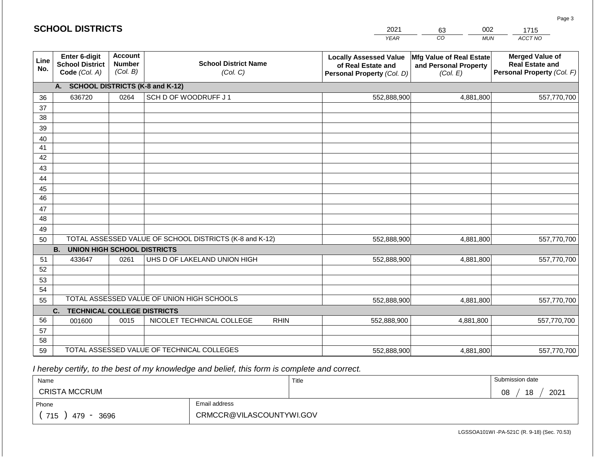#### *YEAR CO MUN ACCT NO*  **Line No. Enter 6-digit School District Code** *(Col. A)* **Account Number** *(Col. B)* **School District Name** *(Col. C)* **Locally Assessed Value of Real Estate and Personal Property** *(Col. D)* **Mfg Value of Real Estate and Personal Property** *(Col. E)* **Merged Value of Real Estate and Personal Property** *(Col. F)* **A. SCHOOL DISTRICTS (K-8 and K-12)** 36 37 38 39 40 41 42 43 44 45 46 47 48 49 50 TOTAL ASSESSED VALUE OF SCHOOL DISTRICTS (K-8 and K-12) **B. UNION HIGH SCHOOL DISTRICTS** 51 52 53 54 55 **C. TECHNICAL COLLEGE DISTRICTS** 56 57 58 59 TOTAL ASSESSED VALUE OF TECHNICAL COLLEGES TOTAL ASSESSED VALUE OF UNION HIGH SCHOOLS 636720 0264 SCH D OF WOODRUFF J 1 552,888,900 552,888,900 433647 0261 UHS D OF LAKELAND UNION HIGH 552,888,900 001600 | 0015 | NICOLET TECHNICAL COLLEGE RHIN 552,888,900 552,888,900 4,881,800 557,770,700 4,881,800 557,770,700 4,881,800 557,770,700 4,881,800 557,770,700 4,881,800 557,770,700 552,888,900 4,881,800 557,770,700

 *I hereby certify, to the best of my knowledge and belief, this form is complete and correct.*

| Name                 |                          | Title | Submission date  |
|----------------------|--------------------------|-------|------------------|
| <b>CRISTA MCCRUM</b> |                          |       | 18<br>2021<br>08 |
| Phone                | Email address            |       |                  |
| 715<br>3696<br>479   | CRMCCR@VILASCOUNTYWI.GOV |       |                  |

LGSSOA101WI -PA-521C (R. 9-18) (Sec. 70.53)

Page 3

| <b>SCHOOL DISTRICTS</b> |  |
|-------------------------|--|
|-------------------------|--|

| 2021 | 63 | 002        | 1715    |
|------|----|------------|---------|
| YEAR | CO | <b>MUN</b> | ACCT NO |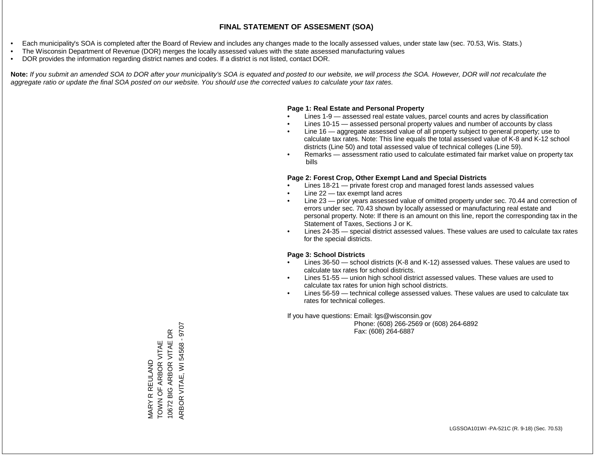- Each municipality's SOA is completed after the Board of Review and includes any changes made to the locally assessed values, under state law (sec. 70.53, Wis. Stats.)
- The Wisconsin Department of Revenue (DOR) merges the locally assessed values with the state assessed manufacturing values
- DOR provides the information regarding district names and codes. If a district is not listed, contact DOR.

Note: If you submit an amended SOA to DOR after your municipality's SOA is equated and posted to our website, we will process the SOA. However, DOR will not recalculate the *aggregate ratio or update the final SOA posted on our website. You should use the corrected values to calculate your tax rates.*

#### **Page 1: Real Estate and Personal Property**

- Lines 1-9 assessed real estate values, parcel counts and acres by classification
- Lines 10-15 assessed personal property values and number of accounts by class
- Line 16 aggregate assessed value of all property subject to general property; use to calculate tax rates. Note: This line equals the total assessed value of K-8 and K-12 school districts (Line 50) and total assessed value of technical colleges (Line 59).
- Remarks assessment ratio used to calculate estimated fair market value on property tax bills

#### **Page 2: Forest Crop, Other Exempt Land and Special Districts**

- Lines 18-21 private forest crop and managed forest lands assessed values
- Line  $22 -$  tax exempt land acres
- Line 23 prior years assessed value of omitted property under sec. 70.44 and correction of errors under sec. 70.43 shown by locally assessed or manufacturing real estate and personal property. Note: If there is an amount on this line, report the corresponding tax in the Statement of Taxes, Sections J or K.
- Lines 24-35 special district assessed values. These values are used to calculate tax rates for the special districts.

#### **Page 3: School Districts**

- Lines 36-50 school districts (K-8 and K-12) assessed values. These values are used to calculate tax rates for school districts.
- Lines 51-55 union high school district assessed values. These values are used to calculate tax rates for union high school districts.
- Lines 56-59 technical college assessed values. These values are used to calculate tax rates for technical colleges.

If you have questions: Email: lgs@wisconsin.gov

 Phone: (608) 266-2569 or (608) 264-6892 Fax: (608) 264-6887

ARBOR VITAE, WI 54568 - 9707 ARBOR VITAE, WI 54568 - 9707 $\mathsf{B}$ 10672 BIG ARBOR VITAE DR MARY R REULAND<br>TOWN OF ARBOR VITAE<br>10672 BIG ARBOR VITAE D TOWN OF ARBOR VITAE MARY R REULAND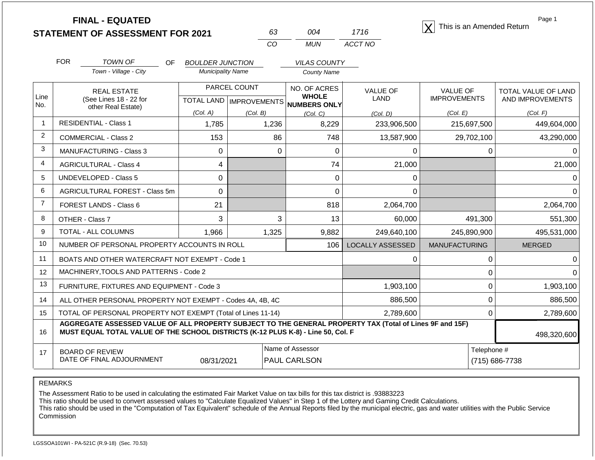|                |            | <b>FINAL - EQUATED</b><br><b>STATEMENT OF ASSESSMENT FOR 2021</b>                                                                                                                            |                                              |                                                  | 63                                      | 004                                                 | 1716                    |                                 |             | Page 1<br>This is an Amended Return     |  |
|----------------|------------|----------------------------------------------------------------------------------------------------------------------------------------------------------------------------------------------|----------------------------------------------|--------------------------------------------------|-----------------------------------------|-----------------------------------------------------|-------------------------|---------------------------------|-------------|-----------------------------------------|--|
|                |            |                                                                                                                                                                                              |                                              |                                                  | CO                                      | <b>MUN</b>                                          | ACCT NO                 |                                 |             |                                         |  |
|                | <b>FOR</b> | <b>TOWN OF</b><br>OF.                                                                                                                                                                        | <b>BOULDER JUNCTION</b>                      |                                                  |                                         | <b>VILAS COUNTY</b>                                 |                         |                                 |             |                                         |  |
|                |            | Town - Village - City                                                                                                                                                                        | <b>Municipality Name</b>                     |                                                  |                                         | <b>County Name</b>                                  |                         |                                 |             |                                         |  |
| Line<br>No.    |            | <b>REAL ESTATE</b><br>(See Lines 18 - 22 for                                                                                                                                                 |                                              | PARCEL COUNT<br><b>TOTAL LAND   IMPROVEMENTS</b> |                                         | NO. OF ACRES<br><b>WHOLE</b><br><b>NUMBERS ONLY</b> | <b>VALUE OF</b><br>LAND | VALUE OF<br><b>IMPROVEMENTS</b> |             | TOTAL VALUE OF LAND<br>AND IMPROVEMENTS |  |
|                |            | other Real Estate)                                                                                                                                                                           | (Col. A)<br>(Col. B)<br>(Col, C)<br>(Col. D) |                                                  |                                         | (Col. E)                                            |                         | (Col. F)                        |             |                                         |  |
| $\mathbf{1}$   |            | <b>RESIDENTIAL - Class 1</b>                                                                                                                                                                 | 1,785                                        |                                                  | 1,236                                   | 8,229                                               | 233,906,500             |                                 | 215,697,500 | 449,604,000                             |  |
| $\overline{2}$ |            | <b>COMMERCIAL - Class 2</b>                                                                                                                                                                  | 153                                          |                                                  | 86                                      | 748                                                 | 13,587,900              |                                 | 29,702,100  | 43,290,000                              |  |
| 3              |            | <b>MANUFACTURING - Class 3</b>                                                                                                                                                               | $\mathbf 0$                                  |                                                  | $\mathbf 0$                             | $\mathbf 0$                                         | 0                       |                                 | 0           | 0                                       |  |
| 4              |            | <b>AGRICULTURAL - Class 4</b>                                                                                                                                                                | 4                                            |                                                  |                                         | 74                                                  | 21,000                  |                                 |             | 21,000                                  |  |
| 5              |            | UNDEVELOPED - Class 5                                                                                                                                                                        | 0                                            |                                                  |                                         | 0                                                   | $\Omega$                |                                 |             | 0                                       |  |
| 6              |            | <b>AGRICULTURAL FOREST - Class 5m</b>                                                                                                                                                        | 0                                            |                                                  |                                         | $\overline{0}$                                      | $\Omega$                |                                 |             | $\Omega$                                |  |
| $\overline{7}$ |            | <b>FOREST LANDS - Class 6</b>                                                                                                                                                                | 21                                           |                                                  |                                         | 818                                                 | 2,064,700               |                                 |             | 2,064,700                               |  |
| 8              |            | OTHER - Class 7                                                                                                                                                                              | 3                                            |                                                  | 3                                       | 13                                                  | 60,000                  |                                 | 491,300     | 551,300                                 |  |
| 9              |            | <b>TOTAL - ALL COLUMNS</b>                                                                                                                                                                   | 1,966                                        |                                                  | 1,325                                   | 9,882                                               | 249,640,100             |                                 | 245.890.900 | 495,531,000                             |  |
| 10             |            | NUMBER OF PERSONAL PROPERTY ACCOUNTS IN ROLL                                                                                                                                                 |                                              |                                                  |                                         | 106                                                 | <b>LOCALLY ASSESSED</b> | <b>MANUFACTURING</b>            |             | <b>MERGED</b>                           |  |
| 11             |            | BOATS AND OTHER WATERCRAFT NOT EXEMPT - Code 1                                                                                                                                               |                                              |                                                  |                                         |                                                     | 0                       |                                 | 0           | $\Omega$                                |  |
| 12             |            | MACHINERY, TOOLS AND PATTERNS - Code 2                                                                                                                                                       |                                              |                                                  |                                         |                                                     |                         |                                 | 0           | $\Omega$                                |  |
| 13             |            | FURNITURE, FIXTURES AND EQUIPMENT - Code 3                                                                                                                                                   |                                              |                                                  |                                         |                                                     | 1,903,100               |                                 | $\mathbf 0$ | 1,903,100                               |  |
| 14             |            | ALL OTHER PERSONAL PROPERTY NOT EXEMPT - Codes 4A, 4B, 4C                                                                                                                                    |                                              |                                                  |                                         |                                                     | 886,500                 |                                 | $\mathbf 0$ | 886,500                                 |  |
| 15             |            | TOTAL OF PERSONAL PROPERTY NOT EXEMPT (Total of Lines 11-14)                                                                                                                                 |                                              |                                                  | 2,789,600                               | 0                                                   |                         | 2,789,600                       |             |                                         |  |
| 16             |            | AGGREGATE ASSESSED VALUE OF ALL PROPERTY SUBJECT TO THE GENERAL PROPERTY TAX (Total of Lines 9F and 15F)<br>MUST EQUAL TOTAL VALUE OF THE SCHOOL DISTRICTS (K-12 PLUS K-8) - Line 50, Col. F |                                              |                                                  |                                         |                                                     |                         |                                 |             | 498,320,600                             |  |
| 17             |            | <b>BOARD OF REVIEW</b><br>DATE OF FINAL ADJOURNMENT                                                                                                                                          | 08/31/2021                                   |                                                  | Name of Assessor<br><b>PAUL CARLSON</b> |                                                     |                         |                                 |             | Telephone #<br>(715) 686-7738           |  |

The Assessment Ratio to be used in calculating the estimated Fair Market Value on tax bills for this tax district is .93883223

This ratio should be used to convert assessed values to "Calculate Equalized Values" in Step 1 of the Lottery and Gaming Credit Calculations.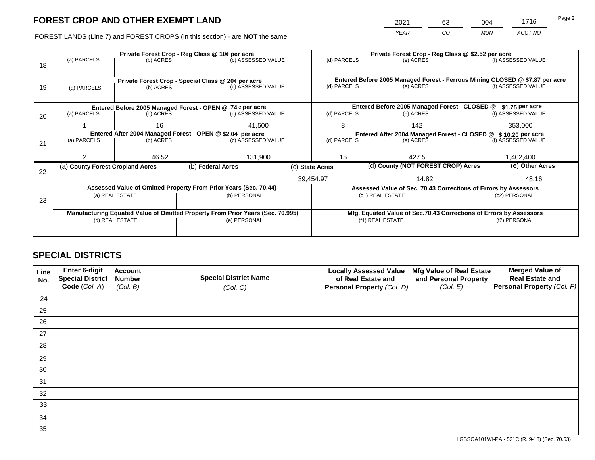2021 63 004 1716

FOREST LANDS (Line 7) and FOREST CROPS (in this section) - are **NOT** the same *YEAR CO MUN ACCT NO*

|    |                                                            |                 |  | Private Forest Crop - Reg Class @ 10¢ per acre                                 |                                                               | Private Forest Crop - Reg Class @ \$2.52 per acre     |     |                                                                    |                    |                                                                              |
|----|------------------------------------------------------------|-----------------|--|--------------------------------------------------------------------------------|---------------------------------------------------------------|-------------------------------------------------------|-----|--------------------------------------------------------------------|--------------------|------------------------------------------------------------------------------|
| 18 | (a) PARCELS                                                | (b) ACRES       |  | (c) ASSESSED VALUE                                                             |                                                               | (d) PARCELS                                           |     | (e) ACRES                                                          |                    | (f) ASSESSED VALUE                                                           |
|    |                                                            |                 |  | Private Forest Crop - Special Class @ 20¢ per acre                             |                                                               |                                                       |     |                                                                    |                    | Entered Before 2005 Managed Forest - Ferrous Mining CLOSED @ \$7.87 per acre |
| 19 | (a) PARCELS                                                | (b) ACRES       |  |                                                                                | (c) ASSESSED VALUE                                            |                                                       |     | (e) ACRES                                                          |                    | (f) ASSESSED VALUE                                                           |
|    |                                                            |                 |  | Entered Before 2005 Managed Forest - OPEN @ 74 ¢ per acre                      |                                                               |                                                       |     | Entered Before 2005 Managed Forest - CLOSED @                      |                    | \$1.75 per acre                                                              |
|    | (a) PARCELS                                                | (b) ACRES       |  | (c) ASSESSED VALUE                                                             |                                                               | (d) PARCELS                                           |     | (e) ACRES                                                          |                    | (f) ASSESSED VALUE                                                           |
| 20 |                                                            |                 |  |                                                                                |                                                               |                                                       |     |                                                                    |                    |                                                                              |
|    |                                                            | 16              |  | 41,500                                                                         | 8                                                             |                                                       | 142 |                                                                    | 353,000            |                                                                              |
|    | Entered After 2004 Managed Forest - OPEN @ \$2.04 per acre |                 |  |                                                                                | Entered After 2004 Managed Forest - CLOSED @ \$10.20 per acre |                                                       |     |                                                                    |                    |                                                                              |
| 21 | (a) PARCELS                                                | (b) ACRES       |  | (c) ASSESSED VALUE                                                             |                                                               | (d) PARCELS                                           |     | (e) ACRES                                                          | (f) ASSESSED VALUE |                                                                              |
|    |                                                            |                 |  |                                                                                |                                                               |                                                       |     |                                                                    |                    |                                                                              |
|    | っ                                                          | 46.52           |  | 131,900                                                                        |                                                               | 15                                                    |     | 427.5                                                              |                    | 1,402,400                                                                    |
| 22 | (a) County Forest Cropland Acres                           |                 |  | (b) Federal Acres                                                              |                                                               | (d) County (NOT FOREST CROP) Acres<br>(c) State Acres |     |                                                                    | (e) Other Acres    |                                                                              |
|    |                                                            |                 |  |                                                                                |                                                               | 39,454.97                                             |     | 14.82                                                              |                    | 48.16                                                                        |
|    |                                                            |                 |  | Assessed Value of Omitted Property From Prior Years (Sec. 70.44)               |                                                               |                                                       |     | Assessed Value of Sec. 70.43 Corrections of Errors by Assessors    |                    |                                                                              |
|    |                                                            | (a) REAL ESTATE |  | (b) PERSONAL                                                                   |                                                               |                                                       |     | (c1) REAL ESTATE                                                   |                    | (c2) PERSONAL                                                                |
| 23 |                                                            |                 |  |                                                                                |                                                               |                                                       |     |                                                                    |                    |                                                                              |
|    |                                                            |                 |  | Manufacturing Equated Value of Omitted Property From Prior Years (Sec. 70.995) |                                                               |                                                       |     | Mfg. Equated Value of Sec.70.43 Corrections of Errors by Assessors |                    |                                                                              |
|    |                                                            | (d) REAL ESTATE |  | (e) PERSONAL                                                                   |                                                               | (f1) REAL ESTATE                                      |     |                                                                    | (f2) PERSONAL      |                                                                              |
|    |                                                            |                 |  |                                                                                |                                                               |                                                       |     |                                                                    |                    |                                                                              |
|    |                                                            |                 |  |                                                                                |                                                               |                                                       |     |                                                                    |                    |                                                                              |

### **SPECIAL DISTRICTS**

| Line<br>No. | <b>Enter 6-digit</b><br>Special District | <b>Account</b><br><b>Number</b> | <b>Special District Name</b> | <b>Locally Assessed Value</b><br>of Real Estate and | Mfg Value of Real Estate<br>and Personal Property | <b>Merged Value of</b><br><b>Real Estate and</b> |
|-------------|------------------------------------------|---------------------------------|------------------------------|-----------------------------------------------------|---------------------------------------------------|--------------------------------------------------|
|             | Code (Col. A)                            | (Col. B)                        | (Col. C)                     | Personal Property (Col. D)                          | (Col. E)                                          | <b>Personal Property (Col. F)</b>                |
| 24          |                                          |                                 |                              |                                                     |                                                   |                                                  |
| 25          |                                          |                                 |                              |                                                     |                                                   |                                                  |
| 26          |                                          |                                 |                              |                                                     |                                                   |                                                  |
| 27          |                                          |                                 |                              |                                                     |                                                   |                                                  |
| 28          |                                          |                                 |                              |                                                     |                                                   |                                                  |
| 29          |                                          |                                 |                              |                                                     |                                                   |                                                  |
| 30          |                                          |                                 |                              |                                                     |                                                   |                                                  |
| 31          |                                          |                                 |                              |                                                     |                                                   |                                                  |
| 32          |                                          |                                 |                              |                                                     |                                                   |                                                  |
| 33          |                                          |                                 |                              |                                                     |                                                   |                                                  |
| 34          |                                          |                                 |                              |                                                     |                                                   |                                                  |
| 35          |                                          |                                 |                              |                                                     |                                                   |                                                  |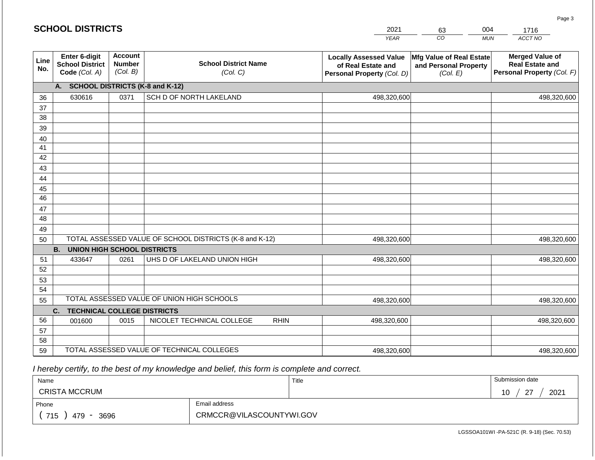|             | <b>SCHOOL DISTRICTS</b>                                  |                                             |                                                         | 2021                                                                              | 63                                                            | 004        | 1716                                                                           |
|-------------|----------------------------------------------------------|---------------------------------------------|---------------------------------------------------------|-----------------------------------------------------------------------------------|---------------------------------------------------------------|------------|--------------------------------------------------------------------------------|
|             |                                                          |                                             |                                                         | <b>YEAR</b>                                                                       | CO                                                            | <b>MUN</b> | ACCT NO                                                                        |
| Line<br>No. | Enter 6-digit<br><b>School District</b><br>Code (Col. A) | <b>Account</b><br><b>Number</b><br>(Col. B) | <b>School District Name</b><br>(Col. C)                 | <b>Locally Assessed Value</b><br>of Real Estate and<br>Personal Property (Col. D) | Mfg Value of Real Estate<br>and Personal Property<br>(Col. E) |            | <b>Merged Value of</b><br><b>Real Estate and</b><br>Personal Property (Col. F) |
|             | A.                                                       |                                             | <b>SCHOOL DISTRICTS (K-8 and K-12)</b>                  |                                                                                   |                                                               |            |                                                                                |
| 36          | 630616                                                   | 0371                                        | SCH D OF NORTH LAKELAND                                 | 498,320,600                                                                       |                                                               |            | 498,320,600                                                                    |
| 37          |                                                          |                                             |                                                         |                                                                                   |                                                               |            |                                                                                |
| 38          |                                                          |                                             |                                                         |                                                                                   |                                                               |            |                                                                                |
| 39          |                                                          |                                             |                                                         |                                                                                   |                                                               |            |                                                                                |
| 40          |                                                          |                                             |                                                         |                                                                                   |                                                               |            |                                                                                |
| 41<br>42    |                                                          |                                             |                                                         |                                                                                   |                                                               |            |                                                                                |
| 43          |                                                          |                                             |                                                         |                                                                                   |                                                               |            |                                                                                |
| 44          |                                                          |                                             |                                                         |                                                                                   |                                                               |            |                                                                                |
| 45          |                                                          |                                             |                                                         |                                                                                   |                                                               |            |                                                                                |
| 46          |                                                          |                                             |                                                         |                                                                                   |                                                               |            |                                                                                |
| 47          |                                                          |                                             |                                                         |                                                                                   |                                                               |            |                                                                                |
| 48          |                                                          |                                             |                                                         |                                                                                   |                                                               |            |                                                                                |
| 49          |                                                          |                                             |                                                         |                                                                                   |                                                               |            |                                                                                |
| 50          |                                                          |                                             | TOTAL ASSESSED VALUE OF SCHOOL DISTRICTS (K-8 and K-12) | 498,320,600                                                                       |                                                               |            | 498,320,600                                                                    |
|             | <b>B.</b><br><b>UNION HIGH SCHOOL DISTRICTS</b>          |                                             |                                                         |                                                                                   |                                                               |            |                                                                                |
| 51          | 433647                                                   | 0261                                        | UHS D OF LAKELAND UNION HIGH                            | 498,320,600                                                                       |                                                               |            | 498,320,600                                                                    |
| 52          |                                                          |                                             |                                                         |                                                                                   |                                                               |            |                                                                                |
| 53<br>54    |                                                          |                                             |                                                         |                                                                                   |                                                               |            |                                                                                |
| 55          |                                                          |                                             | TOTAL ASSESSED VALUE OF UNION HIGH SCHOOLS              | 498,320,600                                                                       |                                                               |            | 498,320,600                                                                    |
|             | C.<br><b>TECHNICAL COLLEGE DISTRICTS</b>                 |                                             |                                                         |                                                                                   |                                                               |            |                                                                                |
| 56          | 001600                                                   | 0015                                        | NICOLET TECHNICAL COLLEGE<br><b>RHIN</b>                | 498,320,600                                                                       |                                                               |            | 498,320,600                                                                    |
| 57          |                                                          |                                             |                                                         |                                                                                   |                                                               |            |                                                                                |
| 58          |                                                          |                                             |                                                         |                                                                                   |                                                               |            |                                                                                |
| 59          |                                                          |                                             | TOTAL ASSESSED VALUE OF TECHNICAL COLLEGES              | 498,320,600                                                                       |                                                               |            | 498,320,600                                                                    |

 *I hereby certify, to the best of my knowledge and belief, this form is complete and correct.*

| Name                                           |                          | Title | Submission date           |
|------------------------------------------------|--------------------------|-------|---------------------------|
| <b>CRISTA MCCRUM</b>                           |                          |       | 2021<br>$\sim$<br>10<br>- |
| Phone                                          | Email address            |       |                           |
| 715<br>3696<br>479<br>$\overline{\phantom{0}}$ | CRMCCR@VILASCOUNTYWI.GOV |       |                           |

LGSSOA101WI -PA-521C (R. 9-18) (Sec. 70.53)

Page 3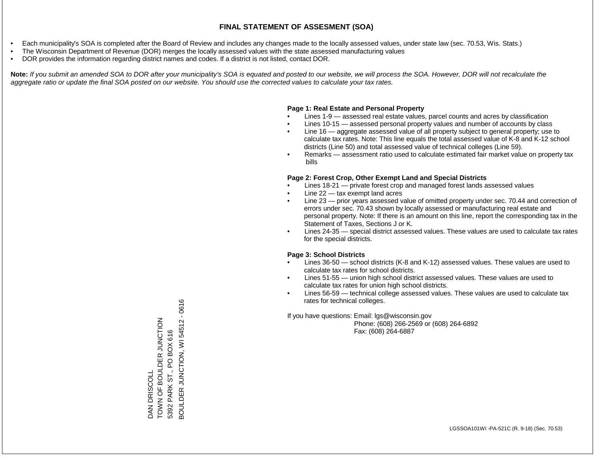- Each municipality's SOA is completed after the Board of Review and includes any changes made to the locally assessed values, under state law (sec. 70.53, Wis. Stats.)
- The Wisconsin Department of Revenue (DOR) merges the locally assessed values with the state assessed manufacturing values
- DOR provides the information regarding district names and codes. If a district is not listed, contact DOR.

Note: If you submit an amended SOA to DOR after your municipality's SOA is equated and posted to our website, we will process the SOA. However, DOR will not recalculate the *aggregate ratio or update the final SOA posted on our website. You should use the corrected values to calculate your tax rates.*

### **Page 1: Real Estate and Personal Property**

- Lines 1-9 assessed real estate values, parcel counts and acres by classification
- Lines 10-15 assessed personal property values and number of accounts by class
- Line 16 aggregate assessed value of all property subject to general property; use to calculate tax rates. Note: This line equals the total assessed value of K-8 and K-12 school districts (Line 50) and total assessed value of technical colleges (Line 59).
- Remarks assessment ratio used to calculate estimated fair market value on property tax bills

### **Page 2: Forest Crop, Other Exempt Land and Special Districts**

- Lines 18-21 private forest crop and managed forest lands assessed values
- Line  $22 -$  tax exempt land acres
- Line 23 prior years assessed value of omitted property under sec. 70.44 and correction of errors under sec. 70.43 shown by locally assessed or manufacturing real estate and personal property. Note: If there is an amount on this line, report the corresponding tax in the Statement of Taxes, Sections J or K.
- Lines 24-35 special district assessed values. These values are used to calculate tax rates for the special districts.

### **Page 3: School Districts**

- Lines 36-50 school districts (K-8 and K-12) assessed values. These values are used to calculate tax rates for school districts.
- Lines 51-55 union high school district assessed values. These values are used to calculate tax rates for union high school districts.
- Lines 56-59 technical college assessed values. These values are used to calculate tax rates for technical colleges.

If you have questions: Email: lgs@wisconsin.gov

 Phone: (608) 266-2569 or (608) 264-6892 Fax: (608) 264-6887

3OULDER JUNCTION, WI 54512 - 0616 BOULDER JUNCTION, WI 54512 - 0616TOWN OF BOULDER JOHN DAN DRISCOLL<br>TOWN OF BOULDER JUNCTION PARK ST., PO BOX 616 5392 PARK ST., PO BOX 616 DAN DRISCOLL 5392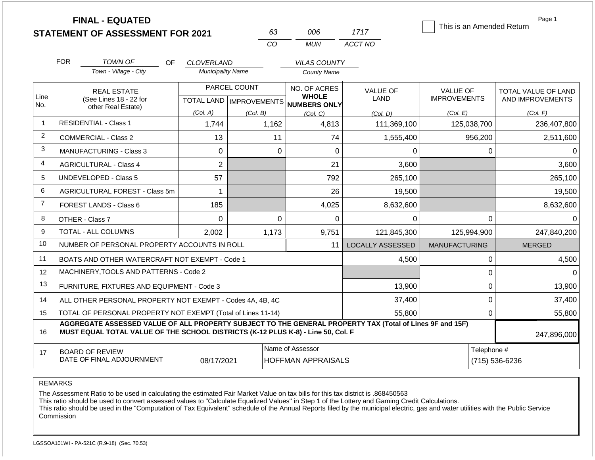|                |                                                                                                                                   | <b>FINAL - EQUATED</b><br><b>STATEMENT OF ASSESSMENT FOR 2021</b>                                                                                                                            |                          | 63           | 006                                                                 | 1717                           | This is an Amended Return              | Page 1                                         |
|----------------|-----------------------------------------------------------------------------------------------------------------------------------|----------------------------------------------------------------------------------------------------------------------------------------------------------------------------------------------|--------------------------|--------------|---------------------------------------------------------------------|--------------------------------|----------------------------------------|------------------------------------------------|
|                |                                                                                                                                   |                                                                                                                                                                                              |                          | CO           | <b>MUN</b>                                                          | ACCT NO                        |                                        |                                                |
|                | <b>FOR</b>                                                                                                                        | <b>TOWN OF</b><br><b>OF</b>                                                                                                                                                                  | <b>CLOVERLAND</b>        |              | <b>VILAS COUNTY</b>                                                 |                                |                                        |                                                |
|                |                                                                                                                                   | Town - Village - City                                                                                                                                                                        | <b>Municipality Name</b> |              | <b>County Name</b>                                                  |                                |                                        |                                                |
| Line           |                                                                                                                                   | <b>REAL ESTATE</b><br>(See Lines 18 - 22 for                                                                                                                                                 |                          | PARCEL COUNT | NO. OF ACRES<br><b>WHOLE</b><br>TOTAL LAND MPROVEMENTS NUMBERS ONLY | <b>VALUE OF</b><br><b>LAND</b> | <b>VALUE OF</b><br><b>IMPROVEMENTS</b> | <b>TOTAL VALUE OF LAND</b><br>AND IMPROVEMENTS |
| No.            |                                                                                                                                   | other Real Estate)                                                                                                                                                                           | (Col. A)                 | (Col. B)     | (Col, C)                                                            | (Col. D)                       | (Col. E)                               | (Col. F)                                       |
| $\mathbf{1}$   |                                                                                                                                   | <b>RESIDENTIAL - Class 1</b>                                                                                                                                                                 | 1,744                    | 1,162        | 4,813                                                               | 111,369,100                    | 125,038,700                            | 236,407,800                                    |
| 2              |                                                                                                                                   | <b>COMMERCIAL - Class 2</b>                                                                                                                                                                  | 13                       |              | 11<br>74                                                            | 1,555,400                      | 956,200                                | 2,511,600                                      |
| 3              |                                                                                                                                   | <b>MANUFACTURING - Class 3</b>                                                                                                                                                               | 0                        |              | 0<br>$\Omega$                                                       | 0                              | $\mathbf{0}$                           | $\Omega$                                       |
| 4              |                                                                                                                                   | <b>AGRICULTURAL - Class 4</b>                                                                                                                                                                | $\overline{2}$           |              | 21                                                                  | 3,600                          |                                        | 3,600                                          |
| 5              |                                                                                                                                   | <b>UNDEVELOPED - Class 5</b>                                                                                                                                                                 | 57                       |              | 792                                                                 | 265,100                        |                                        | 265,100                                        |
| 6              |                                                                                                                                   | AGRICULTURAL FOREST - Class 5m                                                                                                                                                               | $\mathbf{1}$             |              | 26                                                                  | 19,500                         |                                        | 19,500                                         |
| $\overline{7}$ |                                                                                                                                   | <b>FOREST LANDS - Class 6</b>                                                                                                                                                                | 185                      |              | 4,025                                                               | 8,632,600                      |                                        | 8,632,600                                      |
| 8              |                                                                                                                                   | OTHER - Class 7                                                                                                                                                                              | $\Omega$                 |              | $\Omega$<br>$\Omega$                                                | $\Omega$                       | 0                                      | $\Omega$                                       |
| 9              |                                                                                                                                   | TOTAL - ALL COLUMNS                                                                                                                                                                          | 2.002                    | 1,173        | 9,751                                                               | 121,845,300                    | 125,994,900                            | 247,840,200                                    |
| 10             |                                                                                                                                   | NUMBER OF PERSONAL PROPERTY ACCOUNTS IN ROLL                                                                                                                                                 |                          |              | 11                                                                  | <b>LOCALLY ASSESSED</b>        | <b>MANUFACTURING</b>                   | <b>MERGED</b>                                  |
| 11             |                                                                                                                                   | BOATS AND OTHER WATERCRAFT NOT EXEMPT - Code 1                                                                                                                                               |                          |              |                                                                     | 4,500                          | $\mathbf{0}$                           | 4,500                                          |
| 12             |                                                                                                                                   | MACHINERY, TOOLS AND PATTERNS - Code 2                                                                                                                                                       |                          |              |                                                                     |                                | $\mathbf 0$                            | $\Omega$                                       |
| 13             |                                                                                                                                   | FURNITURE, FIXTURES AND EQUIPMENT - Code 3                                                                                                                                                   |                          |              |                                                                     | 13,900                         | $\mathbf 0$                            | 13,900                                         |
| 14             |                                                                                                                                   | ALL OTHER PERSONAL PROPERTY NOT EXEMPT - Codes 4A, 4B, 4C                                                                                                                                    |                          |              |                                                                     | 37,400                         | $\mathbf 0$                            | 37,400                                         |
| 15             |                                                                                                                                   | TOTAL OF PERSONAL PROPERTY NOT EXEMPT (Total of Lines 11-14)                                                                                                                                 |                          |              |                                                                     | 55,800                         | $\mathbf{0}$                           | 55,800                                         |
| 16             |                                                                                                                                   | AGGREGATE ASSESSED VALUE OF ALL PROPERTY SUBJECT TO THE GENERAL PROPERTY TAX (Total of Lines 9F and 15F)<br>MUST EQUAL TOTAL VALUE OF THE SCHOOL DISTRICTS (K-12 PLUS K-8) - Line 50, Col. F |                          |              |                                                                     |                                |                                        | 247,896,000                                    |
| 17             | Name of Assessor<br>Telephone #<br><b>BOARD OF REVIEW</b><br>DATE OF FINAL ADJOURNMENT<br><b>HOFFMAN APPRAISALS</b><br>08/17/2021 |                                                                                                                                                                                              |                          |              |                                                                     |                                |                                        | (715) 536-6236                                 |

The Assessment Ratio to be used in calculating the estimated Fair Market Value on tax bills for this tax district is .868450563

This ratio should be used to convert assessed values to "Calculate Equalized Values" in Step 1 of the Lottery and Gaming Credit Calculations.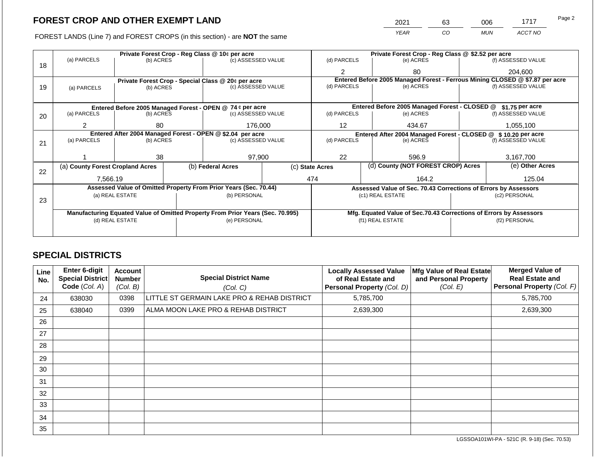FOREST LANDS (Line 7) and FOREST CROPS (in this section) - are NOT the same

| 2021 | 63 | 006        | 1717    | Page 2 |
|------|----|------------|---------|--------|
| YFAR | CO | <b>MUN</b> | ACCT NO |        |

|    | Private Forest Crop - Reg Class @ 10¢ per acre                                 |                 |  |                                                                  |                                                               | Private Forest Crop - Reg Class @ \$2.52 per acre     |                                                                    |                                                                 |                 |                                                                              |  |
|----|--------------------------------------------------------------------------------|-----------------|--|------------------------------------------------------------------|---------------------------------------------------------------|-------------------------------------------------------|--------------------------------------------------------------------|-----------------------------------------------------------------|-----------------|------------------------------------------------------------------------------|--|
| 18 | (a) PARCELS                                                                    | (b) ACRES       |  | (c) ASSESSED VALUE                                               |                                                               | (d) PARCELS                                           |                                                                    | (e) ACRES                                                       |                 | (f) ASSESSED VALUE                                                           |  |
|    |                                                                                |                 |  |                                                                  |                                                               | 2                                                     |                                                                    | 80                                                              |                 | 204,600                                                                      |  |
|    |                                                                                |                 |  | Private Forest Crop - Special Class @ 20¢ per acre               |                                                               |                                                       |                                                                    |                                                                 |                 | Entered Before 2005 Managed Forest - Ferrous Mining CLOSED @ \$7.87 per acre |  |
| 19 | (a) PARCELS                                                                    | (b) ACRES       |  | (c) ASSESSED VALUE                                               |                                                               | (d) PARCELS                                           |                                                                    | (e) ACRES                                                       |                 | (f) ASSESSED VALUE                                                           |  |
|    |                                                                                |                 |  |                                                                  |                                                               |                                                       |                                                                    |                                                                 |                 |                                                                              |  |
|    |                                                                                |                 |  | Entered Before 2005 Managed Forest - OPEN @ 74 ¢ per acre        |                                                               |                                                       |                                                                    | Entered Before 2005 Managed Forest - CLOSED @                   |                 | \$1.75 per acre                                                              |  |
| 20 | (a) PARCELS                                                                    | (b) ACRES       |  | (c) ASSESSED VALUE                                               |                                                               | (d) PARCELS                                           |                                                                    | (e) ACRES                                                       |                 | (f) ASSESSED VALUE                                                           |  |
|    |                                                                                |                 |  |                                                                  |                                                               |                                                       |                                                                    |                                                                 |                 |                                                                              |  |
|    | 2                                                                              | 80              |  | 176,000                                                          |                                                               | 12                                                    |                                                                    | 434.67                                                          |                 | 1,055,100                                                                    |  |
|    | Entered After 2004 Managed Forest - OPEN @ \$2.04 per acre                     |                 |  |                                                                  | Entered After 2004 Managed Forest - CLOSED @ \$10.20 per acre |                                                       |                                                                    |                                                                 |                 |                                                                              |  |
| 21 | (a) PARCELS                                                                    | (b) ACRES       |  | (c) ASSESSED VALUE                                               |                                                               | (d) PARCELS<br>(e) ACRES                              |                                                                    | (f) ASSESSED VALUE                                              |                 |                                                                              |  |
|    |                                                                                |                 |  |                                                                  |                                                               |                                                       |                                                                    |                                                                 |                 |                                                                              |  |
|    |                                                                                | 38              |  | 97,900                                                           |                                                               | 22                                                    |                                                                    | 596.9                                                           |                 | 3,167,700                                                                    |  |
| 22 | (a) County Forest Cropland Acres                                               |                 |  | (b) Federal Acres                                                |                                                               | (d) County (NOT FOREST CROP) Acres<br>(c) State Acres |                                                                    |                                                                 | (e) Other Acres |                                                                              |  |
|    | 7,566.19                                                                       |                 |  |                                                                  |                                                               | 474<br>164.2                                          |                                                                    | 125.04                                                          |                 |                                                                              |  |
|    |                                                                                |                 |  | Assessed Value of Omitted Property From Prior Years (Sec. 70.44) |                                                               |                                                       |                                                                    | Assessed Value of Sec. 70.43 Corrections of Errors by Assessors |                 |                                                                              |  |
|    |                                                                                | (a) REAL ESTATE |  | (b) PERSONAL                                                     |                                                               |                                                       | (c1) REAL ESTATE                                                   |                                                                 |                 | (c2) PERSONAL                                                                |  |
| 23 |                                                                                |                 |  |                                                                  |                                                               |                                                       |                                                                    |                                                                 |                 |                                                                              |  |
|    | Manufacturing Equated Value of Omitted Property From Prior Years (Sec. 70.995) |                 |  |                                                                  |                                                               |                                                       | Mfg. Equated Value of Sec.70.43 Corrections of Errors by Assessors |                                                                 |                 |                                                                              |  |
|    | (d) REAL ESTATE                                                                |                 |  | (e) PERSONAL                                                     |                                                               |                                                       | (f1) REAL ESTATE                                                   |                                                                 | (f2) PERSONAL   |                                                                              |  |
|    |                                                                                |                 |  |                                                                  |                                                               |                                                       |                                                                    |                                                                 |                 |                                                                              |  |
|    |                                                                                |                 |  |                                                                  |                                                               |                                                       |                                                                    |                                                                 |                 |                                                                              |  |

### **SPECIAL DISTRICTS**

| Line<br>No. | <b>Enter 6-digit</b><br>Special District<br>Code (Col. A) | <b>Account</b><br><b>Number</b><br>(Col. B) | <b>Special District Name</b><br>(Col. C)    | <b>Locally Assessed Value</b><br>of Real Estate and<br>Personal Property (Col. D) | Mfg Value of Real Estate<br>and Personal Property<br>(Col. E) | <b>Merged Value of</b><br><b>Real Estate and</b><br>Personal Property (Col. F) |
|-------------|-----------------------------------------------------------|---------------------------------------------|---------------------------------------------|-----------------------------------------------------------------------------------|---------------------------------------------------------------|--------------------------------------------------------------------------------|
| 24          | 638030                                                    | 0398                                        | LITTLE ST GERMAIN LAKE PRO & REHAB DISTRICT | 5,785,700                                                                         |                                                               | 5,785,700                                                                      |
| 25          | 638040                                                    | 0399                                        | ALMA MOON LAKE PRO & REHAB DISTRICT         | 2,639,300                                                                         |                                                               | 2,639,300                                                                      |
| 26          |                                                           |                                             |                                             |                                                                                   |                                                               |                                                                                |
| 27          |                                                           |                                             |                                             |                                                                                   |                                                               |                                                                                |
| 28          |                                                           |                                             |                                             |                                                                                   |                                                               |                                                                                |
| 29          |                                                           |                                             |                                             |                                                                                   |                                                               |                                                                                |
| 30          |                                                           |                                             |                                             |                                                                                   |                                                               |                                                                                |
| 31          |                                                           |                                             |                                             |                                                                                   |                                                               |                                                                                |
| 32          |                                                           |                                             |                                             |                                                                                   |                                                               |                                                                                |
| 33          |                                                           |                                             |                                             |                                                                                   |                                                               |                                                                                |
| 34          |                                                           |                                             |                                             |                                                                                   |                                                               |                                                                                |
| 35          |                                                           |                                             |                                             |                                                                                   |                                                               |                                                                                |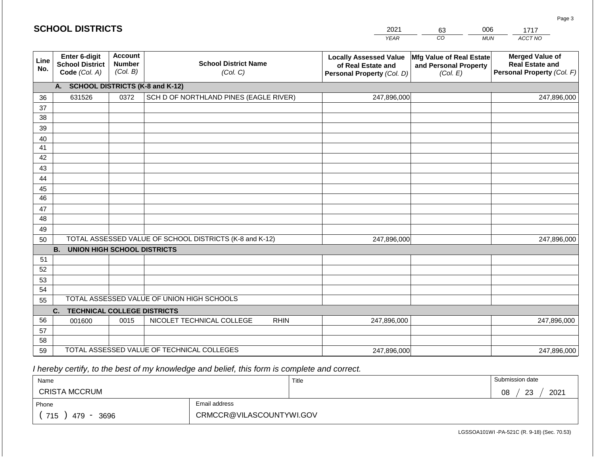| 2021 | 63 | 06  |         |
|------|----|-----|---------|
| VF∆R | CO | MUN | ACCT NO |

| Line<br>No. | Enter 6-digit<br><b>School District</b><br>Code (Col. A) | <b>Account</b><br><b>Number</b><br>(Col. B) | <b>School District Name</b><br>(Col. C)                 | <b>Locally Assessed Value</b><br>of Real Estate and<br>Personal Property (Col. D) | <b>Mfg Value of Real Estate</b><br>and Personal Property<br>(Col. E) | <b>Merged Value of</b><br><b>Real Estate and</b><br>Personal Property (Col. F) |  |  |  |  |  |
|-------------|----------------------------------------------------------|---------------------------------------------|---------------------------------------------------------|-----------------------------------------------------------------------------------|----------------------------------------------------------------------|--------------------------------------------------------------------------------|--|--|--|--|--|
|             | <b>SCHOOL DISTRICTS (K-8 and K-12)</b><br>А.             |                                             |                                                         |                                                                                   |                                                                      |                                                                                |  |  |  |  |  |
| 36          | 631526                                                   | 0372                                        | SCH D OF NORTHLAND PINES (EAGLE RIVER)                  | 247,896,000                                                                       |                                                                      | 247,896,000                                                                    |  |  |  |  |  |
| 37          |                                                          |                                             |                                                         |                                                                                   |                                                                      |                                                                                |  |  |  |  |  |
| 38          |                                                          |                                             |                                                         |                                                                                   |                                                                      |                                                                                |  |  |  |  |  |
| 39          |                                                          |                                             |                                                         |                                                                                   |                                                                      |                                                                                |  |  |  |  |  |
| 40          |                                                          |                                             |                                                         |                                                                                   |                                                                      |                                                                                |  |  |  |  |  |
| 41          |                                                          |                                             |                                                         |                                                                                   |                                                                      |                                                                                |  |  |  |  |  |
| 42          |                                                          |                                             |                                                         |                                                                                   |                                                                      |                                                                                |  |  |  |  |  |
| 43          |                                                          |                                             |                                                         |                                                                                   |                                                                      |                                                                                |  |  |  |  |  |
| 44          |                                                          |                                             |                                                         |                                                                                   |                                                                      |                                                                                |  |  |  |  |  |
| 45          |                                                          |                                             |                                                         |                                                                                   |                                                                      |                                                                                |  |  |  |  |  |
| 46          |                                                          |                                             |                                                         |                                                                                   |                                                                      |                                                                                |  |  |  |  |  |
| 47          |                                                          |                                             |                                                         |                                                                                   |                                                                      |                                                                                |  |  |  |  |  |
| 48          |                                                          |                                             |                                                         |                                                                                   |                                                                      |                                                                                |  |  |  |  |  |
| 49          |                                                          |                                             |                                                         |                                                                                   |                                                                      |                                                                                |  |  |  |  |  |
| 50          |                                                          |                                             | TOTAL ASSESSED VALUE OF SCHOOL DISTRICTS (K-8 and K-12) | 247,896,000                                                                       |                                                                      | 247,896,000                                                                    |  |  |  |  |  |
|             | <b>B.</b><br><b>UNION HIGH SCHOOL DISTRICTS</b>          |                                             |                                                         |                                                                                   |                                                                      |                                                                                |  |  |  |  |  |
| 51          |                                                          |                                             |                                                         |                                                                                   |                                                                      |                                                                                |  |  |  |  |  |
| 52          |                                                          |                                             |                                                         |                                                                                   |                                                                      |                                                                                |  |  |  |  |  |
| 53          |                                                          |                                             |                                                         |                                                                                   |                                                                      |                                                                                |  |  |  |  |  |
| 54          |                                                          |                                             |                                                         |                                                                                   |                                                                      |                                                                                |  |  |  |  |  |
| 55          |                                                          |                                             | TOTAL ASSESSED VALUE OF UNION HIGH SCHOOLS              |                                                                                   |                                                                      |                                                                                |  |  |  |  |  |
|             | C.<br><b>TECHNICAL COLLEGE DISTRICTS</b>                 |                                             |                                                         |                                                                                   |                                                                      |                                                                                |  |  |  |  |  |
| 56          | 001600                                                   | 0015                                        | NICOLET TECHNICAL COLLEGE<br><b>RHIN</b>                | 247,896,000                                                                       |                                                                      | 247,896,000                                                                    |  |  |  |  |  |
| 57          |                                                          |                                             |                                                         |                                                                                   |                                                                      |                                                                                |  |  |  |  |  |
| 58          |                                                          |                                             |                                                         |                                                                                   |                                                                      |                                                                                |  |  |  |  |  |
| 59          |                                                          |                                             | TOTAL ASSESSED VALUE OF TECHNICAL COLLEGES              | 247,896,000                                                                       |                                                                      | 247,896,000                                                                    |  |  |  |  |  |

 *I hereby certify, to the best of my knowledge and belief, this form is complete and correct.*

| Name                 |                          | Title | Submission date        |
|----------------------|--------------------------|-------|------------------------|
| <b>CRISTA MCCRUM</b> |                          |       | 2021<br>08<br>ററ<br>د∠ |
| Phone                | Email address            |       |                        |
| 715<br>479<br>3696   | CRMCCR@VILASCOUNTYWI.GOV |       |                        |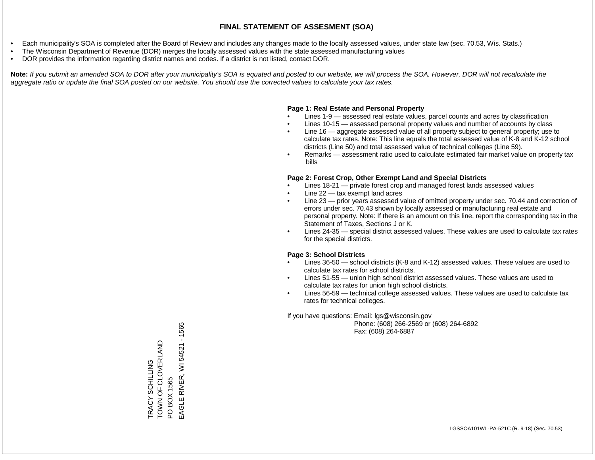- Each municipality's SOA is completed after the Board of Review and includes any changes made to the locally assessed values, under state law (sec. 70.53, Wis. Stats.)
- The Wisconsin Department of Revenue (DOR) merges the locally assessed values with the state assessed manufacturing values
- DOR provides the information regarding district names and codes. If a district is not listed, contact DOR.

Note: If you submit an amended SOA to DOR after your municipality's SOA is equated and posted to our website, we will process the SOA. However, DOR will not recalculate the *aggregate ratio or update the final SOA posted on our website. You should use the corrected values to calculate your tax rates.*

#### **Page 1: Real Estate and Personal Property**

- Lines 1-9 assessed real estate values, parcel counts and acres by classification
- Lines 10-15 assessed personal property values and number of accounts by class
- Line 16 aggregate assessed value of all property subject to general property; use to calculate tax rates. Note: This line equals the total assessed value of K-8 and K-12 school districts (Line 50) and total assessed value of technical colleges (Line 59).
- Remarks assessment ratio used to calculate estimated fair market value on property tax bills

#### **Page 2: Forest Crop, Other Exempt Land and Special Districts**

- Lines 18-21 private forest crop and managed forest lands assessed values
- Line  $22 -$  tax exempt land acres
- Line 23 prior years assessed value of omitted property under sec. 70.44 and correction of errors under sec. 70.43 shown by locally assessed or manufacturing real estate and personal property. Note: If there is an amount on this line, report the corresponding tax in the Statement of Taxes, Sections J or K.
- Lines 24-35 special district assessed values. These values are used to calculate tax rates for the special districts.

#### **Page 3: School Districts**

- Lines 36-50 school districts (K-8 and K-12) assessed values. These values are used to calculate tax rates for school districts.
- Lines 51-55 union high school district assessed values. These values are used to calculate tax rates for union high school districts.
- Lines 56-59 technical college assessed values. These values are used to calculate tax rates for technical colleges.

If you have questions: Email: lgs@wisconsin.gov

 Phone: (608) 266-2569 or (608) 264-6892 Fax: (608) 264-6887

 $-1565$ EAGLE RIVER, WI 54521 - 1565TOWN OF CLOVERLAND TRACY SCHILLING<br>TOWN OF CLOVERLAND PO BOX 1565<br>EAGLE RIVER, WI 54521 TRACY SCHILLING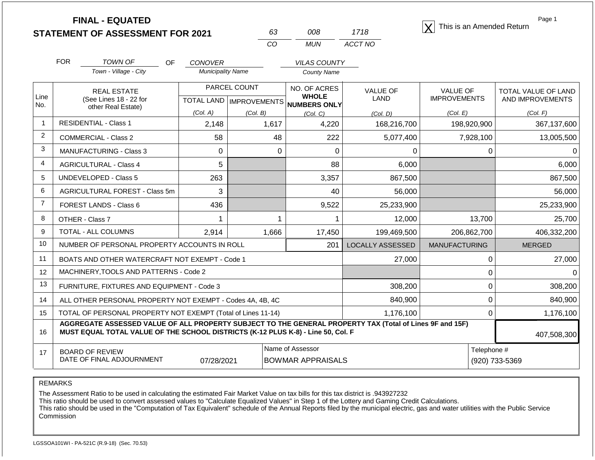|                |                                                                                                                                                                                              | <b>FINAL - EQUATED</b><br><b>STATEMENT OF ASSESSMENT FOR 2021</b> |                                            | 63<br>CO                  | 008<br><b>MUN</b>            | 1718<br>ACCT NO         | This is an Amended Return | Page 1                     |
|----------------|----------------------------------------------------------------------------------------------------------------------------------------------------------------------------------------------|-------------------------------------------------------------------|--------------------------------------------|---------------------------|------------------------------|-------------------------|---------------------------|----------------------------|
|                | <b>FOR</b>                                                                                                                                                                                   | TOWN OF<br><b>OF</b><br>Town - Village - City                     | <b>CONOVER</b><br><b>Municipality Name</b> |                           | <b>VILAS COUNTY</b>          |                         |                           |                            |
|                |                                                                                                                                                                                              |                                                                   |                                            |                           | <b>County Name</b>           |                         |                           |                            |
| Line           |                                                                                                                                                                                              | <b>REAL ESTATE</b>                                                |                                            | PARCEL COUNT              | NO. OF ACRES<br><b>WHOLE</b> | <b>VALUE OF</b>         | <b>VALUE OF</b>           | <b>TOTAL VALUE OF LAND</b> |
| No.            |                                                                                                                                                                                              | (See Lines 18 - 22 for<br>other Real Estate)                      |                                            | TOTAL LAND   IMPROVEMENTS | NUMBERS ONLY                 | LAND                    | <b>IMPROVEMENTS</b>       | AND IMPROVEMENTS           |
|                |                                                                                                                                                                                              |                                                                   | (Col. A)                                   | (Col. B)                  | (Col, C)                     | (Col. D)                | (Col. E)                  | (Col. F)                   |
| $\mathbf{1}$   |                                                                                                                                                                                              | <b>RESIDENTIAL - Class 1</b>                                      | 2,148                                      | 1,617                     | 4,220                        | 168,216,700             | 198,920,900               | 367,137,600                |
| $\overline{2}$ |                                                                                                                                                                                              | <b>COMMERCIAL - Class 2</b>                                       | 58                                         | 48                        | 222                          | 5,077,400               | 7,928,100                 | 13,005,500                 |
| 3              |                                                                                                                                                                                              | <b>MANUFACTURING - Class 3</b>                                    | 0                                          | 0                         | $\Omega$                     | $\Omega$                | 0                         |                            |
| 4              |                                                                                                                                                                                              | <b>AGRICULTURAL - Class 4</b>                                     | 5                                          |                           | 88                           | 6,000                   |                           | 6,000                      |
| 5              |                                                                                                                                                                                              | UNDEVELOPED - Class 5                                             | 263                                        |                           | 3,357                        | 867,500                 |                           | 867,500                    |
| 6              |                                                                                                                                                                                              | AGRICULTURAL FOREST - Class 5m                                    | 3                                          |                           | 40                           | 56,000                  |                           | 56,000                     |
| 7              |                                                                                                                                                                                              | FOREST LANDS - Class 6                                            | 436                                        |                           | 9,522                        | 25,233,900              |                           | 25,233,900                 |
| 8              |                                                                                                                                                                                              | OTHER - Class 7                                                   |                                            |                           |                              | 12,000                  | 13,700                    | 25,700                     |
| 9              |                                                                                                                                                                                              | TOTAL - ALL COLUMNS                                               | 2,914                                      | 1,666                     | 17,450                       | 199,469,500             | 206,862,700               | 406,332,200                |
| 10             |                                                                                                                                                                                              | NUMBER OF PERSONAL PROPERTY ACCOUNTS IN ROLL                      |                                            |                           | 201                          | <b>LOCALLY ASSESSED</b> | <b>MANUFACTURING</b>      | <b>MERGED</b>              |
| 11             |                                                                                                                                                                                              | BOATS AND OTHER WATERCRAFT NOT EXEMPT - Code 1                    |                                            |                           |                              | 27,000                  | 0                         | 27,000                     |
| 12             |                                                                                                                                                                                              | MACHINERY, TOOLS AND PATTERNS - Code 2                            |                                            |                           |                              |                         | 0                         | ∩                          |
| 13             | FURNITURE, FIXTURES AND EQUIPMENT - Code 3                                                                                                                                                   |                                                                   |                                            |                           |                              | 308,200                 | $\boldsymbol{0}$          | 308,200                    |
| 14             |                                                                                                                                                                                              | ALL OTHER PERSONAL PROPERTY NOT EXEMPT - Codes 4A, 4B, 4C         |                                            |                           |                              | 840,900                 | $\boldsymbol{0}$          | 840,900                    |
| 15             |                                                                                                                                                                                              | TOTAL OF PERSONAL PROPERTY NOT EXEMPT (Total of Lines 11-14)      |                                            |                           |                              | 1,176,100               | $\mathbf 0$               | 1,176,100                  |
| 16             | AGGREGATE ASSESSED VALUE OF ALL PROPERTY SUBJECT TO THE GENERAL PROPERTY TAX (Total of Lines 9F and 15F)<br>MUST EQUAL TOTAL VALUE OF THE SCHOOL DISTRICTS (K-12 PLUS K-8) - Line 50, Col. F | <b>107 508 300</b>                                                |                                            |                           |                              |                         |                           |                            |

16 17 BOARD OF REVIEW DATE OF FINAL ADJOURNMENT Name of Assessor **Name of Assessor** Telephone # 407,508,300 07/28/2021 BOWMAR APPRAISALS (920) 733-5369

REMARKS

The Assessment Ratio to be used in calculating the estimated Fair Market Value on tax bills for this tax district is .943927232

This ratio should be used to convert assessed values to "Calculate Equalized Values" in Step 1 of the Lottery and Gaming Credit Calculations.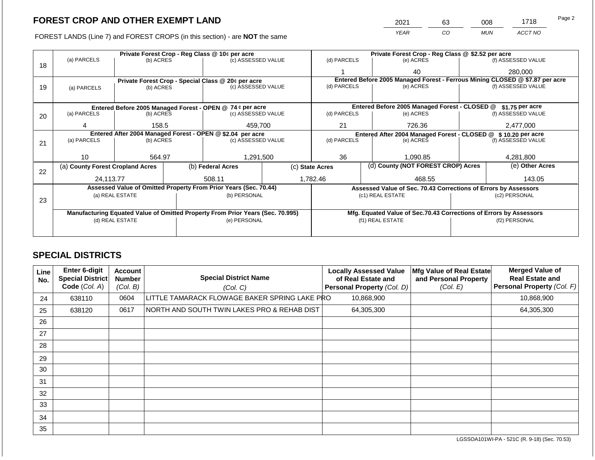2021 63 008 1718

FOREST LANDS (Line 7) and FOREST CROPS (in this section) - are **NOT** the same *YEAR CO MUN ACCT NO*

|    | Private Forest Crop - Reg Class @ 10¢ per acre |                                                            |  |                                                                                |                                              | Private Forest Crop - Reg Class @ \$2.52 per acre |                                                                              |                                                                    |               |                    |  |
|----|------------------------------------------------|------------------------------------------------------------|--|--------------------------------------------------------------------------------|----------------------------------------------|---------------------------------------------------|------------------------------------------------------------------------------|--------------------------------------------------------------------|---------------|--------------------|--|
| 18 | (a) PARCELS                                    | (b) ACRES                                                  |  | (c) ASSESSED VALUE                                                             |                                              | (d) PARCELS                                       |                                                                              | (e) ACRES                                                          |               | (f) ASSESSED VALUE |  |
|    |                                                |                                                            |  |                                                                                |                                              |                                                   |                                                                              | 40                                                                 |               | 280,000            |  |
|    |                                                |                                                            |  | Private Forest Crop - Special Class @ 20¢ per acre                             |                                              |                                                   | Entered Before 2005 Managed Forest - Ferrous Mining CLOSED @ \$7.87 per acre |                                                                    |               |                    |  |
| 19 | (a) PARCELS                                    | (b) ACRES                                                  |  | (c) ASSESSED VALUE                                                             |                                              | (d) PARCELS                                       |                                                                              | (e) ACRES                                                          |               | (f) ASSESSED VALUE |  |
|    |                                                |                                                            |  |                                                                                |                                              |                                                   |                                                                              |                                                                    |               |                    |  |
|    |                                                |                                                            |  | Entered Before 2005 Managed Forest - OPEN @ 74 ¢ per acre                      |                                              |                                                   |                                                                              | Entered Before 2005 Managed Forest - CLOSED @                      |               | \$1.75 per acre    |  |
| 20 | (a) PARCELS                                    | (b) ACRES                                                  |  | (c) ASSESSED VALUE                                                             |                                              | (d) PARCELS                                       |                                                                              | (e) ACRES                                                          |               | (f) ASSESSED VALUE |  |
|    |                                                |                                                            |  | 459,700                                                                        |                                              |                                                   |                                                                              |                                                                    |               |                    |  |
|    | 4                                              | 158.5                                                      |  |                                                                                |                                              | 21<br>726.36                                      |                                                                              |                                                                    |               | 2,477,000          |  |
|    |                                                | Entered After 2004 Managed Forest - OPEN @ \$2.04 per acre |  |                                                                                | Entered After 2004 Managed Forest - CLOSED @ |                                                   |                                                                              | \$10,20 per acre                                                   |               |                    |  |
| 21 | (a) PARCELS                                    | (b) ACRES                                                  |  | (c) ASSESSED VALUE                                                             |                                              | (d) PARCELS                                       |                                                                              | (e) ACRES                                                          |               | (f) ASSESSED VALUE |  |
|    |                                                |                                                            |  |                                                                                |                                              |                                                   |                                                                              |                                                                    |               |                    |  |
|    | 10 <sup>°</sup>                                | 564.97                                                     |  | 1,291,500                                                                      |                                              | 36                                                |                                                                              | 1,090.85                                                           |               | 4,281,800          |  |
| 22 | (a) County Forest Cropland Acres               |                                                            |  | (b) Federal Acres                                                              |                                              | (c) State Acres                                   |                                                                              | (d) County (NOT FOREST CROP) Acres                                 |               | (e) Other Acres    |  |
|    | 24.113.77                                      |                                                            |  | 508.11                                                                         |                                              | 1,782.46                                          |                                                                              | 468.55                                                             |               | 143.05             |  |
|    |                                                |                                                            |  | Assessed Value of Omitted Property From Prior Years (Sec. 70.44)               |                                              |                                                   |                                                                              | Assessed Value of Sec. 70.43 Corrections of Errors by Assessors    |               |                    |  |
|    |                                                | (a) REAL ESTATE                                            |  | (b) PERSONAL                                                                   |                                              | (c1) REAL ESTATE                                  |                                                                              |                                                                    | (c2) PERSONAL |                    |  |
| 23 |                                                |                                                            |  |                                                                                |                                              |                                                   |                                                                              |                                                                    |               |                    |  |
|    |                                                |                                                            |  | Manufacturing Equated Value of Omitted Property From Prior Years (Sec. 70.995) |                                              |                                                   |                                                                              | Mfg. Equated Value of Sec.70.43 Corrections of Errors by Assessors |               |                    |  |
|    |                                                | (d) REAL ESTATE                                            |  | (e) PERSONAL                                                                   |                                              |                                                   |                                                                              | (f1) REAL ESTATE                                                   |               | (f2) PERSONAL      |  |
|    |                                                |                                                            |  |                                                                                |                                              |                                                   |                                                                              |                                                                    |               |                    |  |
|    |                                                |                                                            |  |                                                                                |                                              |                                                   |                                                                              |                                                                    |               |                    |  |

### **SPECIAL DISTRICTS**

| Line<br>No. | <b>Enter 6-digit</b><br>Special District<br>Code (Col. A) | <b>Account</b><br><b>Number</b><br>(Col. B) | <b>Special District Name</b><br>(Col. C)      | <b>Locally Assessed Value</b><br>of Real Estate and<br>Personal Property (Col. D) | Mfg Value of Real Estate<br>and Personal Property<br>(Col. E) | <b>Merged Value of</b><br><b>Real Estate and</b><br>Personal Property (Col. F) |
|-------------|-----------------------------------------------------------|---------------------------------------------|-----------------------------------------------|-----------------------------------------------------------------------------------|---------------------------------------------------------------|--------------------------------------------------------------------------------|
| 24          | 638110                                                    | 0604                                        | LITTLE TAMARACK FLOWAGE BAKER SPRING LAKE PRO | 10,868,900                                                                        |                                                               | 10,868,900                                                                     |
| 25          | 638120                                                    | 0617                                        | NORTH AND SOUTH TWIN LAKES PRO & REHAB DIST   | 64,305,300                                                                        |                                                               | 64,305,300                                                                     |
| 26          |                                                           |                                             |                                               |                                                                                   |                                                               |                                                                                |
| 27          |                                                           |                                             |                                               |                                                                                   |                                                               |                                                                                |
| 28          |                                                           |                                             |                                               |                                                                                   |                                                               |                                                                                |
| 29          |                                                           |                                             |                                               |                                                                                   |                                                               |                                                                                |
| 30          |                                                           |                                             |                                               |                                                                                   |                                                               |                                                                                |
| 31          |                                                           |                                             |                                               |                                                                                   |                                                               |                                                                                |
| 32          |                                                           |                                             |                                               |                                                                                   |                                                               |                                                                                |
| 33          |                                                           |                                             |                                               |                                                                                   |                                                               |                                                                                |
| 34          |                                                           |                                             |                                               |                                                                                   |                                                               |                                                                                |
| 35          |                                                           |                                             |                                               |                                                                                   |                                                               |                                                                                |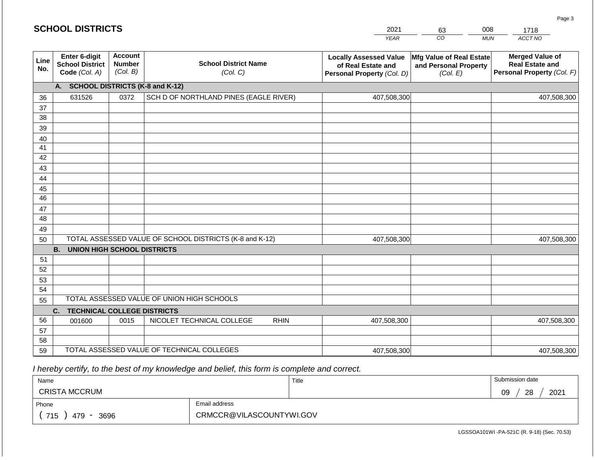|  | <b>SCHOOL DISTRICTS</b> |  |
|--|-------------------------|--|
|--|-------------------------|--|

| 2021 | 63 | 008 | 1718    |
|------|----|-----|---------|
| YFAR | CO | MUN | ACCT NO |

| Line<br>No.     | Enter 6-digit<br><b>School District</b><br>Code (Col. A) | <b>Account</b><br><b>Number</b><br>(Col. B) | <b>School District Name</b><br>(Col. C)                 | <b>Locally Assessed Value</b><br>of Real Estate and<br>Personal Property (Col. D) | Mfg Value of Real Estate<br>and Personal Property<br>(Col. E) | <b>Merged Value of</b><br><b>Real Estate and</b><br>Personal Property (Col. F) |  |  |  |  |
|-----------------|----------------------------------------------------------|---------------------------------------------|---------------------------------------------------------|-----------------------------------------------------------------------------------|---------------------------------------------------------------|--------------------------------------------------------------------------------|--|--|--|--|
|                 | A. SCHOOL DISTRICTS (K-8 and K-12)                       |                                             |                                                         |                                                                                   |                                                               |                                                                                |  |  |  |  |
| 36              | 631526                                                   | 0372                                        | SCH D OF NORTHLAND PINES (EAGLE RIVER)                  | 407,508,300                                                                       |                                                               | 407,508,300                                                                    |  |  |  |  |
| 37              |                                                          |                                             |                                                         |                                                                                   |                                                               |                                                                                |  |  |  |  |
| 38              |                                                          |                                             |                                                         |                                                                                   |                                                               |                                                                                |  |  |  |  |
| 39              |                                                          |                                             |                                                         |                                                                                   |                                                               |                                                                                |  |  |  |  |
| 40              |                                                          |                                             |                                                         |                                                                                   |                                                               |                                                                                |  |  |  |  |
| 41              |                                                          |                                             |                                                         |                                                                                   |                                                               |                                                                                |  |  |  |  |
| 42              |                                                          |                                             |                                                         |                                                                                   |                                                               |                                                                                |  |  |  |  |
| 43              |                                                          |                                             |                                                         |                                                                                   |                                                               |                                                                                |  |  |  |  |
| 44              |                                                          |                                             |                                                         |                                                                                   |                                                               |                                                                                |  |  |  |  |
| 45              |                                                          |                                             |                                                         |                                                                                   |                                                               |                                                                                |  |  |  |  |
| $\overline{46}$ |                                                          |                                             |                                                         |                                                                                   |                                                               |                                                                                |  |  |  |  |
| 47              |                                                          |                                             |                                                         |                                                                                   |                                                               |                                                                                |  |  |  |  |
| 48              |                                                          |                                             |                                                         |                                                                                   |                                                               |                                                                                |  |  |  |  |
| 49              |                                                          |                                             |                                                         |                                                                                   |                                                               |                                                                                |  |  |  |  |
| 50              |                                                          |                                             | TOTAL ASSESSED VALUE OF SCHOOL DISTRICTS (K-8 and K-12) | 407,508,300                                                                       |                                                               | 407,508,300                                                                    |  |  |  |  |
|                 | <b>B.</b><br><b>UNION HIGH SCHOOL DISTRICTS</b>          |                                             |                                                         |                                                                                   |                                                               |                                                                                |  |  |  |  |
| 51              |                                                          |                                             |                                                         |                                                                                   |                                                               |                                                                                |  |  |  |  |
| 52              |                                                          |                                             |                                                         |                                                                                   |                                                               |                                                                                |  |  |  |  |
| 53              |                                                          |                                             |                                                         |                                                                                   |                                                               |                                                                                |  |  |  |  |
| 54              |                                                          |                                             |                                                         |                                                                                   |                                                               |                                                                                |  |  |  |  |
| 55              | TOTAL ASSESSED VALUE OF UNION HIGH SCHOOLS               |                                             |                                                         |                                                                                   |                                                               |                                                                                |  |  |  |  |
|                 | C.<br><b>TECHNICAL COLLEGE DISTRICTS</b>                 |                                             |                                                         |                                                                                   |                                                               |                                                                                |  |  |  |  |
| 56              | 001600                                                   | 0015                                        | NICOLET TECHNICAL COLLEGE<br><b>RHIN</b>                | 407,508,300                                                                       |                                                               | 407,508,300                                                                    |  |  |  |  |
| 57              |                                                          |                                             |                                                         |                                                                                   |                                                               |                                                                                |  |  |  |  |
| 58              |                                                          |                                             |                                                         |                                                                                   |                                                               |                                                                                |  |  |  |  |
| 59              |                                                          |                                             | TOTAL ASSESSED VALUE OF TECHNICAL COLLEGES              | 407,508,300                                                                       |                                                               | 407,508,300                                                                    |  |  |  |  |

 *I hereby certify, to the best of my knowledge and belief, this form is complete and correct.*

| Name                 |                          | Title | Submission date        |
|----------------------|--------------------------|-------|------------------------|
| <b>CRISTA MCCRUM</b> |                          |       | 2021<br>09<br>ററ<br>20 |
| Phone                | Email address            |       |                        |
| 715<br>3696<br>479   | CRMCCR@VILASCOUNTYWI.GOV |       |                        |

Page 3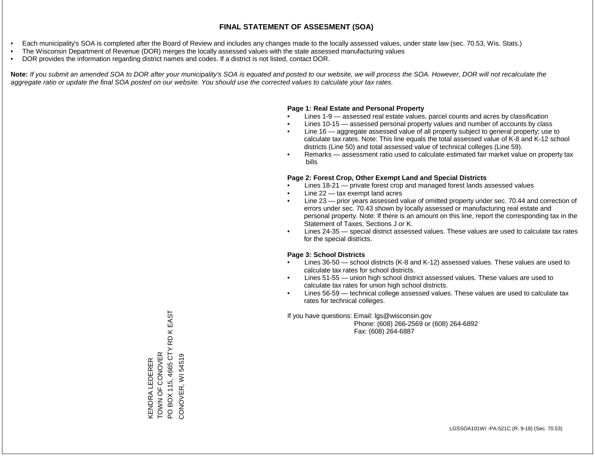- Each municipality's SOA is completed after the Board of Review and includes any changes made to the locally assessed values, under state law (sec. 70.53, Wis. Stats.)
- The Wisconsin Department of Revenue (DOR) merges the locally assessed values with the state assessed manufacturing values
- DOR provides the information regarding district names and codes. If a district is not listed, contact DOR.

Note: If you submit an amended SOA to DOR after your municipality's SOA is equated and posted to our website, we will process the SOA. However, DOR will not recalculate the *aggregate ratio or update the final SOA posted on our website. You should use the corrected values to calculate your tax rates.*

### **Page 1: Real Estate and Personal Property**

- Lines 1-9 assessed real estate values, parcel counts and acres by classification
- Lines 10-15 assessed personal property values and number of accounts by class
- Line 16 aggregate assessed value of all property subject to general property; use to calculate tax rates. Note: This line equals the total assessed value of K-8 and K-12 school districts (Line 50) and total assessed value of technical colleges (Line 59).
- Remarks assessment ratio used to calculate estimated fair market value on property tax bills

### **Page 2: Forest Crop, Other Exempt Land and Special Districts**

- Lines 18-21 private forest crop and managed forest lands assessed values
- Line  $22 -$  tax exempt land acres
- Line 23 prior years assessed value of omitted property under sec. 70.44 and correction of errors under sec. 70.43 shown by locally assessed or manufacturing real estate and personal property. Note: If there is an amount on this line, report the corresponding tax in the Statement of Taxes, Sections J or K.
- Lines 24-35 special district assessed values. These values are used to calculate tax rates for the special districts.

### **Page 3: School Districts**

- Lines 36-50 school districts (K-8 and K-12) assessed values. These values are used to calculate tax rates for school districts.
- Lines 51-55 union high school district assessed values. These values are used to calculate tax rates for union high school districts.
- Lines 56-59 technical college assessed values. These values are used to calculate tax rates for technical colleges.

If you have questions: Email: lgs@wisconsin.gov

 Phone: (608) 266-2569 or (608) 264-6892 Fax: (608) 264-6887

K EAST PO BOX 115, 4665 CTY RD K EAST RD  $\geq$ KENDRA LEDERER<br>TOWN OF CONOVER TOWN OF CONOVER PO BOX 115, 4665 CT CONOVER, WI 54519 CONOVER, WI 54519KENDRA LEDERER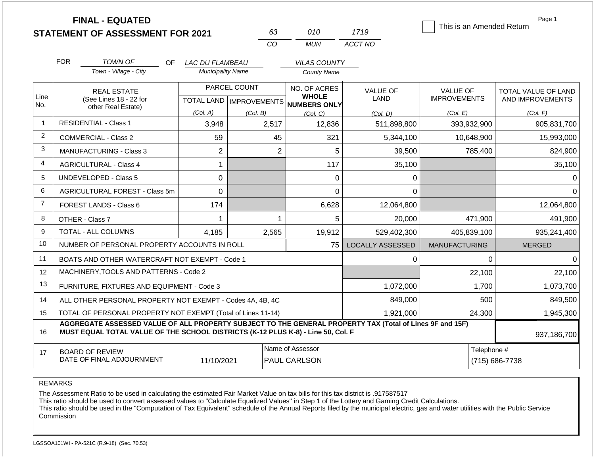|                |                                                                                                       | <b>FINAL - EQUATED</b><br><b>STATEMENT OF ASSESSMENT FOR 2021</b>                                                                                                                            |                          | 63                                                  |                | 010                          | 1719                    | This is an Amended Return              | Page 1                                         |
|----------------|-------------------------------------------------------------------------------------------------------|----------------------------------------------------------------------------------------------------------------------------------------------------------------------------------------------|--------------------------|-----------------------------------------------------|----------------|------------------------------|-------------------------|----------------------------------------|------------------------------------------------|
|                |                                                                                                       |                                                                                                                                                                                              |                          | CO                                                  |                | <b>MUN</b>                   | ACCT NO                 |                                        |                                                |
|                | <b>FOR</b>                                                                                            | <b>TOWN OF</b><br>OF.                                                                                                                                                                        | LAC DU FLAMBEAU          |                                                     |                | <b>VILAS COUNTY</b>          |                         |                                        |                                                |
|                |                                                                                                       | Town - Village - City                                                                                                                                                                        | <b>Municipality Name</b> |                                                     |                | <b>County Name</b>           |                         |                                        |                                                |
| Line<br>No.    |                                                                                                       | <b>REAL ESTATE</b><br>(See Lines 18 - 22 for                                                                                                                                                 |                          | PARCEL COUNT<br>TOTAL LAND MPROVEMENTS NUMBERS ONLY |                | NO. OF ACRES<br><b>WHOLE</b> | <b>VALUE OF</b><br>LAND | <b>VALUE OF</b><br><b>IMPROVEMENTS</b> | <b>TOTAL VALUE OF LAND</b><br>AND IMPROVEMENTS |
|                |                                                                                                       | other Real Estate)                                                                                                                                                                           | (Col. A)                 | (Col. B)                                            |                | (Col, C)                     | (Col. D)                | (Col. E)                               | (Col. F)                                       |
| $\overline{1}$ |                                                                                                       | <b>RESIDENTIAL - Class 1</b>                                                                                                                                                                 | 3,948                    | 2,517                                               |                | 12,836                       | 511,898,800             | 393,932,900                            | 905,831,700                                    |
| 2              |                                                                                                       | <b>COMMERCIAL - Class 2</b>                                                                                                                                                                  | 59                       |                                                     | 45             | 321                          | 5,344,100               | 10,648,900                             | 15,993,000                                     |
| 3              |                                                                                                       | MANUFACTURING - Class 3                                                                                                                                                                      | $\overline{2}$           |                                                     | $\overline{2}$ | 5                            | 39,500                  | 785,400                                | 824,900                                        |
| 4              |                                                                                                       | <b>AGRICULTURAL - Class 4</b>                                                                                                                                                                | 1                        |                                                     |                | 117                          | 35,100                  |                                        | 35,100                                         |
| 5              |                                                                                                       | UNDEVELOPED - Class 5                                                                                                                                                                        | 0                        |                                                     |                | 0                            | 0                       |                                        | 0                                              |
| 6              |                                                                                                       | AGRICULTURAL FOREST - Class 5m                                                                                                                                                               | 0                        |                                                     |                | 0                            | 0                       |                                        | $\Omega$                                       |
| $\overline{7}$ |                                                                                                       | <b>FOREST LANDS - Class 6</b>                                                                                                                                                                | 174                      |                                                     |                | 6,628                        | 12,064,800              |                                        | 12,064,800                                     |
| 8              |                                                                                                       | OTHER - Class 7                                                                                                                                                                              | 1                        |                                                     | 1              | 5                            | 20,000                  | 471,900                                | 491,900                                        |
| 9              |                                                                                                       | <b>TOTAL - ALL COLUMNS</b>                                                                                                                                                                   | 4.185                    | 2,565                                               |                | 19,912                       | 529,402,300             | 405,839,100                            | 935,241,400                                    |
| 10             |                                                                                                       | NUMBER OF PERSONAL PROPERTY ACCOUNTS IN ROLL                                                                                                                                                 |                          |                                                     |                | 75                           | <b>LOCALLY ASSESSED</b> | <b>MANUFACTURING</b>                   | <b>MERGED</b>                                  |
| 11             |                                                                                                       | BOATS AND OTHER WATERCRAFT NOT EXEMPT - Code 1                                                                                                                                               |                          |                                                     |                |                              | 0                       |                                        | $\Omega$<br>$\Omega$                           |
| 12             |                                                                                                       | MACHINERY, TOOLS AND PATTERNS - Code 2                                                                                                                                                       |                          |                                                     |                |                              |                         | 22,100                                 | 22,100                                         |
| 13             |                                                                                                       | FURNITURE, FIXTURES AND EQUIPMENT - Code 3                                                                                                                                                   |                          |                                                     |                |                              | 1,072,000               | 1,700                                  | 1,073,700                                      |
| 14             |                                                                                                       | ALL OTHER PERSONAL PROPERTY NOT EXEMPT - Codes 4A, 4B, 4C                                                                                                                                    |                          |                                                     |                |                              | 849,000                 | 500                                    | 849,500                                        |
| 15             |                                                                                                       | TOTAL OF PERSONAL PROPERTY NOT EXEMPT (Total of Lines 11-14)                                                                                                                                 |                          |                                                     |                |                              | 1,921,000               | 24,300                                 | 1,945,300                                      |
| 16             |                                                                                                       | AGGREGATE ASSESSED VALUE OF ALL PROPERTY SUBJECT TO THE GENERAL PROPERTY TAX (Total of Lines 9F and 15F)<br>MUST EQUAL TOTAL VALUE OF THE SCHOOL DISTRICTS (K-12 PLUS K-8) - Line 50, Col. F |                          |                                                     |                |                              |                         |                                        | 937,186,700                                    |
| 17             | Name of Assessor<br><b>BOARD OF REVIEW</b><br>DATE OF FINAL ADJOURNMENT<br>11/10/2021<br>PAUL CARLSON |                                                                                                                                                                                              |                          |                                                     |                |                              |                         |                                        | Telephone #<br>(715) 686-7738                  |

The Assessment Ratio to be used in calculating the estimated Fair Market Value on tax bills for this tax district is .917587517

This ratio should be used to convert assessed values to "Calculate Equalized Values" in Step 1 of the Lottery and Gaming Credit Calculations.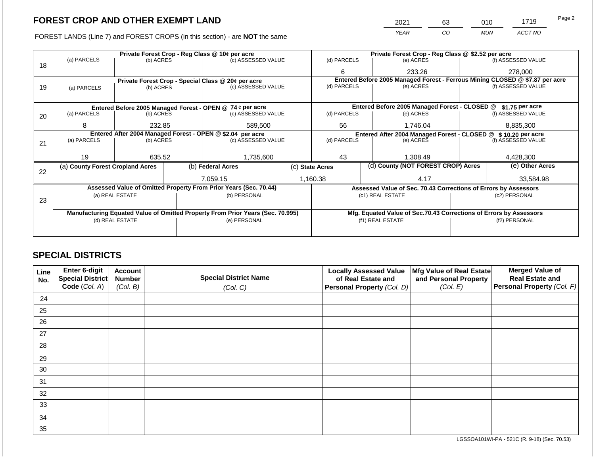FOREST LANDS (Line 7) and FOREST CROPS (in this section) - are NOT the same

| 2021 | 63 | 010 | 1719    | Page 2 |
|------|----|-----|---------|--------|
| YEAR | CO | MUN | ACCT NO |        |

|    |                                                                                        |                 |  | Private Forest Crop - Reg Class @ 10¢ per acre                                 |  | Private Forest Crop - Reg Class @ \$2.52 per acre                            |                                                                    |                 |                                        |  |
|----|----------------------------------------------------------------------------------------|-----------------|--|--------------------------------------------------------------------------------|--|------------------------------------------------------------------------------|--------------------------------------------------------------------|-----------------|----------------------------------------|--|
| 18 | (a) PARCELS                                                                            | (b) ACRES       |  | (c) ASSESSED VALUE                                                             |  | (d) PARCELS                                                                  | (e) ACRES                                                          |                 | (f) ASSESSED VALUE                     |  |
|    |                                                                                        |                 |  |                                                                                |  | 6                                                                            | 233.26                                                             |                 | 278,000                                |  |
|    |                                                                                        |                 |  | Private Forest Crop - Special Class @ 20¢ per acre                             |  | Entered Before 2005 Managed Forest - Ferrous Mining CLOSED @ \$7.87 per acre |                                                                    |                 |                                        |  |
| 19 | (a) PARCELS                                                                            | (b) ACRES       |  | (c) ASSESSED VALUE                                                             |  | (d) PARCELS                                                                  | (e) ACRES                                                          |                 | (f) ASSESSED VALUE                     |  |
|    |                                                                                        |                 |  |                                                                                |  |                                                                              |                                                                    |                 |                                        |  |
|    |                                                                                        |                 |  | Entered Before 2005 Managed Forest - OPEN @ 74 ¢ per acre                      |  |                                                                              | Entered Before 2005 Managed Forest - CLOSED @                      |                 | \$1.75 per acre                        |  |
| 20 | (a) PARCELS                                                                            | (b) ACRES       |  | (c) ASSESSED VALUE                                                             |  | (d) PARCELS                                                                  | (e) ACRES                                                          |                 | (f) ASSESSED VALUE                     |  |
|    | 8                                                                                      | 232.85          |  | 589,500                                                                        |  | 56                                                                           | 1,746.04                                                           |                 | 8,835,300                              |  |
|    |                                                                                        |                 |  |                                                                                |  |                                                                              |                                                                    |                 |                                        |  |
|    | Entered After 2004 Managed Forest - OPEN @ \$2.04 per acre<br>(a) PARCELS<br>(b) ACRES |                 |  | (c) ASSESSED VALUE                                                             |  | (d) PARCELS                                                                  | Entered After 2004 Managed Forest - CLOSED @<br>(e) ACRES          |                 | \$10,20 per acre<br>(f) ASSESSED VALUE |  |
| 21 |                                                                                        |                 |  |                                                                                |  |                                                                              |                                                                    |                 |                                        |  |
|    |                                                                                        |                 |  |                                                                                |  |                                                                              |                                                                    |                 |                                        |  |
|    | 19                                                                                     | 635.52          |  | 1,735,600                                                                      |  | 43<br>1.308.49                                                               |                                                                    |                 | 4,428,300                              |  |
|    | (a) County Forest Cropland Acres                                                       |                 |  | (b) Federal Acres                                                              |  | (d) County (NOT FOREST CROP) Acres<br>(c) State Acres                        |                                                                    | (e) Other Acres |                                        |  |
| 22 |                                                                                        |                 |  |                                                                                |  |                                                                              |                                                                    |                 |                                        |  |
|    |                                                                                        |                 |  | 7.059.15                                                                       |  | 1,160.38                                                                     | 4.17                                                               |                 | 33,584.98                              |  |
|    |                                                                                        |                 |  | Assessed Value of Omitted Property From Prior Years (Sec. 70.44)               |  |                                                                              | Assessed Value of Sec. 70.43 Corrections of Errors by Assessors    |                 |                                        |  |
|    |                                                                                        | (a) REAL ESTATE |  | (b) PERSONAL                                                                   |  |                                                                              | (c1) REAL ESTATE                                                   |                 | (c2) PERSONAL                          |  |
| 23 |                                                                                        |                 |  |                                                                                |  |                                                                              |                                                                    |                 |                                        |  |
|    |                                                                                        |                 |  | Manufacturing Equated Value of Omitted Property From Prior Years (Sec. 70.995) |  |                                                                              | Mfg. Equated Value of Sec.70.43 Corrections of Errors by Assessors |                 |                                        |  |
|    | (d) REAL ESTATE                                                                        |                 |  | (e) PERSONAL                                                                   |  | (f1) REAL ESTATE                                                             |                                                                    |                 | (f2) PERSONAL                          |  |
|    |                                                                                        |                 |  |                                                                                |  |                                                                              |                                                                    |                 |                                        |  |
|    |                                                                                        |                 |  |                                                                                |  |                                                                              |                                                                    |                 |                                        |  |

### **SPECIAL DISTRICTS**

| Line<br>No. | Enter 6-digit<br>Special District<br>Code (Col. A) | <b>Account</b><br><b>Number</b><br>(Col. B) | <b>Special District Name</b><br>(Col. C) | <b>Locally Assessed Value</b><br>of Real Estate and<br>Personal Property (Col. D) | Mfg Value of Real Estate<br>and Personal Property<br>(Col. E) | <b>Merged Value of</b><br><b>Real Estate and</b><br>Personal Property (Col. F) |
|-------------|----------------------------------------------------|---------------------------------------------|------------------------------------------|-----------------------------------------------------------------------------------|---------------------------------------------------------------|--------------------------------------------------------------------------------|
| 24          |                                                    |                                             |                                          |                                                                                   |                                                               |                                                                                |
| 25          |                                                    |                                             |                                          |                                                                                   |                                                               |                                                                                |
| 26          |                                                    |                                             |                                          |                                                                                   |                                                               |                                                                                |
| 27          |                                                    |                                             |                                          |                                                                                   |                                                               |                                                                                |
| 28          |                                                    |                                             |                                          |                                                                                   |                                                               |                                                                                |
| 29          |                                                    |                                             |                                          |                                                                                   |                                                               |                                                                                |
| 30          |                                                    |                                             |                                          |                                                                                   |                                                               |                                                                                |
| 31          |                                                    |                                             |                                          |                                                                                   |                                                               |                                                                                |
| 32          |                                                    |                                             |                                          |                                                                                   |                                                               |                                                                                |
| 33          |                                                    |                                             |                                          |                                                                                   |                                                               |                                                                                |
| 34          |                                                    |                                             |                                          |                                                                                   |                                                               |                                                                                |
| 35          |                                                    |                                             |                                          |                                                                                   |                                                               |                                                                                |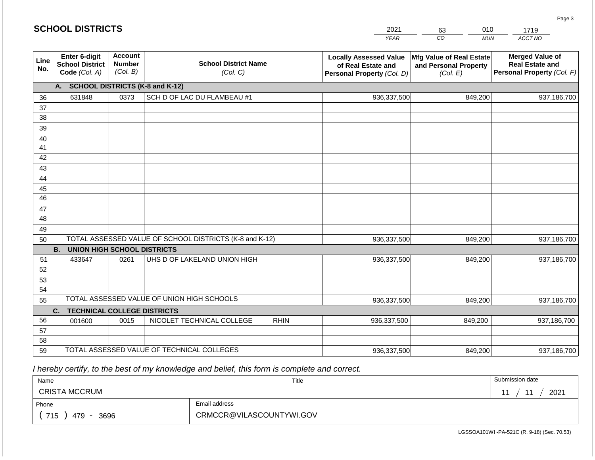# *YEAR*  2021 **SCHOOL DISTRICTS**

| Line<br>No. | Enter 6-digit<br><b>School District</b><br>Code (Col. A) | <b>Account</b><br><b>Number</b><br>(Col. B) | <b>School District Name</b><br>(Col. C)                 | <b>Locally Assessed Value</b><br>of Real Estate and<br>Personal Property (Col. D) | Mfg Value of Real Estate<br>and Personal Property<br>(Col. E) | <b>Merged Value of</b><br><b>Real Estate and</b><br>Personal Property (Col. F) |  |  |  |  |
|-------------|----------------------------------------------------------|---------------------------------------------|---------------------------------------------------------|-----------------------------------------------------------------------------------|---------------------------------------------------------------|--------------------------------------------------------------------------------|--|--|--|--|
|             | <b>SCHOOL DISTRICTS (K-8 and K-12)</b><br>А.             |                                             |                                                         |                                                                                   |                                                               |                                                                                |  |  |  |  |
| 36          | 631848                                                   | 0373                                        | SCH D OF LAC DU FLAMBEAU #1                             | 936,337,500                                                                       | 849,200                                                       | 937,186,700                                                                    |  |  |  |  |
| 37          |                                                          |                                             |                                                         |                                                                                   |                                                               |                                                                                |  |  |  |  |
| 38          |                                                          |                                             |                                                         |                                                                                   |                                                               |                                                                                |  |  |  |  |
| 39          |                                                          |                                             |                                                         |                                                                                   |                                                               |                                                                                |  |  |  |  |
| 40          |                                                          |                                             |                                                         |                                                                                   |                                                               |                                                                                |  |  |  |  |
| 41          |                                                          |                                             |                                                         |                                                                                   |                                                               |                                                                                |  |  |  |  |
| 42          |                                                          |                                             |                                                         |                                                                                   |                                                               |                                                                                |  |  |  |  |
| 43          |                                                          |                                             |                                                         |                                                                                   |                                                               |                                                                                |  |  |  |  |
| 44          |                                                          |                                             |                                                         |                                                                                   |                                                               |                                                                                |  |  |  |  |
| 45          |                                                          |                                             |                                                         |                                                                                   |                                                               |                                                                                |  |  |  |  |
| 46          |                                                          |                                             |                                                         |                                                                                   |                                                               |                                                                                |  |  |  |  |
| 47          |                                                          |                                             |                                                         |                                                                                   |                                                               |                                                                                |  |  |  |  |
| 48          |                                                          |                                             |                                                         |                                                                                   |                                                               |                                                                                |  |  |  |  |
| 49          |                                                          |                                             | TOTAL ASSESSED VALUE OF SCHOOL DISTRICTS (K-8 and K-12) |                                                                                   |                                                               |                                                                                |  |  |  |  |
| 50          | <b>UNION HIGH SCHOOL DISTRICTS</b><br><b>B.</b>          |                                             |                                                         | 936, 337, 500                                                                     | 849,200                                                       | 937,186,700                                                                    |  |  |  |  |
| 51          | 433647                                                   | 0261                                        | UHS D OF LAKELAND UNION HIGH                            | 936, 337, 500                                                                     | 849,200                                                       | 937,186,700                                                                    |  |  |  |  |
| 52          |                                                          |                                             |                                                         |                                                                                   |                                                               |                                                                                |  |  |  |  |
| 53          |                                                          |                                             |                                                         |                                                                                   |                                                               |                                                                                |  |  |  |  |
| 54          |                                                          |                                             |                                                         |                                                                                   |                                                               |                                                                                |  |  |  |  |
| 55          |                                                          |                                             | TOTAL ASSESSED VALUE OF UNION HIGH SCHOOLS              | 936,337,500                                                                       | 849,200                                                       | 937,186,700                                                                    |  |  |  |  |
|             | $C_{1}$<br><b>TECHNICAL COLLEGE DISTRICTS</b>            |                                             |                                                         |                                                                                   |                                                               |                                                                                |  |  |  |  |
| 56          | 001600                                                   | 0015                                        | NICOLET TECHNICAL COLLEGE<br><b>RHIN</b>                | 936,337,500                                                                       | 849,200                                                       | 937,186,700                                                                    |  |  |  |  |
| 57          |                                                          |                                             |                                                         |                                                                                   |                                                               |                                                                                |  |  |  |  |
| 58          |                                                          |                                             |                                                         |                                                                                   |                                                               |                                                                                |  |  |  |  |
| 59          |                                                          |                                             | TOTAL ASSESSED VALUE OF TECHNICAL COLLEGES              | 936,337,500                                                                       | 849,200                                                       | 937,186,700                                                                    |  |  |  |  |

 *I hereby certify, to the best of my knowledge and belief, this form is complete and correct.*

| Name                                           |                          | Title | Submission date              |
|------------------------------------------------|--------------------------|-------|------------------------------|
| <b>CRISTA MCCRUM</b>                           |                          |       | 2021<br>$\overline{A}$<br>44 |
| Phone                                          | Email address            |       |                              |
| 715<br>3696<br>479<br>$\overline{\phantom{a}}$ | CRMCCR@VILASCOUNTYWI.GOV |       |                              |

*ACCT NO*  1719

*CO*  63 *MUN*  010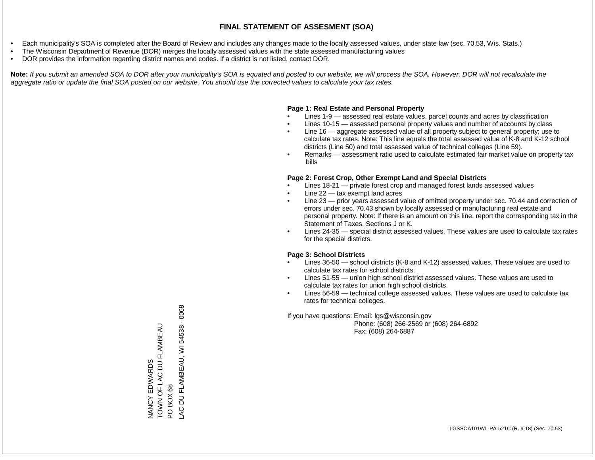- Each municipality's SOA is completed after the Board of Review and includes any changes made to the locally assessed values, under state law (sec. 70.53, Wis. Stats.)
- The Wisconsin Department of Revenue (DOR) merges the locally assessed values with the state assessed manufacturing values
- DOR provides the information regarding district names and codes. If a district is not listed, contact DOR.

Note: If you submit an amended SOA to DOR after your municipality's SOA is equated and posted to our website, we will process the SOA. However, DOR will not recalculate the *aggregate ratio or update the final SOA posted on our website. You should use the corrected values to calculate your tax rates.*

### **Page 1: Real Estate and Personal Property**

- Lines 1-9 assessed real estate values, parcel counts and acres by classification
- Lines 10-15 assessed personal property values and number of accounts by class
- Line 16 aggregate assessed value of all property subject to general property; use to calculate tax rates. Note: This line equals the total assessed value of K-8 and K-12 school districts (Line 50) and total assessed value of technical colleges (Line 59).
- Remarks assessment ratio used to calculate estimated fair market value on property tax bills

### **Page 2: Forest Crop, Other Exempt Land and Special Districts**

- Lines 18-21 private forest crop and managed forest lands assessed values
- Line  $22 -$  tax exempt land acres
- Line 23 prior years assessed value of omitted property under sec. 70.44 and correction of errors under sec. 70.43 shown by locally assessed or manufacturing real estate and personal property. Note: If there is an amount on this line, report the corresponding tax in the Statement of Taxes, Sections J or K.
- Lines 24-35 special district assessed values. These values are used to calculate tax rates for the special districts.

### **Page 3: School Districts**

- Lines 36-50 school districts (K-8 and K-12) assessed values. These values are used to calculate tax rates for school districts.
- Lines 51-55 union high school district assessed values. These values are used to calculate tax rates for union high school districts.
- Lines 56-59 technical college assessed values. These values are used to calculate tax rates for technical colleges.

If you have questions: Email: lgs@wisconsin.gov

 Phone: (608) 266-2569 or (608) 264-6892 Fax: (608) 264-6887

PO BOX 68<br>\_AC DU FLAMBEAU, WI 54538 - 0068 LAC DU FLAMBEAU, WI 54538 - 0068TOWN OF LAC DU FLAMBEAU NANCY EDWARDS<br>TOWN OF LAC DU FLAMBEAU NANCY EDWARDS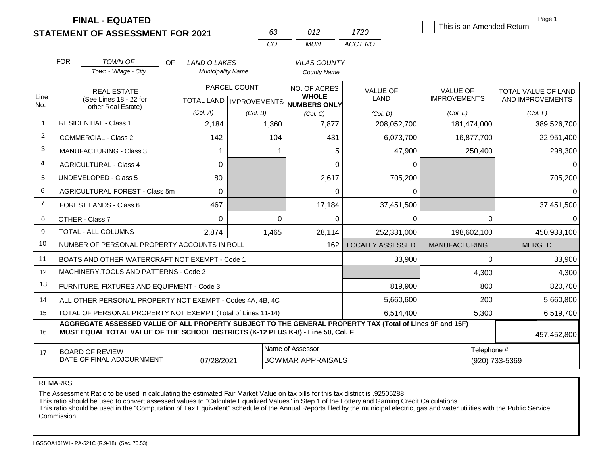|                |                               | <b>FINAL - EQUATED</b><br><b>STATEMENT OF ASSESSMENT FOR 2021</b>                                                                                                                            |                          | 63           | 012                                          | 1720                    | This is an Amended Return | Page 1                        |
|----------------|-------------------------------|----------------------------------------------------------------------------------------------------------------------------------------------------------------------------------------------|--------------------------|--------------|----------------------------------------------|-------------------------|---------------------------|-------------------------------|
|                |                               |                                                                                                                                                                                              |                          | CO           | <b>MUN</b>                                   | ACCT NO                 |                           |                               |
|                | <b>FOR</b>                    | <b>TOWN OF</b><br><b>OF</b>                                                                                                                                                                  | LAND O LAKES             |              | <b>VILAS COUNTY</b>                          |                         |                           |                               |
|                |                               | Town - Village - City                                                                                                                                                                        | <b>Municipality Name</b> |              | <b>County Name</b>                           |                         |                           |                               |
| Line           |                               | <b>REAL ESTATE</b>                                                                                                                                                                           |                          | PARCEL COUNT | NO. OF ACRES<br><b>WHOLE</b>                 | <b>VALUE OF</b>         | <b>VALUE OF</b>           | <b>TOTAL VALUE OF LAND</b>    |
| No.            |                               | (See Lines 18 - 22 for<br>other Real Estate)                                                                                                                                                 |                          |              | TOTAL LAND MPROVEMENTS NUMBERS ONLY          | <b>LAND</b>             | <b>IMPROVEMENTS</b>       | AND IMPROVEMENTS              |
| $\mathbf{1}$   |                               |                                                                                                                                                                                              | (Col. A)                 | (Col. B)     | (Col, C)                                     | (Col. D)                | (Col. E)                  | (Col. F)                      |
|                |                               | <b>RESIDENTIAL - Class 1</b>                                                                                                                                                                 | 2,184                    | 1,360        | 7,877                                        | 208,052,700             | 181,474,000               | 389,526,700                   |
| 2              |                               | <b>COMMERCIAL - Class 2</b>                                                                                                                                                                  | 142                      | 104          | 431                                          | 6,073,700               | 16,877,700                | 22,951,400                    |
| 3              | MANUFACTURING - Class 3       |                                                                                                                                                                                              | $\mathbf{1}$             |              | 5<br>1                                       | 47,900                  | 250,400                   | 298,300                       |
| 4              | <b>AGRICULTURAL - Class 4</b> |                                                                                                                                                                                              | 0                        |              | $\overline{0}$                               | 0                       |                           | $\Omega$                      |
| 5              |                               | <b>UNDEVELOPED - Class 5</b>                                                                                                                                                                 | 80                       |              | 2,617                                        | 705,200                 |                           | 705,200                       |
| 6              |                               | AGRICULTURAL FOREST - Class 5m                                                                                                                                                               | 0                        |              | $\mathbf 0$                                  | 0                       |                           | $\Omega$                      |
| $\overline{7}$ |                               | <b>FOREST LANDS - Class 6</b>                                                                                                                                                                | 467                      |              | 17,184                                       | 37,451,500              |                           | 37,451,500                    |
| 8              |                               | OTHER - Class 7                                                                                                                                                                              | $\Omega$                 |              | $\Omega$<br>$\Omega$                         | $\Omega$                | 0                         | $\Omega$                      |
| 9              |                               | TOTAL - ALL COLUMNS                                                                                                                                                                          | 2.874                    | 1,465        | 28,114                                       | 252,331,000             | 198,602,100               | 450,933,100                   |
| 10             |                               | NUMBER OF PERSONAL PROPERTY ACCOUNTS IN ROLL                                                                                                                                                 |                          |              | 162                                          | <b>LOCALLY ASSESSED</b> | <b>MANUFACTURING</b>      | <b>MERGED</b>                 |
| 11             |                               | BOATS AND OTHER WATERCRAFT NOT EXEMPT - Code 1                                                                                                                                               |                          |              |                                              | 33,900                  | $\Omega$                  | 33,900                        |
| 12             |                               | MACHINERY, TOOLS AND PATTERNS - Code 2                                                                                                                                                       |                          |              |                                              |                         | 4,300                     | 4,300                         |
| 13             |                               | FURNITURE, FIXTURES AND EQUIPMENT - Code 3                                                                                                                                                   |                          |              |                                              | 819,900                 | 800                       | 820,700                       |
| 14             |                               | ALL OTHER PERSONAL PROPERTY NOT EXEMPT - Codes 4A, 4B, 4C                                                                                                                                    |                          |              |                                              | 5,660,600               | 200                       | 5,660,800                     |
| 15             |                               | TOTAL OF PERSONAL PROPERTY NOT EXEMPT (Total of Lines 11-14)                                                                                                                                 |                          |              |                                              | 6,514,400               | 5,300                     | 6,519,700                     |
| 16             |                               | AGGREGATE ASSESSED VALUE OF ALL PROPERTY SUBJECT TO THE GENERAL PROPERTY TAX (Total of Lines 9F and 15F)<br>MUST EQUAL TOTAL VALUE OF THE SCHOOL DISTRICTS (K-12 PLUS K-8) - Line 50, Col. F |                          |              |                                              |                         |                           | 457,452,800                   |
| 17             |                               | <b>BOARD OF REVIEW</b><br>DATE OF FINAL ADJOURNMENT                                                                                                                                          | 07/28/2021               |              | Name of Assessor<br><b>BOWMAR APPRAISALS</b> |                         |                           | Telephone #<br>(920) 733-5369 |

The Assessment Ratio to be used in calculating the estimated Fair Market Value on tax bills for this tax district is .92505288

This ratio should be used to convert assessed values to "Calculate Equalized Values" in Step 1 of the Lottery and Gaming Credit Calculations.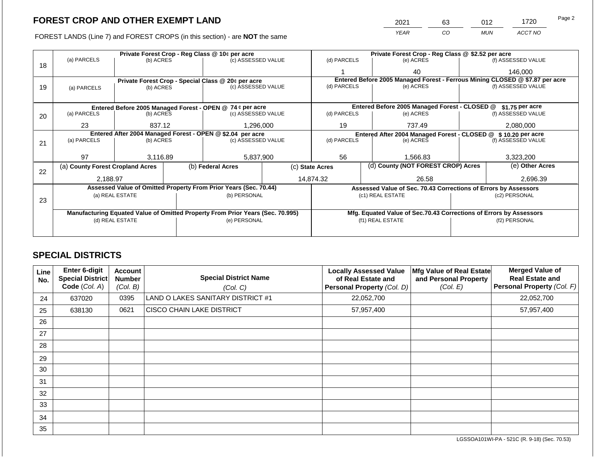FOREST LANDS (Line 7) and FOREST CROPS (in this section) - are NOT the same

| 2021 | 63 | N1 2       | '720    | Page 2 |
|------|----|------------|---------|--------|
| YFAR | 0∵ | <b>MUN</b> | ACCT NO |        |

|    |                                                            |                 |  | Private Forest Crop - Reg Class @ 10¢ per acre                                 |                 | Private Forest Crop - Reg Class @ \$2.52 per acre                            |                                                                    |                                    |                    |  |
|----|------------------------------------------------------------|-----------------|--|--------------------------------------------------------------------------------|-----------------|------------------------------------------------------------------------------|--------------------------------------------------------------------|------------------------------------|--------------------|--|
|    | (a) PARCELS                                                | (b) ACRES       |  | (c) ASSESSED VALUE                                                             |                 | (d) PARCELS                                                                  | (e) ACRES                                                          |                                    | (f) ASSESSED VALUE |  |
| 18 |                                                            |                 |  |                                                                                |                 |                                                                              | 40                                                                 |                                    | 146,000            |  |
|    |                                                            |                 |  | Private Forest Crop - Special Class @ 20¢ per acre                             |                 | Entered Before 2005 Managed Forest - Ferrous Mining CLOSED @ \$7.87 per acre |                                                                    |                                    |                    |  |
| 19 | (a) PARCELS                                                | (b) ACRES       |  | (c) ASSESSED VALUE                                                             |                 | (d) PARCELS                                                                  | (e) ACRES                                                          |                                    | (f) ASSESSED VALUE |  |
|    |                                                            |                 |  |                                                                                |                 |                                                                              |                                                                    |                                    |                    |  |
|    |                                                            |                 |  | Entered Before 2005 Managed Forest - OPEN @ 74 ¢ per acre                      |                 |                                                                              | Entered Before 2005 Managed Forest - CLOSED @                      |                                    | \$1.75 per acre    |  |
| 20 | (a) PARCELS                                                | (b) ACRES       |  | (c) ASSESSED VALUE                                                             |                 | (d) PARCELS                                                                  | (e) ACRES                                                          |                                    | (f) ASSESSED VALUE |  |
|    |                                                            |                 |  |                                                                                |                 |                                                                              |                                                                    |                                    |                    |  |
|    | 23                                                         | 837.12          |  | 1,296,000                                                                      |                 | 737.49<br>19                                                                 |                                                                    |                                    | 2,080,000          |  |
|    | Entered After 2004 Managed Forest - OPEN @ \$2.04 per acre |                 |  |                                                                                |                 | Entered After 2004 Managed Forest - CLOSED @ \$10.20 per acre                |                                                                    |                                    |                    |  |
| 21 | (a) PARCELS                                                | (b) ACRES       |  | (c) ASSESSED VALUE                                                             |                 | (d) PARCELS                                                                  | (e) ACRES                                                          |                                    | (f) ASSESSED VALUE |  |
|    |                                                            |                 |  |                                                                                |                 |                                                                              |                                                                    |                                    |                    |  |
|    | 97                                                         | 3,116.89        |  | 5,837,900                                                                      |                 | 56                                                                           | 1,566.83                                                           |                                    | 3,323,200          |  |
|    | (a) County Forest Cropland Acres                           |                 |  | (b) Federal Acres                                                              | (c) State Acres |                                                                              |                                                                    | (d) County (NOT FOREST CROP) Acres |                    |  |
| 22 |                                                            |                 |  |                                                                                |                 |                                                                              |                                                                    |                                    |                    |  |
|    | 2,188.97                                                   |                 |  |                                                                                |                 | 14,874.32                                                                    | 26.58                                                              |                                    | 2,696.39           |  |
|    |                                                            |                 |  | Assessed Value of Omitted Property From Prior Years (Sec. 70.44)               |                 |                                                                              | Assessed Value of Sec. 70.43 Corrections of Errors by Assessors    |                                    |                    |  |
|    |                                                            | (a) REAL ESTATE |  | (b) PERSONAL                                                                   |                 |                                                                              | (c1) REAL ESTATE                                                   |                                    | (c2) PERSONAL      |  |
| 23 |                                                            |                 |  |                                                                                |                 |                                                                              |                                                                    |                                    |                    |  |
|    |                                                            |                 |  | Manufacturing Equated Value of Omitted Property From Prior Years (Sec. 70.995) |                 |                                                                              | Mfg. Equated Value of Sec.70.43 Corrections of Errors by Assessors |                                    |                    |  |
|    |                                                            | (d) REAL ESTATE |  | (e) PERSONAL                                                                   |                 |                                                                              | (f1) REAL ESTATE                                                   |                                    | (f2) PERSONAL      |  |
|    |                                                            |                 |  |                                                                                |                 |                                                                              |                                                                    |                                    |                    |  |
|    |                                                            |                 |  |                                                                                |                 |                                                                              |                                                                    |                                    |                    |  |

### **SPECIAL DISTRICTS**

| Line<br>No. | <b>Enter 6-digit</b><br>Special District<br>Code (Col. A) | <b>Account</b><br><b>Number</b><br>(Col. B) | <b>Special District Name</b><br>(Col. C) | <b>Locally Assessed Value</b><br>of Real Estate and<br>Personal Property (Col. D) | Mfg Value of Real Estate<br>and Personal Property<br>(Col. E) | <b>Merged Value of</b><br><b>Real Estate and</b><br>Personal Property (Col. F) |
|-------------|-----------------------------------------------------------|---------------------------------------------|------------------------------------------|-----------------------------------------------------------------------------------|---------------------------------------------------------------|--------------------------------------------------------------------------------|
| 24          | 637020                                                    | 0395                                        | LAND O LAKES SANITARY DISTRICT #1        | 22,052,700                                                                        |                                                               | 22,052,700                                                                     |
| 25          | 638130                                                    | 0621                                        | <b>CISCO CHAIN LAKE DISTRICT</b>         | 57,957,400                                                                        |                                                               | 57,957,400                                                                     |
| 26          |                                                           |                                             |                                          |                                                                                   |                                                               |                                                                                |
| 27          |                                                           |                                             |                                          |                                                                                   |                                                               |                                                                                |
| 28          |                                                           |                                             |                                          |                                                                                   |                                                               |                                                                                |
| 29          |                                                           |                                             |                                          |                                                                                   |                                                               |                                                                                |
| 30          |                                                           |                                             |                                          |                                                                                   |                                                               |                                                                                |
| 31          |                                                           |                                             |                                          |                                                                                   |                                                               |                                                                                |
| 32          |                                                           |                                             |                                          |                                                                                   |                                                               |                                                                                |
| 33          |                                                           |                                             |                                          |                                                                                   |                                                               |                                                                                |
| 34          |                                                           |                                             |                                          |                                                                                   |                                                               |                                                                                |
| 35          |                                                           |                                             |                                          |                                                                                   |                                                               |                                                                                |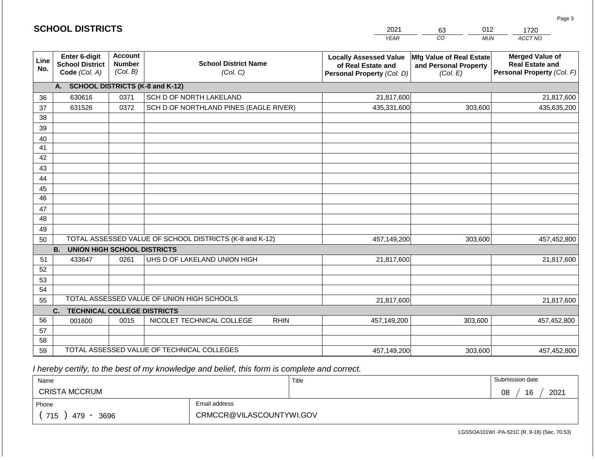|             | <b>SCHOOL DISTRICTS</b>                                         |                                      |                                         | 2021<br><b>YEAR</b>                                                                      | 012<br>63<br><sub>CO</sub><br><b>MUN</b>                      | 1720<br>ACCT NO                                                                |
|-------------|-----------------------------------------------------------------|--------------------------------------|-----------------------------------------|------------------------------------------------------------------------------------------|---------------------------------------------------------------|--------------------------------------------------------------------------------|
| Line<br>No. | <b>Enter 6-digit</b><br><b>School District</b><br>Code (Col. A) | Account<br><b>Number</b><br>(Col. B) | <b>School District Name</b><br>(Col. C) | <b>Locally Assessed Value</b><br>of Real Estate and<br><b>Personal Property (Col. D)</b> | Mfg Value of Real Estate<br>and Personal Property<br>(Col. E) | <b>Merged Value of</b><br><b>Real Estate and</b><br>Personal Property (Col. F) |
|             | А.                                                              |                                      | <b>SCHOOL DISTRICTS (K-8 and K-12)</b>  |                                                                                          |                                                               |                                                                                |
| 36          | 630616                                                          | 0371                                 | SCH D OF NORTH LAKELAND                 | 21,817,600                                                                               |                                                               | 21,817,600                                                                     |
| 37          | 631526                                                          | 0372                                 | SCH D OF NORTHLAND PINES (EAGLE RIVER)  | 435,331,600                                                                              | 303,600                                                       | 435,635,200                                                                    |
| 38          |                                                                 |                                      |                                         |                                                                                          |                                                               |                                                                                |
| 39          |                                                                 |                                      |                                         |                                                                                          |                                                               |                                                                                |
| $\Lambda$   |                                                                 |                                      |                                         |                                                                                          |                                                               |                                                                                |

| 37 | 631526                                          | 0372 | SCH D OF NORTHLAND PINES (EAGLE RIVER)                  | 435,331,600 | 303,600 | 435,635,200 |  |  |
|----|-------------------------------------------------|------|---------------------------------------------------------|-------------|---------|-------------|--|--|
| 38 |                                                 |      |                                                         |             |         |             |  |  |
| 39 |                                                 |      |                                                         |             |         |             |  |  |
| 40 |                                                 |      |                                                         |             |         |             |  |  |
| 41 |                                                 |      |                                                         |             |         |             |  |  |
| 42 |                                                 |      |                                                         |             |         |             |  |  |
| 43 |                                                 |      |                                                         |             |         |             |  |  |
| 44 |                                                 |      |                                                         |             |         |             |  |  |
| 45 |                                                 |      |                                                         |             |         |             |  |  |
| 46 |                                                 |      |                                                         |             |         |             |  |  |
| 47 |                                                 |      |                                                         |             |         |             |  |  |
| 48 |                                                 |      |                                                         |             |         |             |  |  |
| 49 |                                                 |      |                                                         |             |         |             |  |  |
| 50 |                                                 |      | TOTAL ASSESSED VALUE OF SCHOOL DISTRICTS (K-8 and K-12) | 457,149,200 | 303,600 | 457,452,800 |  |  |
|    | <b>UNION HIGH SCHOOL DISTRICTS</b><br><b>B.</b> |      |                                                         |             |         |             |  |  |
| 51 | 433647                                          | 0261 | UHS D OF LAKELAND UNION HIGH                            | 21,817,600  |         | 21,817,600  |  |  |
| 52 |                                                 |      |                                                         |             |         |             |  |  |
| 53 |                                                 |      |                                                         |             |         |             |  |  |
| 54 |                                                 |      |                                                         |             |         |             |  |  |
| 55 |                                                 |      | TOTAL ASSESSED VALUE OF UNION HIGH SCHOOLS              | 21,817,600  |         | 21,817,600  |  |  |
|    | <b>TECHNICAL COLLEGE DISTRICTS</b><br>C.        |      |                                                         |             |         |             |  |  |
| 56 | 001600                                          | 0015 | NICOLET TECHNICAL COLLEGE<br><b>RHIN</b>                | 457,149,200 | 303,600 | 457,452,800 |  |  |
| 57 |                                                 |      |                                                         |             |         |             |  |  |
| 58 |                                                 |      |                                                         |             |         |             |  |  |
| 59 |                                                 |      | TOTAL ASSESSED VALUE OF TECHNICAL COLLEGES              | 457,149,200 | 303,600 | 457,452,800 |  |  |

 *I hereby certify, to the best of my knowledge and belief, this form is complete and correct.*

| Name                   |  | Title                    | Submission date  |  |  |  |
|------------------------|--|--------------------------|------------------|--|--|--|
| <b>CRISTA MCCRUM</b>   |  |                          | 16<br>2021<br>08 |  |  |  |
| Email address<br>Phone |  |                          |                  |  |  |  |
| 715<br>479<br>3696     |  | CRMCCR@VILASCOUNTYWI.GOV |                  |  |  |  |

Page 3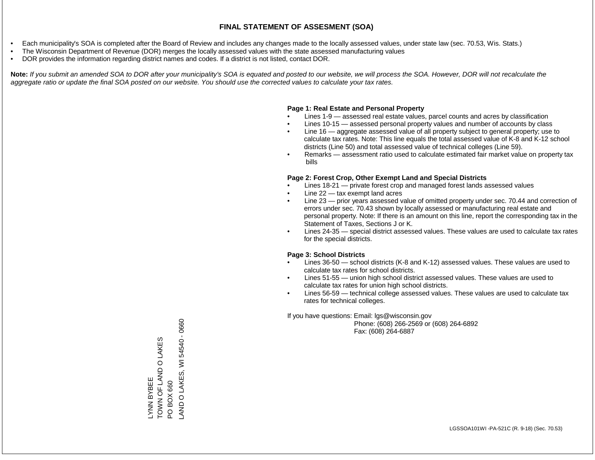- Each municipality's SOA is completed after the Board of Review and includes any changes made to the locally assessed values, under state law (sec. 70.53, Wis. Stats.)
- The Wisconsin Department of Revenue (DOR) merges the locally assessed values with the state assessed manufacturing values
- DOR provides the information regarding district names and codes. If a district is not listed, contact DOR.

Note: If you submit an amended SOA to DOR after your municipality's SOA is equated and posted to our website, we will process the SOA. However, DOR will not recalculate the *aggregate ratio or update the final SOA posted on our website. You should use the corrected values to calculate your tax rates.*

### **Page 1: Real Estate and Personal Property**

- Lines 1-9 assessed real estate values, parcel counts and acres by classification
- Lines 10-15 assessed personal property values and number of accounts by class
- Line 16 aggregate assessed value of all property subject to general property; use to calculate tax rates. Note: This line equals the total assessed value of K-8 and K-12 school districts (Line 50) and total assessed value of technical colleges (Line 59).
- Remarks assessment ratio used to calculate estimated fair market value on property tax bills

### **Page 2: Forest Crop, Other Exempt Land and Special Districts**

- Lines 18-21 private forest crop and managed forest lands assessed values
- Line  $22 -$  tax exempt land acres
- Line 23 prior years assessed value of omitted property under sec. 70.44 and correction of errors under sec. 70.43 shown by locally assessed or manufacturing real estate and personal property. Note: If there is an amount on this line, report the corresponding tax in the Statement of Taxes, Sections J or K.
- Lines 24-35 special district assessed values. These values are used to calculate tax rates for the special districts.

### **Page 3: School Districts**

- Lines 36-50 school districts (K-8 and K-12) assessed values. These values are used to calculate tax rates for school districts.
- Lines 51-55 union high school district assessed values. These values are used to calculate tax rates for union high school districts.
- Lines 56-59 technical college assessed values. These values are used to calculate tax rates for technical colleges.

If you have questions: Email: lgs@wisconsin.gov

 Phone: (608) 266-2569 or (608) 264-6892 Fax: (608) 264-6887

LYNN BYBEE PO BOX 660 TOWN OF LAND O LAKES LAND O LAKES, WI 54540 - 0660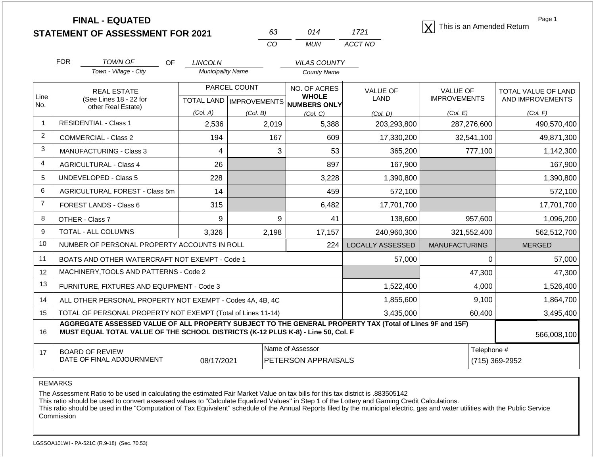| <b>FINAL - EQUATED</b>                  |  | This is an Amended Return |
|-----------------------------------------|--|---------------------------|
| <b>STATEMENT OF ASSESSMENT FOR 2021</b> |  |                           |

| 63 | 014   | 1721    |
|----|-------|---------|
| Γn | MI IN | ACCT NO |

Page 1

|                | <b>FOR</b>                                                                            | <b>TOWN OF</b><br><b>OF</b>                                                                                                                                                                  | <b>LINCOLN</b>           |              | <b>VILAS COUNTY</b>                                 |                         |                      |                     |
|----------------|---------------------------------------------------------------------------------------|----------------------------------------------------------------------------------------------------------------------------------------------------------------------------------------------|--------------------------|--------------|-----------------------------------------------------|-------------------------|----------------------|---------------------|
|                |                                                                                       | Town - Village - City                                                                                                                                                                        | <b>Municipality Name</b> |              | County Name                                         |                         |                      |                     |
|                |                                                                                       | <b>REAL ESTATE</b>                                                                                                                                                                           |                          | PARCEL COUNT | NO. OF ACRES                                        | <b>VALUE OF</b>         | <b>VALUE OF</b>      | TOTAL VALUE OF LAND |
| Line<br>No.    |                                                                                       | (See Lines 18 - 22 for<br>other Real Estate)                                                                                                                                                 |                          |              | <b>WHOLE</b><br>TOTAL LAND MPROVEMENTS NUMBERS ONLY | <b>LAND</b>             | <b>IMPROVEMENTS</b>  | AND IMPROVEMENTS    |
|                |                                                                                       |                                                                                                                                                                                              | (Col. A)                 | (Col. B)     | (Col, C)                                            | (Col. D)                | (Col. E)             | (Col. F)            |
| $\mathbf{1}$   |                                                                                       | <b>RESIDENTIAL - Class 1</b>                                                                                                                                                                 | 2,536                    | 2,019        | 5,388                                               | 203,293,800             | 287,276,600          | 490,570,400         |
| 2              |                                                                                       | <b>COMMERCIAL - Class 2</b>                                                                                                                                                                  | 194                      | 167          | 609                                                 | 17,330,200              | 32,541,100           | 49,871,300          |
| 3              |                                                                                       | <b>MANUFACTURING - Class 3</b>                                                                                                                                                               | 4                        | 3            | 53                                                  | 365,200                 | 777,100              | 1,142,300           |
| 4              |                                                                                       | <b>AGRICULTURAL - Class 4</b>                                                                                                                                                                | 26                       |              | 897                                                 | 167,900                 |                      | 167,900             |
| 5              |                                                                                       | <b>UNDEVELOPED - Class 5</b>                                                                                                                                                                 | 228                      |              | 3,228                                               | 1,390,800               |                      | 1,390,800           |
| 6              |                                                                                       | AGRICULTURAL FOREST - Class 5m                                                                                                                                                               | 14                       |              | 459                                                 | 572,100                 |                      | 572,100             |
| $\overline{7}$ |                                                                                       | FOREST LANDS - Class 6                                                                                                                                                                       | 315                      |              | 6,482                                               | 17,701,700              |                      | 17,701,700          |
| 8              | OTHER - Class 7                                                                       |                                                                                                                                                                                              | 9                        | 9            | 41                                                  | 138,600                 | 957,600              | 1,096,200           |
| 9              |                                                                                       | TOTAL - ALL COLUMNS                                                                                                                                                                          | 3,326                    | 2,198        | 17,157                                              | 240,960,300             | 321,552,400          | 562,512,700         |
| 10             |                                                                                       | NUMBER OF PERSONAL PROPERTY ACCOUNTS IN ROLL                                                                                                                                                 |                          |              | 224                                                 | <b>LOCALLY ASSESSED</b> | <b>MANUFACTURING</b> | <b>MERGED</b>       |
| 11             |                                                                                       | BOATS AND OTHER WATERCRAFT NOT EXEMPT - Code 1                                                                                                                                               |                          |              |                                                     | 57,000                  | $\Omega$             | 57,000              |
| 12             |                                                                                       | MACHINERY, TOOLS AND PATTERNS - Code 2                                                                                                                                                       |                          |              |                                                     |                         | 47,300               | 47,300              |
| 13             |                                                                                       | FURNITURE, FIXTURES AND EQUIPMENT - Code 3                                                                                                                                                   |                          |              |                                                     | 1,522,400               | 4,000                | 1,526,400           |
| 14             |                                                                                       | ALL OTHER PERSONAL PROPERTY NOT EXEMPT - Codes 4A, 4B, 4C                                                                                                                                    |                          |              |                                                     | 1,855,600               | 9,100                | 1,864,700           |
| 15             | TOTAL OF PERSONAL PROPERTY NOT EXEMPT (Total of Lines 11-14)<br>3,435,000             |                                                                                                                                                                                              |                          |              |                                                     |                         | 60,400               | 3,495,400           |
| 16             |                                                                                       | AGGREGATE ASSESSED VALUE OF ALL PROPERTY SUBJECT TO THE GENERAL PROPERTY TAX (Total of Lines 9F and 15F)<br>MUST EQUAL TOTAL VALUE OF THE SCHOOL DISTRICTS (K-12 PLUS K-8) - Line 50, Col. F |                          |              |                                                     |                         |                      | 566,008,100         |
| 17             | Name of Assessor<br><b>BOARD OF REVIEW</b><br>DATE OF FINAL ADJOURNMENT<br>08/17/2021 |                                                                                                                                                                                              |                          |              | PETERSON APPRAISALS                                 |                         | Telephone #          | (715) 369-2952      |

REMARKS

The Assessment Ratio to be used in calculating the estimated Fair Market Value on tax bills for this tax district is .883505142

This ratio should be used to convert assessed values to "Calculate Equalized Values" in Step 1 of the Lottery and Gaming Credit Calculations.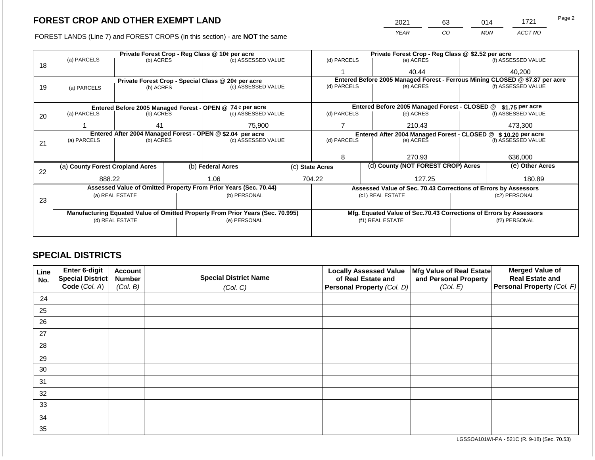2021 63 014 1721

FOREST LANDS (Line 7) and FOREST CROPS (in this section) - are **NOT** the same *YEAR CO MUN ACCT NO*

|    | Private Forest Crop - Reg Class @ 10¢ per acre                                 |                 |                                                                  |                                                                  |  | Private Forest Crop - Reg Class @ \$2.52 per acre     |                          |                                                                              |                    |                    |
|----|--------------------------------------------------------------------------------|-----------------|------------------------------------------------------------------|------------------------------------------------------------------|--|-------------------------------------------------------|--------------------------|------------------------------------------------------------------------------|--------------------|--------------------|
|    | (a) PARCELS                                                                    | (b) ACRES       |                                                                  | (c) ASSESSED VALUE                                               |  | (d) PARCELS                                           |                          | (e) ACRES                                                                    |                    | (f) ASSESSED VALUE |
| 18 |                                                                                |                 |                                                                  |                                                                  |  |                                                       |                          | 40.44                                                                        |                    | 40,200             |
|    |                                                                                |                 |                                                                  | Private Forest Crop - Special Class @ 20¢ per acre               |  |                                                       |                          | Entered Before 2005 Managed Forest - Ferrous Mining CLOSED @ \$7.87 per acre |                    |                    |
| 19 | (a) PARCELS                                                                    | (b) ACRES       |                                                                  | (c) ASSESSED VALUE                                               |  | (d) PARCELS                                           |                          | (e) ACRES                                                                    |                    | (f) ASSESSED VALUE |
|    |                                                                                |                 |                                                                  |                                                                  |  |                                                       |                          |                                                                              |                    |                    |
|    |                                                                                |                 |                                                                  | Entered Before 2005 Managed Forest - OPEN @ 74 ¢ per acre        |  |                                                       |                          | Entered Before 2005 Managed Forest - CLOSED @                                |                    | $$1.75$ per acre   |
| 20 | (a) PARCELS                                                                    | (b) ACRES       |                                                                  | (c) ASSESSED VALUE                                               |  | (d) PARCELS                                           |                          | (e) ACRES                                                                    |                    | (f) ASSESSED VALUE |
|    |                                                                                |                 |                                                                  |                                                                  |  |                                                       |                          |                                                                              |                    |                    |
|    |                                                                                | 41              |                                                                  | 75,900                                                           |  | 210.43                                                |                          |                                                                              |                    | 473,300            |
|    | Entered After 2004 Managed Forest - OPEN @ \$2.04 per acre                     |                 | Entered After 2004 Managed Forest - CLOSED @<br>\$10.20 per acre |                                                                  |  |                                                       |                          |                                                                              |                    |                    |
| 21 | (a) PARCELS                                                                    | (b) ACRES       |                                                                  | (c) ASSESSED VALUE                                               |  |                                                       | (d) PARCELS<br>(e) ACRES |                                                                              | (f) ASSESSED VALUE |                    |
|    |                                                                                |                 |                                                                  |                                                                  |  |                                                       |                          |                                                                              |                    |                    |
|    |                                                                                |                 |                                                                  |                                                                  |  | 8                                                     |                          | 270.93                                                                       |                    | 636,000            |
|    | (a) County Forest Cropland Acres                                               |                 |                                                                  | (b) Federal Acres                                                |  | (d) County (NOT FOREST CROP) Acres<br>(c) State Acres |                          | (e) Other Acres                                                              |                    |                    |
| 22 |                                                                                |                 |                                                                  |                                                                  |  |                                                       |                          |                                                                              |                    |                    |
|    | 888.22                                                                         |                 |                                                                  | 1.06                                                             |  | 704.22                                                |                          | 127.25                                                                       |                    | 180.89             |
|    |                                                                                |                 |                                                                  | Assessed Value of Omitted Property From Prior Years (Sec. 70.44) |  |                                                       |                          | Assessed Value of Sec. 70.43 Corrections of Errors by Assessors              |                    |                    |
| 23 |                                                                                | (a) REAL ESTATE |                                                                  | (b) PERSONAL                                                     |  |                                                       |                          | (c1) REAL ESTATE                                                             |                    | (c2) PERSONAL      |
|    |                                                                                |                 |                                                                  |                                                                  |  |                                                       |                          |                                                                              |                    |                    |
|    | Manufacturing Equated Value of Omitted Property From Prior Years (Sec. 70.995) |                 |                                                                  |                                                                  |  |                                                       |                          | Mfg. Equated Value of Sec.70.43 Corrections of Errors by Assessors           |                    |                    |
|    | (d) REAL ESTATE                                                                |                 |                                                                  | (e) PERSONAL                                                     |  |                                                       |                          | (f1) REAL ESTATE                                                             | (f2) PERSONAL      |                    |
|    |                                                                                |                 |                                                                  |                                                                  |  |                                                       |                          |                                                                              |                    |                    |
|    |                                                                                |                 |                                                                  |                                                                  |  |                                                       |                          |                                                                              |                    |                    |

### **SPECIAL DISTRICTS**

| Line<br>No. | Enter 6-digit<br>Special District<br>Code (Col. A) | <b>Account</b><br><b>Number</b><br>(Col. B) | <b>Special District Name</b><br>(Col. C) | <b>Locally Assessed Value</b><br>of Real Estate and<br>Personal Property (Col. D) | Mfg Value of Real Estate<br>and Personal Property<br>(Col. E) | <b>Merged Value of</b><br><b>Real Estate and</b><br>Personal Property (Col. F) |
|-------------|----------------------------------------------------|---------------------------------------------|------------------------------------------|-----------------------------------------------------------------------------------|---------------------------------------------------------------|--------------------------------------------------------------------------------|
| 24          |                                                    |                                             |                                          |                                                                                   |                                                               |                                                                                |
| 25          |                                                    |                                             |                                          |                                                                                   |                                                               |                                                                                |
| 26          |                                                    |                                             |                                          |                                                                                   |                                                               |                                                                                |
| 27          |                                                    |                                             |                                          |                                                                                   |                                                               |                                                                                |
| 28          |                                                    |                                             |                                          |                                                                                   |                                                               |                                                                                |
| 29          |                                                    |                                             |                                          |                                                                                   |                                                               |                                                                                |
| 30          |                                                    |                                             |                                          |                                                                                   |                                                               |                                                                                |
| 31          |                                                    |                                             |                                          |                                                                                   |                                                               |                                                                                |
| 32          |                                                    |                                             |                                          |                                                                                   |                                                               |                                                                                |
| 33          |                                                    |                                             |                                          |                                                                                   |                                                               |                                                                                |
| 34          |                                                    |                                             |                                          |                                                                                   |                                                               |                                                                                |
| 35          |                                                    |                                             |                                          |                                                                                   |                                                               |                                                                                |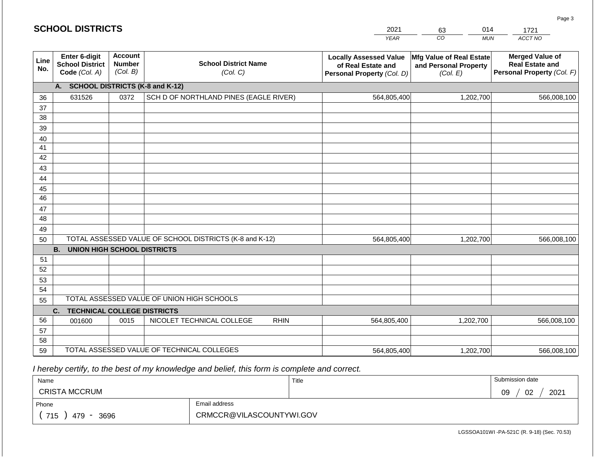| <b>SCHOOL DISTRICTS</b> |  |
|-------------------------|--|
|-------------------------|--|

| 2021        | 63 | )14 |         |
|-------------|----|-----|---------|
| <b>YFAR</b> | 30 | MUN | ACCT NO |

| Line<br>No. | Enter 6-digit<br><b>School District</b><br>Code (Col. A) | <b>Account</b><br><b>Number</b><br>(Col. B) | <b>School District Name</b><br>(Col. C)                 | <b>Locally Assessed Value</b><br>of Real Estate and<br>Personal Property (Col. D) | Mfg Value of Real Estate<br>and Personal Property<br>(Col. E) | <b>Merged Value of</b><br><b>Real Estate and</b><br>Personal Property (Col. F) |
|-------------|----------------------------------------------------------|---------------------------------------------|---------------------------------------------------------|-----------------------------------------------------------------------------------|---------------------------------------------------------------|--------------------------------------------------------------------------------|
|             | <b>SCHOOL DISTRICTS (K-8 and K-12)</b><br>А.             |                                             |                                                         |                                                                                   |                                                               |                                                                                |
| 36          | 631526                                                   | 0372                                        | SCH D OF NORTHLAND PINES (EAGLE RIVER)                  | 564,805,400                                                                       | 1,202,700                                                     | 566,008,100                                                                    |
| 37          |                                                          |                                             |                                                         |                                                                                   |                                                               |                                                                                |
| 38          |                                                          |                                             |                                                         |                                                                                   |                                                               |                                                                                |
| 39          |                                                          |                                             |                                                         |                                                                                   |                                                               |                                                                                |
| 40          |                                                          |                                             |                                                         |                                                                                   |                                                               |                                                                                |
| 41          |                                                          |                                             |                                                         |                                                                                   |                                                               |                                                                                |
| 42          |                                                          |                                             |                                                         |                                                                                   |                                                               |                                                                                |
| 43          |                                                          |                                             |                                                         |                                                                                   |                                                               |                                                                                |
| 44          |                                                          |                                             |                                                         |                                                                                   |                                                               |                                                                                |
| 45          |                                                          |                                             |                                                         |                                                                                   |                                                               |                                                                                |
| 46          |                                                          |                                             |                                                         |                                                                                   |                                                               |                                                                                |
| 47          |                                                          |                                             |                                                         |                                                                                   |                                                               |                                                                                |
| 48          |                                                          |                                             |                                                         |                                                                                   |                                                               |                                                                                |
| 49          |                                                          |                                             |                                                         |                                                                                   |                                                               |                                                                                |
| 50          |                                                          |                                             | TOTAL ASSESSED VALUE OF SCHOOL DISTRICTS (K-8 and K-12) | 564,805,400                                                                       | 1,202,700                                                     | 566,008,100                                                                    |
|             | <b>B.</b><br><b>UNION HIGH SCHOOL DISTRICTS</b>          |                                             |                                                         |                                                                                   |                                                               |                                                                                |
| 51          |                                                          |                                             |                                                         |                                                                                   |                                                               |                                                                                |
| 52          |                                                          |                                             |                                                         |                                                                                   |                                                               |                                                                                |
| 53          |                                                          |                                             |                                                         |                                                                                   |                                                               |                                                                                |
| 54          |                                                          |                                             |                                                         |                                                                                   |                                                               |                                                                                |
| 55          |                                                          |                                             | TOTAL ASSESSED VALUE OF UNION HIGH SCHOOLS              |                                                                                   |                                                               |                                                                                |
|             | C.<br><b>TECHNICAL COLLEGE DISTRICTS</b>                 |                                             |                                                         |                                                                                   |                                                               |                                                                                |
| 56          | 001600                                                   | 0015                                        | NICOLET TECHNICAL COLLEGE<br><b>RHIN</b>                | 564,805,400                                                                       | 1,202,700                                                     | 566,008,100                                                                    |
| 57          |                                                          |                                             |                                                         |                                                                                   |                                                               |                                                                                |
| 58          |                                                          |                                             |                                                         |                                                                                   |                                                               |                                                                                |
| 59          |                                                          |                                             | TOTAL ASSESSED VALUE OF TECHNICAL COLLEGES              | 564,805,400                                                                       | 1,202,700                                                     | 566,008,100                                                                    |

 *I hereby certify, to the best of my knowledge and belief, this form is complete and correct.*

| Name                 |                          | Title | Submission date  |  |  |
|----------------------|--------------------------|-------|------------------|--|--|
| <b>CRISTA MCCRUM</b> |                          |       | 09<br>02<br>2021 |  |  |
| Phone                | Email address            |       |                  |  |  |
| 715<br>479<br>3696   | CRMCCR@VILASCOUNTYWI.GOV |       |                  |  |  |

Page 3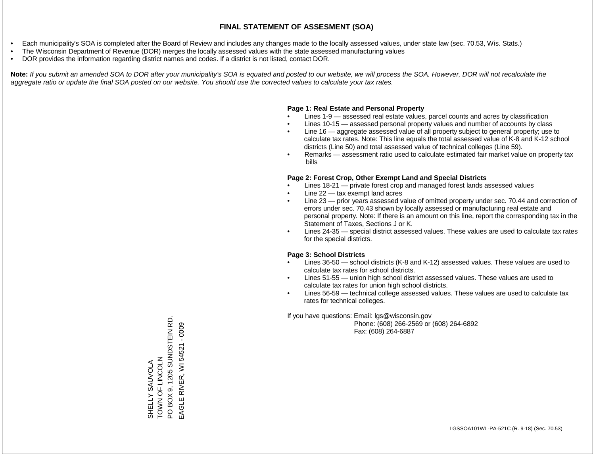- Each municipality's SOA is completed after the Board of Review and includes any changes made to the locally assessed values, under state law (sec. 70.53, Wis. Stats.)
- The Wisconsin Department of Revenue (DOR) merges the locally assessed values with the state assessed manufacturing values
- DOR provides the information regarding district names and codes. If a district is not listed, contact DOR.

Note: If you submit an amended SOA to DOR after your municipality's SOA is equated and posted to our website, we will process the SOA. However, DOR will not recalculate the *aggregate ratio or update the final SOA posted on our website. You should use the corrected values to calculate your tax rates.*

#### **Page 1: Real Estate and Personal Property**

- Lines 1-9 assessed real estate values, parcel counts and acres by classification
- Lines 10-15 assessed personal property values and number of accounts by class
- Line 16 aggregate assessed value of all property subject to general property; use to calculate tax rates. Note: This line equals the total assessed value of K-8 and K-12 school districts (Line 50) and total assessed value of technical colleges (Line 59).
- Remarks assessment ratio used to calculate estimated fair market value on property tax bills

#### **Page 2: Forest Crop, Other Exempt Land and Special Districts**

- Lines 18-21 private forest crop and managed forest lands assessed values
- Line  $22 -$  tax exempt land acres
- Line 23 prior years assessed value of omitted property under sec. 70.44 and correction of errors under sec. 70.43 shown by locally assessed or manufacturing real estate and personal property. Note: If there is an amount on this line, report the corresponding tax in the Statement of Taxes, Sections J or K.
- Lines 24-35 special district assessed values. These values are used to calculate tax rates for the special districts.

#### **Page 3: School Districts**

- Lines 36-50 school districts (K-8 and K-12) assessed values. These values are used to calculate tax rates for school districts.
- Lines 51-55 union high school district assessed values. These values are used to calculate tax rates for union high school districts.
- Lines 56-59 technical college assessed values. These values are used to calculate tax rates for technical colleges.

If you have questions: Email: lgs@wisconsin.gov

 Phone: (608) 266-2569 or (608) 264-6892 Fax: (608) 264-6887

SHELLY SAUVOLA<br>TOWN OF LINCOLN<br>PO BOX 9, 1205 SUNDSTEIN RD. PO BOX 9, 1205 SUNDSTEIN RD. EAGLE RIVER, WI 54521 - 0009 EAGLE RIVER, WI 54521 - 0009ZJOUN LIND NNOL SHELLY SAUVOLA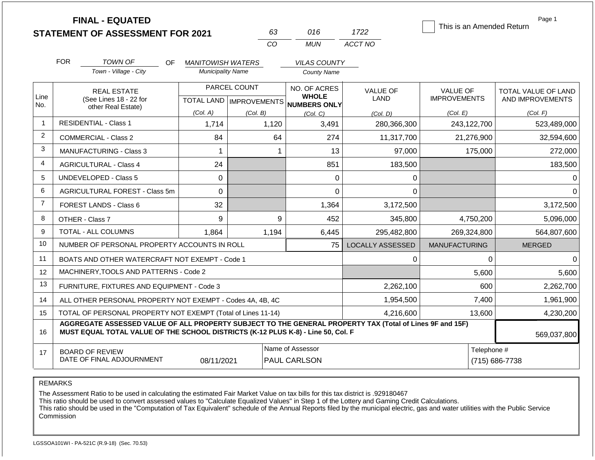|                |            | <b>FINAL - EQUATED</b><br><b>STATEMENT OF ASSESSMENT FOR 2021</b>                                                                                                                            |                          | 63       | 016                                 | 1722                    | This is an Amended Return | Page 1              |
|----------------|------------|----------------------------------------------------------------------------------------------------------------------------------------------------------------------------------------------|--------------------------|----------|-------------------------------------|-------------------------|---------------------------|---------------------|
|                |            |                                                                                                                                                                                              |                          | CO       | <b>MUN</b>                          | ACCT NO                 |                           |                     |
|                | <b>FOR</b> | <b>TOWN OF</b><br>OF.                                                                                                                                                                        | <b>MANITOWISH WATERS</b> |          | <b>VILAS COUNTY</b>                 |                         |                           |                     |
|                |            | Town - Village - City                                                                                                                                                                        | <b>Municipality Name</b> |          | <b>County Name</b>                  |                         |                           |                     |
| Line           |            | <b>REAL ESTATE</b>                                                                                                                                                                           | PARCEL COUNT             |          | NO. OF ACRES<br><b>WHOLE</b>        | <b>VALUE OF</b>         | <b>VALUE OF</b>           | TOTAL VALUE OF LAND |
| No.            |            | (See Lines 18 - 22 for<br>other Real Estate)                                                                                                                                                 |                          |          | TOTAL LAND MPROVEMENTS NUMBERS ONLY | LAND                    | <b>IMPROVEMENTS</b>       | AND IMPROVEMENTS    |
|                |            |                                                                                                                                                                                              | (Col. A)                 | (Col. B) | (Col, C)                            | (Col. D)                | (Col. E)                  | (Col. F)            |
| $\overline{1}$ |            | <b>RESIDENTIAL - Class 1</b>                                                                                                                                                                 | 1,714                    | 1,120    | 3,491                               | 280,366,300             | 243,122,700               | 523,489,000         |
| 2              |            | <b>COMMERCIAL - Class 2</b>                                                                                                                                                                  | 84                       | 64       | 274                                 | 11,317,700              | 21,276,900                | 32,594,600          |
| 3              |            | <b>MANUFACTURING - Class 3</b>                                                                                                                                                               | $\mathbf 1$              |          | 13<br>1                             | 97,000                  | 175,000                   | 272,000             |
| $\overline{4}$ |            | <b>AGRICULTURAL - Class 4</b>                                                                                                                                                                | 24                       |          | 851                                 | 183,500                 |                           | 183,500             |
| 5              |            | <b>UNDEVELOPED - Class 5</b>                                                                                                                                                                 | 0                        |          | 0                                   | 0                       |                           | $\Omega$            |
| 6              |            | AGRICULTURAL FOREST - Class 5m                                                                                                                                                               | 0                        |          | $\Omega$                            | $\Omega$                |                           | $\Omega$            |
| $\overline{7}$ |            | FOREST LANDS - Class 6                                                                                                                                                                       | 32                       |          | 1,364                               | 3,172,500               |                           | 3,172,500           |
| 8              |            | OTHER - Class 7                                                                                                                                                                              | 9                        |          | 9<br>452                            | 345,800                 | 4,750,200                 | 5,096,000           |
| 9              |            | <b>TOTAL - ALL COLUMNS</b>                                                                                                                                                                   | 1,864                    | 1,194    | 6,445                               | 295,482,800             | 269,324,800               | 564,807,600         |
| 10             |            | NUMBER OF PERSONAL PROPERTY ACCOUNTS IN ROLL                                                                                                                                                 |                          |          | 75                                  | <b>LOCALLY ASSESSED</b> | <b>MANUFACTURING</b>      | <b>MERGED</b>       |
| 11             |            | BOATS AND OTHER WATERCRAFT NOT EXEMPT - Code 1                                                                                                                                               |                          |          |                                     | 0                       | $\mathbf{0}$              | $\Omega$            |
| 12             |            | MACHINERY, TOOLS AND PATTERNS - Code 2                                                                                                                                                       |                          |          |                                     |                         | 5,600                     | 5,600               |
| 13             |            | FURNITURE, FIXTURES AND EQUIPMENT - Code 3                                                                                                                                                   |                          |          |                                     | 2,262,100               | 600                       | 2,262,700           |
| 14             |            | ALL OTHER PERSONAL PROPERTY NOT EXEMPT - Codes 4A, 4B, 4C                                                                                                                                    |                          |          |                                     | 1,954,500               | 7,400                     | 1,961,900           |
| 15             |            | TOTAL OF PERSONAL PROPERTY NOT EXEMPT (Total of Lines 11-14)                                                                                                                                 |                          |          |                                     | 4,216,600               | 13,600                    | 4,230,200           |
| 16             |            | AGGREGATE ASSESSED VALUE OF ALL PROPERTY SUBJECT TO THE GENERAL PROPERTY TAX (Total of Lines 9F and 15F)<br>MUST EQUAL TOTAL VALUE OF THE SCHOOL DISTRICTS (K-12 PLUS K-8) - Line 50, Col. F |                          |          |                                     |                         |                           | 569,037,800         |
| 17             |            | <b>BOARD OF REVIEW</b>                                                                                                                                                                       |                          |          | Name of Assessor                    |                         | Telephone #               |                     |
|                |            | DATE OF FINAL ADJOURNMENT                                                                                                                                                                    | 08/11/2021               |          | PAUL CARLSON                        |                         |                           | (715) 686-7738      |

The Assessment Ratio to be used in calculating the estimated Fair Market Value on tax bills for this tax district is .929180467

This ratio should be used to convert assessed values to "Calculate Equalized Values" in Step 1 of the Lottery and Gaming Credit Calculations.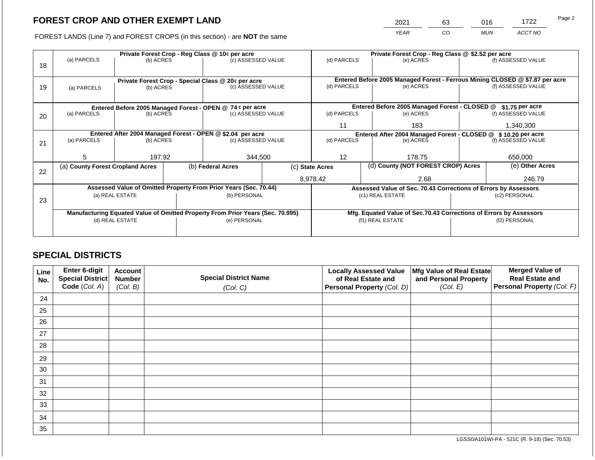2021 63 016 1722

FOREST LANDS (Line 7) and FOREST CROPS (in this section) - are **NOT** the same *YEAR CO MUN ACCT NO*

|    |                                                            |                 | Private Forest Crop - Reg Class @ 10¢ per acre |                                                                                | Private Forest Crop - Reg Class @ \$2.52 per acre             |                                                                              |  |                                                                    |                    |                    |
|----|------------------------------------------------------------|-----------------|------------------------------------------------|--------------------------------------------------------------------------------|---------------------------------------------------------------|------------------------------------------------------------------------------|--|--------------------------------------------------------------------|--------------------|--------------------|
|    | (a) PARCELS                                                | (b) ACRES       |                                                | (c) ASSESSED VALUE                                                             |                                                               | (d) PARCELS                                                                  |  | (e) ACRES                                                          |                    | (f) ASSESSED VALUE |
| 18 |                                                            |                 |                                                |                                                                                |                                                               |                                                                              |  |                                                                    |                    |                    |
|    |                                                            |                 |                                                |                                                                                |                                                               |                                                                              |  |                                                                    |                    |                    |
|    |                                                            |                 |                                                | Private Forest Crop - Special Class @ 20¢ per acre                             |                                                               | Entered Before 2005 Managed Forest - Ferrous Mining CLOSED @ \$7.87 per acre |  |                                                                    | (f) ASSESSED VALUE |                    |
| 19 | (a) PARCELS                                                | (b) ACRES       |                                                | (c) ASSESSED VALUE                                                             |                                                               | (d) PARCELS                                                                  |  | (e) ACRES                                                          |                    |                    |
|    |                                                            |                 |                                                |                                                                                |                                                               |                                                                              |  |                                                                    |                    |                    |
|    |                                                            |                 |                                                | Entered Before 2005 Managed Forest - OPEN @ 74 ¢ per acre                      |                                                               |                                                                              |  | Entered Before 2005 Managed Forest - CLOSED @                      |                    | $$1.75$ per acre   |
| 20 | (a) PARCELS<br>(b) ACRES                                   |                 |                                                | (c) ASSESSED VALUE                                                             |                                                               | (d) PARCELS                                                                  |  | (e) ACRES                                                          |                    | (f) ASSESSED VALUE |
|    |                                                            |                 |                                                |                                                                                |                                                               |                                                                              |  |                                                                    |                    |                    |
|    |                                                            |                 |                                                |                                                                                |                                                               | 11<br>183                                                                    |  |                                                                    | 1,340,300          |                    |
|    | Entered After 2004 Managed Forest - OPEN @ \$2.04 per acre |                 |                                                |                                                                                | Entered After 2004 Managed Forest - CLOSED @ \$10.20 per acre |                                                                              |  |                                                                    |                    |                    |
| 21 | (a) PARCELS                                                | (b) ACRES       |                                                | (c) ASSESSED VALUE                                                             |                                                               | (d) PARCELS                                                                  |  | (e) ACRES                                                          |                    | (f) ASSESSED VALUE |
|    |                                                            |                 |                                                |                                                                                |                                                               |                                                                              |  |                                                                    |                    |                    |
|    | 5                                                          | 197.92          |                                                | 344,500                                                                        |                                                               | 12                                                                           |  | 178.75                                                             |                    | 650,000            |
|    | (a) County Forest Cropland Acres                           |                 |                                                | (b) Federal Acres                                                              |                                                               | (c) State Acres                                                              |  | (d) County (NOT FOREST CROP) Acres                                 |                    | (e) Other Acres    |
| 22 |                                                            |                 |                                                |                                                                                |                                                               |                                                                              |  |                                                                    |                    |                    |
|    |                                                            |                 |                                                |                                                                                |                                                               | 8,978.42                                                                     |  | 2.68                                                               |                    | 246.79             |
|    |                                                            |                 |                                                | Assessed Value of Omitted Property From Prior Years (Sec. 70.44)               |                                                               |                                                                              |  | Assessed Value of Sec. 70.43 Corrections of Errors by Assessors    |                    |                    |
|    |                                                            | (a) REAL ESTATE |                                                | (b) PERSONAL                                                                   |                                                               |                                                                              |  | (c1) REAL ESTATE                                                   | (c2) PERSONAL      |                    |
| 23 |                                                            |                 |                                                |                                                                                |                                                               |                                                                              |  |                                                                    |                    |                    |
|    |                                                            |                 |                                                | Manufacturing Equated Value of Omitted Property From Prior Years (Sec. 70.995) |                                                               |                                                                              |  | Mfg. Equated Value of Sec.70.43 Corrections of Errors by Assessors |                    |                    |
|    |                                                            | (d) REAL ESTATE |                                                | (e) PERSONAL                                                                   |                                                               |                                                                              |  | (f1) REAL ESTATE                                                   | (f2) PERSONAL      |                    |
|    |                                                            |                 |                                                |                                                                                |                                                               |                                                                              |  |                                                                    |                    |                    |
|    |                                                            |                 |                                                |                                                                                |                                                               |                                                                              |  |                                                                    |                    |                    |

### **SPECIAL DISTRICTS**

| Line<br>No. | Enter 6-digit<br>Special District<br>Code (Col. A) | <b>Account</b><br><b>Number</b><br>(Col. B) | <b>Special District Name</b><br>(Col. C) | <b>Locally Assessed Value</b><br>of Real Estate and<br><b>Personal Property (Col. D)</b> | Mfg Value of Real Estate<br>and Personal Property<br>(Col. E) | <b>Merged Value of</b><br><b>Real Estate and</b><br>Personal Property (Col. F) |
|-------------|----------------------------------------------------|---------------------------------------------|------------------------------------------|------------------------------------------------------------------------------------------|---------------------------------------------------------------|--------------------------------------------------------------------------------|
| 24          |                                                    |                                             |                                          |                                                                                          |                                                               |                                                                                |
| 25          |                                                    |                                             |                                          |                                                                                          |                                                               |                                                                                |
| 26          |                                                    |                                             |                                          |                                                                                          |                                                               |                                                                                |
| 27          |                                                    |                                             |                                          |                                                                                          |                                                               |                                                                                |
| 28          |                                                    |                                             |                                          |                                                                                          |                                                               |                                                                                |
| 29          |                                                    |                                             |                                          |                                                                                          |                                                               |                                                                                |
| 30          |                                                    |                                             |                                          |                                                                                          |                                                               |                                                                                |
| 31          |                                                    |                                             |                                          |                                                                                          |                                                               |                                                                                |
| 32          |                                                    |                                             |                                          |                                                                                          |                                                               |                                                                                |
| 33          |                                                    |                                             |                                          |                                                                                          |                                                               |                                                                                |
| 34          |                                                    |                                             |                                          |                                                                                          |                                                               |                                                                                |
| 35          |                                                    |                                             |                                          |                                                                                          |                                                               |                                                                                |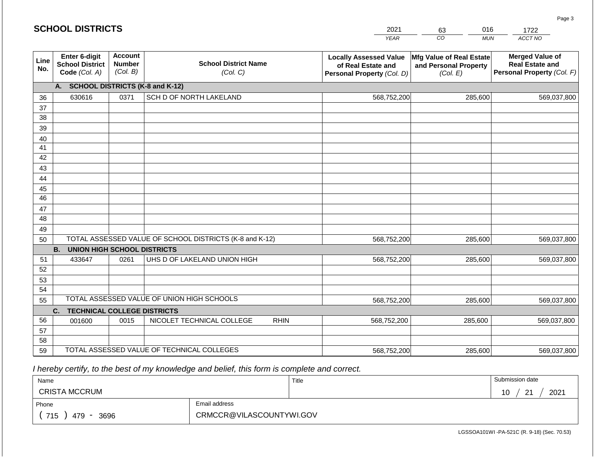#### *YEAR*  2021 *CO MUN*  016 *ACCT NO*  1722 **Line No. Enter 6-digit School District Code** *(Col. A)* **Account Number** *(Col. B)* **School District Name** *(Col. C)* **Locally Assessed Value of Real Estate and Personal Property** *(Col. D)* **Mfg Value of Real Estate and Personal Property** *(Col. E)* **Merged Value of Real Estate and Personal Property** *(Col. F)* **A. SCHOOL DISTRICTS (K-8 and K-12)** 36 37 38 39 40 41 42 43 44 45 46 47 48 49 50 TOTAL ASSESSED VALUE OF SCHOOL DISTRICTS (K-8 and K-12) **B. UNION HIGH SCHOOL DISTRICTS** 51 52 53 54 55 **C. TECHNICAL COLLEGE DISTRICTS** 56 57 58 59 TOTAL ASSESSED VALUE OF TECHNICAL COLLEGES TOTAL ASSESSED VALUE OF UNION HIGH SCHOOLS 630616 0371 SCH D OF NORTH LAKELAND 568,752,200 568,752,200 433647 0261 UHS D OF LAKELAND UNION HIGH 568,752,200 001600 | 0015 | NICOLET TECHNICAL COLLEGE RHIN 568,752,200 568,752,200 285,600 569,037,800 285,600 569,037,800 285,600 569,037,800 285,600 569,037,800 285,600 569,037,800 568,752,200 285,600 569,037,800

 *I hereby certify, to the best of my knowledge and belief, this form is complete and correct.*

| Name                 |                          | Title | Submission date                          |
|----------------------|--------------------------|-------|------------------------------------------|
| <b>CRISTA MCCRUM</b> |                          |       | 2021<br>$\Omega$<br>10<br>טו<br><u>_</u> |
| Phone                | Email address            |       |                                          |
| 715<br>3696<br>479   | CRMCCR@VILASCOUNTYWI.GOV |       |                                          |

LGSSOA101WI -PA-521C (R. 9-18) (Sec. 70.53)

Page 3

| <b>SCHOOL DISTRICTS</b> |  |  |  |  |  |  |  |  |
|-------------------------|--|--|--|--|--|--|--|--|
|-------------------------|--|--|--|--|--|--|--|--|

| 63     |  |
|--------|--|
| $\cap$ |  |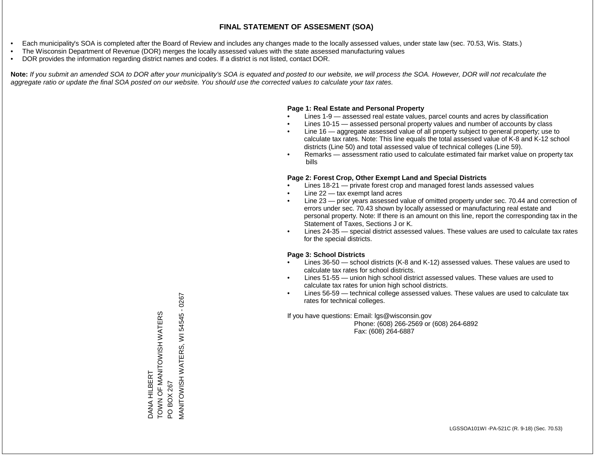- Each municipality's SOA is completed after the Board of Review and includes any changes made to the locally assessed values, under state law (sec. 70.53, Wis. Stats.)
- The Wisconsin Department of Revenue (DOR) merges the locally assessed values with the state assessed manufacturing values
- DOR provides the information regarding district names and codes. If a district is not listed, contact DOR.

Note: If you submit an amended SOA to DOR after your municipality's SOA is equated and posted to our website, we will process the SOA. However, DOR will not recalculate the *aggregate ratio or update the final SOA posted on our website. You should use the corrected values to calculate your tax rates.*

### **Page 1: Real Estate and Personal Property**

- Lines 1-9 assessed real estate values, parcel counts and acres by classification
- Lines 10-15 assessed personal property values and number of accounts by class
- Line 16 aggregate assessed value of all property subject to general property; use to calculate tax rates. Note: This line equals the total assessed value of K-8 and K-12 school districts (Line 50) and total assessed value of technical colleges (Line 59).
- Remarks assessment ratio used to calculate estimated fair market value on property tax bills

### **Page 2: Forest Crop, Other Exempt Land and Special Districts**

- Lines 18-21 private forest crop and managed forest lands assessed values
- Line  $22 -$  tax exempt land acres
- Line 23 prior years assessed value of omitted property under sec. 70.44 and correction of errors under sec. 70.43 shown by locally assessed or manufacturing real estate and personal property. Note: If there is an amount on this line, report the corresponding tax in the Statement of Taxes, Sections J or K.
- Lines 24-35 special district assessed values. These values are used to calculate tax rates for the special districts.

### **Page 3: School Districts**

- Lines 36-50 school districts (K-8 and K-12) assessed values. These values are used to calculate tax rates for school districts.
- Lines 51-55 union high school district assessed values. These values are used to calculate tax rates for union high school districts.
- Lines 56-59 technical college assessed values. These values are used to calculate tax rates for technical colleges.

If you have questions: Email: lgs@wisconsin.gov

 Phone: (608) 266-2569 or (608) 264-6892 Fax: (608) 264-6887

PO BOX 267<br>MANITOWISH WATERS, WI 54545 - 0267 MANITOWISH WATERS, WI 54545 - 0267TOWN OF MANITOWISH WATERS TOWN OF MANITOWISH WATERS **DANA HILBERT** DANA HILBERT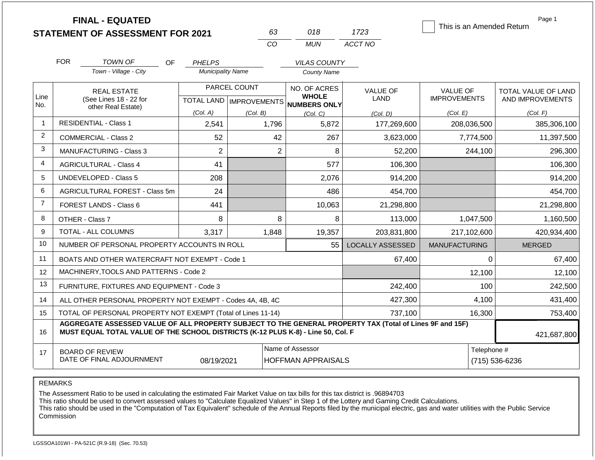|                |                                                                                  | <b>FINAL - EQUATED</b><br><b>STATEMENT OF ASSESSMENT FOR 2021</b>                                                                                   |                          | 63           | 018                                                 | 1723                    | This is an Amended Return | Page 1              |  |
|----------------|----------------------------------------------------------------------------------|-----------------------------------------------------------------------------------------------------------------------------------------------------|--------------------------|--------------|-----------------------------------------------------|-------------------------|---------------------------|---------------------|--|
|                |                                                                                  |                                                                                                                                                     |                          | CO           | <b>MUN</b>                                          | ACCT NO                 |                           |                     |  |
|                | <b>FOR</b>                                                                       | TOWN OF<br>OF.                                                                                                                                      | <b>PHELPS</b>            |              | <b>VILAS COUNTY</b>                                 |                         |                           |                     |  |
|                |                                                                                  | Town - Village - City                                                                                                                               | <b>Municipality Name</b> |              | <b>County Name</b>                                  |                         |                           |                     |  |
|                |                                                                                  | <b>REAL ESTATE</b>                                                                                                                                  |                          | PARCEL COUNT | NO. OF ACRES                                        | <b>VALUE OF</b>         | <b>VALUE OF</b>           | TOTAL VALUE OF LAND |  |
| Line<br>No.    | (See Lines 18 - 22 for                                                           |                                                                                                                                                     |                          |              | <b>WHOLE</b><br>TOTAL LAND MPROVEMENTS NUMBERS ONLY | LAND                    | <b>IMPROVEMENTS</b>       | AND IMPROVEMENTS    |  |
|                | other Real Estate)                                                               |                                                                                                                                                     | (Col. A)                 | (Col. B)     | (Col, C)                                            | (Col, D)                | (Col. E)                  | (Col. F)            |  |
| $\mathbf{1}$   |                                                                                  | <b>RESIDENTIAL - Class 1</b>                                                                                                                        | 2,541                    | 1,796        | 5,872                                               | 177,269,600             | 208,036,500               | 385,306,100         |  |
| $\overline{2}$ |                                                                                  | <b>COMMERCIAL - Class 2</b>                                                                                                                         | 52                       | 42           | 267                                                 | 3,623,000               | 7,774,500                 | 11,397,500          |  |
| 3              |                                                                                  | <b>MANUFACTURING - Class 3</b>                                                                                                                      | $\overline{2}$           |              | $\overline{2}$<br>8                                 | 52,200                  | 244,100                   | 296,300             |  |
| $\overline{4}$ |                                                                                  | <b>AGRICULTURAL - Class 4</b>                                                                                                                       | 41                       |              | 577                                                 | 106,300                 |                           | 106,300             |  |
| 5              |                                                                                  | UNDEVELOPED - Class 5                                                                                                                               | 208                      |              | 2,076                                               | 914,200                 |                           | 914,200             |  |
| 6              |                                                                                  | <b>AGRICULTURAL FOREST - Class 5m</b>                                                                                                               | 24                       |              | 486                                                 | 454,700                 |                           | 454,700             |  |
| $\overline{7}$ |                                                                                  | <b>FOREST LANDS - Class 6</b>                                                                                                                       | 441                      |              | 10,063                                              | 21,298,800              |                           | 21,298,800          |  |
| 8              |                                                                                  | OTHER - Class 7                                                                                                                                     | 8                        | 8            | 8                                                   | 113,000                 | 1,047,500                 | 1,160,500           |  |
| 9              |                                                                                  | <b>TOTAL - ALL COLUMNS</b>                                                                                                                          | 3,317                    | 1,848        | 19,357                                              | 203,831,800             | 217,102,600               | 420,934,400         |  |
| 10             |                                                                                  | NUMBER OF PERSONAL PROPERTY ACCOUNTS IN ROLL                                                                                                        |                          |              | 55                                                  | <b>LOCALLY ASSESSED</b> | <b>MANUFACTURING</b>      | <b>MERGED</b>       |  |
| 11             |                                                                                  | BOATS AND OTHER WATERCRAFT NOT EXEMPT - Code 1                                                                                                      |                          |              |                                                     | 67,400                  | 0                         | 67,400              |  |
| 12             |                                                                                  | MACHINERY, TOOLS AND PATTERNS - Code 2                                                                                                              |                          |              |                                                     |                         | 12,100                    | 12,100              |  |
| 13             |                                                                                  | FURNITURE, FIXTURES AND EQUIPMENT - Code 3                                                                                                          |                          |              |                                                     | 242,400                 | 100                       | 242,500             |  |
| 14             |                                                                                  | ALL OTHER PERSONAL PROPERTY NOT EXEMPT - Codes 4A, 4B, 4C                                                                                           |                          |              |                                                     | 427,300                 | 4,100                     | 431,400             |  |
| 15             |                                                                                  | TOTAL OF PERSONAL PROPERTY NOT EXEMPT (Total of Lines 11-14)                                                                                        |                          |              |                                                     | 737,100                 | 16,300                    | 753,400             |  |
| 16             | MUST EQUAL TOTAL VALUE OF THE SCHOOL DISTRICTS (K-12 PLUS K-8) - Line 50, Col. F | AGGREGATE ASSESSED VALUE OF ALL PROPERTY SUBJECT TO THE GENERAL PROPERTY TAX (Total of Lines 9F and 15F)                                            | 421,687,800              |              |                                                     |                         |                           |                     |  |
| 17             |                                                                                  | Name of Assessor<br>Telephone #<br><b>BOARD OF REVIEW</b><br>DATE OF FINAL ADJOURNMENT<br>08/19/2021<br><b>HOFFMAN APPRAISALS</b><br>(715) 536-6236 |                          |              |                                                     |                         |                           |                     |  |

The Assessment Ratio to be used in calculating the estimated Fair Market Value on tax bills for this tax district is .96894703

This ratio should be used to convert assessed values to "Calculate Equalized Values" in Step 1 of the Lottery and Gaming Credit Calculations.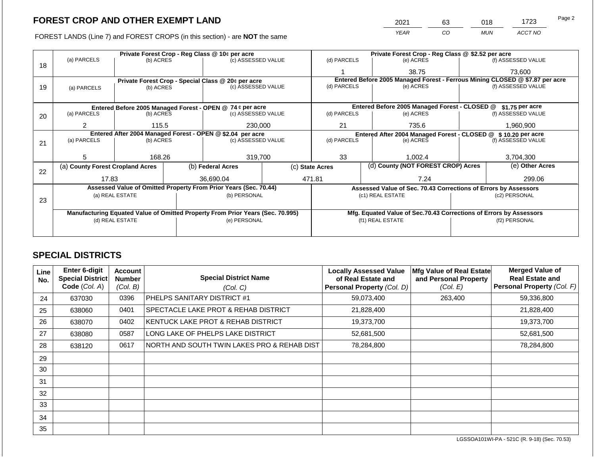2021 63 018 1723

FOREST LANDS (Line 7) and FOREST CROPS (in this section) - are **NOT** the same *YEAR CO MUN ACCT NO*

|    |                                  |                                                            |  | Private Forest Crop - Reg Class @ 10¢ per acre                                 | Private Forest Crop - Reg Class @ \$2.52 per acre                            |                  |  |                                                                    |                                        |                    |
|----|----------------------------------|------------------------------------------------------------|--|--------------------------------------------------------------------------------|------------------------------------------------------------------------------|------------------|--|--------------------------------------------------------------------|----------------------------------------|--------------------|
| 18 | (a) PARCELS                      | (b) ACRES                                                  |  | (c) ASSESSED VALUE                                                             |                                                                              | (d) PARCELS      |  | (e) ACRES                                                          |                                        | (f) ASSESSED VALUE |
|    |                                  |                                                            |  |                                                                                |                                                                              |                  |  | 38.75                                                              |                                        | 73,600             |
|    |                                  |                                                            |  | Private Forest Crop - Special Class @ 20¢ per acre                             | Entered Before 2005 Managed Forest - Ferrous Mining CLOSED @ \$7.87 per acre |                  |  |                                                                    |                                        |                    |
| 19 | (a) PARCELS                      | (b) ACRES                                                  |  | (c) ASSESSED VALUE                                                             |                                                                              | (d) PARCELS      |  | (e) ACRES                                                          |                                        | (f) ASSESSED VALUE |
|    |                                  |                                                            |  |                                                                                |                                                                              |                  |  |                                                                    |                                        |                    |
|    |                                  |                                                            |  | Entered Before 2005 Managed Forest - OPEN @ 74 ¢ per acre                      |                                                                              |                  |  | Entered Before 2005 Managed Forest - CLOSED @                      |                                        | $$1.75$ per acre   |
| 20 | (a) PARCELS<br>(b) ACRES         |                                                            |  | (c) ASSESSED VALUE                                                             |                                                                              | (d) PARCELS      |  | (e) ACRES                                                          |                                        | (f) ASSESSED VALUE |
|    | 2                                | 115.5                                                      |  | 230,000                                                                        |                                                                              | 21               |  | 735.6                                                              |                                        | 1,960,900          |
|    |                                  |                                                            |  |                                                                                |                                                                              |                  |  |                                                                    |                                        |                    |
|    | (a) PARCELS                      | Entered After 2004 Managed Forest - OPEN @ \$2.04 per acre |  |                                                                                | Entered After 2004 Managed Forest - CLOSED @<br>(d) PARCELS<br>(e) ACRES     |                  |  |                                                                    | \$10.20 per acre<br>(f) ASSESSED VALUE |                    |
| 21 |                                  | (b) ACRES                                                  |  | (c) ASSESSED VALUE                                                             |                                                                              |                  |  |                                                                    |                                        |                    |
|    |                                  |                                                            |  |                                                                                |                                                                              |                  |  |                                                                    |                                        |                    |
|    | 5.                               | 168.26                                                     |  | 319,700                                                                        |                                                                              | 33               |  | 1.002.4                                                            |                                        | 3,704,300          |
|    | (a) County Forest Cropland Acres |                                                            |  | (b) Federal Acres                                                              |                                                                              | (c) State Acres  |  | (d) County (NOT FOREST CROP) Acres                                 | (e) Other Acres                        |                    |
| 22 |                                  |                                                            |  |                                                                                |                                                                              |                  |  |                                                                    |                                        |                    |
|    | 17.83                            |                                                            |  | 36,690.04                                                                      |                                                                              | 471.81           |  | 7.24                                                               | 299.06                                 |                    |
|    |                                  |                                                            |  | Assessed Value of Omitted Property From Prior Years (Sec. 70.44)               |                                                                              |                  |  | Assessed Value of Sec. 70.43 Corrections of Errors by Assessors    |                                        |                    |
|    |                                  | (a) REAL ESTATE                                            |  | (b) PERSONAL                                                                   |                                                                              |                  |  | (c1) REAL ESTATE                                                   |                                        | (c2) PERSONAL      |
| 23 |                                  |                                                            |  |                                                                                |                                                                              |                  |  |                                                                    |                                        |                    |
|    |                                  |                                                            |  | Manufacturing Equated Value of Omitted Property From Prior Years (Sec. 70.995) |                                                                              |                  |  | Mfg. Equated Value of Sec.70.43 Corrections of Errors by Assessors |                                        |                    |
|    |                                  | (d) REAL ESTATE                                            |  | (e) PERSONAL                                                                   |                                                                              | (f1) REAL ESTATE |  |                                                                    | (f2) PERSONAL                          |                    |
|    |                                  |                                                            |  |                                                                                |                                                                              |                  |  |                                                                    |                                        |                    |
|    |                                  |                                                            |  |                                                                                |                                                                              |                  |  |                                                                    |                                        |                    |

### **SPECIAL DISTRICTS**

| Line<br>No. | <b>Enter 6-digit</b><br>Special District<br>Code (Col. A) | <b>Account</b><br><b>Number</b><br>(Col. B) | <b>Special District Name</b><br>(Col. C)    | <b>Locally Assessed Value</b><br>of Real Estate and<br><b>Personal Property (Col. D)</b> | Mfg Value of Real Estate<br>and Personal Property<br>(Col. E) | <b>Merged Value of</b><br><b>Real Estate and</b><br>Personal Property (Col. F) |
|-------------|-----------------------------------------------------------|---------------------------------------------|---------------------------------------------|------------------------------------------------------------------------------------------|---------------------------------------------------------------|--------------------------------------------------------------------------------|
|             |                                                           | 0396                                        | PHELPS SANITARY DISTRICT #1                 | 59,073,400                                                                               | 263,400                                                       |                                                                                |
| 24          | 637030                                                    |                                             |                                             |                                                                                          |                                                               | 59,336,800                                                                     |
| 25          | 638060                                                    | 0401                                        | SPECTACLE LAKE PROT & REHAB DISTRICT        | 21,828,400                                                                               |                                                               | 21,828,400                                                                     |
| 26          | 638070                                                    | 0402                                        | KENTUCK LAKE PROT & REHAB DISTRICT          | 19,373,700                                                                               |                                                               | 19,373,700                                                                     |
| 27          | 638080                                                    | 0587                                        | LONG LAKE OF PHELPS LAKE DISTRICT           | 52,681,500                                                                               |                                                               | 52,681,500                                                                     |
| 28          | 638120                                                    | 0617                                        | NORTH AND SOUTH TWIN LAKES PRO & REHAB DIST | 78,284,800                                                                               |                                                               | 78,284,800                                                                     |
| 29          |                                                           |                                             |                                             |                                                                                          |                                                               |                                                                                |
| 30          |                                                           |                                             |                                             |                                                                                          |                                                               |                                                                                |
| 31          |                                                           |                                             |                                             |                                                                                          |                                                               |                                                                                |
| 32          |                                                           |                                             |                                             |                                                                                          |                                                               |                                                                                |
| 33          |                                                           |                                             |                                             |                                                                                          |                                                               |                                                                                |
| 34          |                                                           |                                             |                                             |                                                                                          |                                                               |                                                                                |
| 35          |                                                           |                                             |                                             |                                                                                          |                                                               |                                                                                |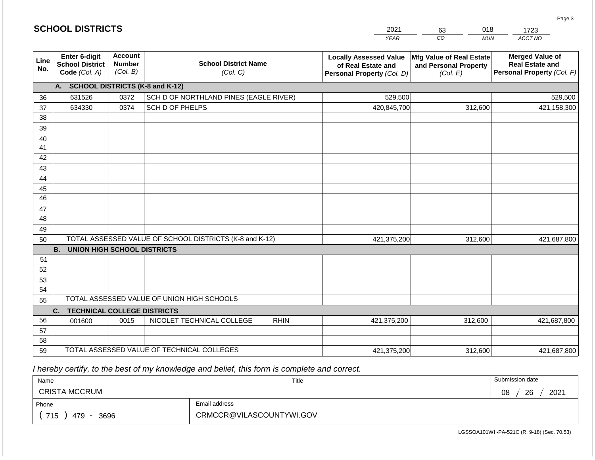| <b>SCHOOL DISTRICTS</b> |                                                                 |                                             |                                                         | 2021                                                                              | 018<br>63                                                     | 1723                                                                           |  |
|-------------------------|-----------------------------------------------------------------|---------------------------------------------|---------------------------------------------------------|-----------------------------------------------------------------------------------|---------------------------------------------------------------|--------------------------------------------------------------------------------|--|
|                         |                                                                 |                                             |                                                         | <b>YEAR</b>                                                                       | $\overline{co}$<br><b>MUN</b>                                 | ACCT NO                                                                        |  |
| Line<br>No.             | <b>Enter 6-digit</b><br><b>School District</b><br>Code (Col. A) | <b>Account</b><br><b>Number</b><br>(Col. B) | <b>School District Name</b><br>(Col. C)                 | <b>Locally Assessed Value</b><br>of Real Estate and<br>Personal Property (Col. D) | Mfg Value of Real Estate<br>and Personal Property<br>(Col. E) | <b>Merged Value of</b><br><b>Real Estate and</b><br>Personal Property (Col. F) |  |
|                         | A. SCHOOL DISTRICTS (K-8 and K-12)                              |                                             |                                                         |                                                                                   |                                                               |                                                                                |  |
| 36                      | 631526                                                          | 0372                                        | SCH D OF NORTHLAND PINES (EAGLE RIVER)                  | 529,500                                                                           |                                                               | 529,500                                                                        |  |
| 37                      | 634330                                                          | 0374                                        | SCH D OF PHELPS                                         | 420,845,700                                                                       | 312,600                                                       | 421,158,300                                                                    |  |
| 38                      |                                                                 |                                             |                                                         |                                                                                   |                                                               |                                                                                |  |
| 39                      |                                                                 |                                             |                                                         |                                                                                   |                                                               |                                                                                |  |
| 40                      |                                                                 |                                             |                                                         |                                                                                   |                                                               |                                                                                |  |
| 41                      |                                                                 |                                             |                                                         |                                                                                   |                                                               |                                                                                |  |
| 42                      |                                                                 |                                             |                                                         |                                                                                   |                                                               |                                                                                |  |
| 43                      |                                                                 |                                             |                                                         |                                                                                   |                                                               |                                                                                |  |
| 44                      |                                                                 |                                             |                                                         |                                                                                   |                                                               |                                                                                |  |
| 45<br>46                |                                                                 |                                             |                                                         |                                                                                   |                                                               |                                                                                |  |
|                         |                                                                 |                                             |                                                         |                                                                                   |                                                               |                                                                                |  |
| 47<br>48                |                                                                 |                                             |                                                         |                                                                                   |                                                               |                                                                                |  |
| 49                      |                                                                 |                                             |                                                         |                                                                                   |                                                               |                                                                                |  |
| 50                      |                                                                 |                                             | TOTAL ASSESSED VALUE OF SCHOOL DISTRICTS (K-8 and K-12) | 421,375,200                                                                       | 312,600                                                       | 421,687,800                                                                    |  |
|                         | <b>B.</b><br><b>UNION HIGH SCHOOL DISTRICTS</b>                 |                                             |                                                         |                                                                                   |                                                               |                                                                                |  |
| 51                      |                                                                 |                                             |                                                         |                                                                                   |                                                               |                                                                                |  |
| 52                      |                                                                 |                                             |                                                         |                                                                                   |                                                               |                                                                                |  |
| 53                      |                                                                 |                                             |                                                         |                                                                                   |                                                               |                                                                                |  |
| 54                      |                                                                 |                                             |                                                         |                                                                                   |                                                               |                                                                                |  |
| 55                      |                                                                 |                                             | TOTAL ASSESSED VALUE OF UNION HIGH SCHOOLS              |                                                                                   |                                                               |                                                                                |  |
|                         | C.<br><b>TECHNICAL COLLEGE DISTRICTS</b>                        |                                             |                                                         |                                                                                   |                                                               |                                                                                |  |
| 56                      | 001600                                                          | 0015                                        | NICOLET TECHNICAL COLLEGE<br><b>RHIN</b>                | 421,375,200                                                                       | 312,600                                                       | 421,687,800                                                                    |  |
| 57                      |                                                                 |                                             |                                                         |                                                                                   |                                                               |                                                                                |  |
| 58                      |                                                                 |                                             |                                                         |                                                                                   |                                                               |                                                                                |  |
| 59                      |                                                                 |                                             | TOTAL ASSESSED VALUE OF TECHNICAL COLLEGES              | 421,375,200                                                                       | 312,600                                                       | 421,687,800                                                                    |  |

2021

 *I hereby certify, to the best of my knowledge and belief, this form is complete and correct.*

**SCHOOL DISTRICTS**

| Name                                           |                          | Title | Submission date  |
|------------------------------------------------|--------------------------|-------|------------------|
| <b>CRISTA MCCRUM</b>                           |                          |       | 2021<br>26<br>08 |
| Phone                                          | Email address            |       |                  |
| 715<br>3696<br>479<br>$\overline{\phantom{0}}$ | CRMCCR@VILASCOUNTYWI.GOV |       |                  |

LGSSOA101WI -PA-521C (R. 9-18) (Sec. 70.53)

Page 3

018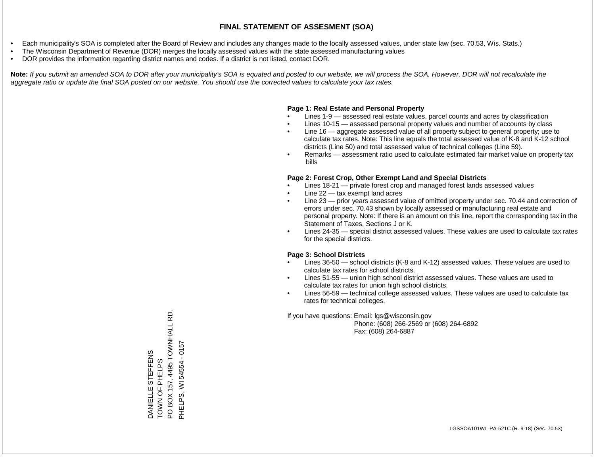- Each municipality's SOA is completed after the Board of Review and includes any changes made to the locally assessed values, under state law (sec. 70.53, Wis. Stats.)
- The Wisconsin Department of Revenue (DOR) merges the locally assessed values with the state assessed manufacturing values
- DOR provides the information regarding district names and codes. If a district is not listed, contact DOR.

Note: If you submit an amended SOA to DOR after your municipality's SOA is equated and posted to our website, we will process the SOA. However, DOR will not recalculate the *aggregate ratio or update the final SOA posted on our website. You should use the corrected values to calculate your tax rates.*

### **Page 1: Real Estate and Personal Property**

- Lines 1-9 assessed real estate values, parcel counts and acres by classification
- Lines 10-15 assessed personal property values and number of accounts by class
- Line 16 aggregate assessed value of all property subject to general property; use to calculate tax rates. Note: This line equals the total assessed value of K-8 and K-12 school districts (Line 50) and total assessed value of technical colleges (Line 59).
- Remarks assessment ratio used to calculate estimated fair market value on property tax bills

### **Page 2: Forest Crop, Other Exempt Land and Special Districts**

- Lines 18-21 private forest crop and managed forest lands assessed values
- Line  $22 -$  tax exempt land acres
- Line 23 prior years assessed value of omitted property under sec. 70.44 and correction of errors under sec. 70.43 shown by locally assessed or manufacturing real estate and personal property. Note: If there is an amount on this line, report the corresponding tax in the Statement of Taxes, Sections J or K.
- Lines 24-35 special district assessed values. These values are used to calculate tax rates for the special districts.

### **Page 3: School Districts**

- Lines 36-50 school districts (K-8 and K-12) assessed values. These values are used to calculate tax rates for school districts.
- Lines 51-55 union high school district assessed values. These values are used to calculate tax rates for union high school districts.
- Lines 56-59 technical college assessed values. These values are used to calculate tax rates for technical colleges.

If you have questions: Email: lgs@wisconsin.gov

 Phone: (608) 266-2569 or (608) 264-6892 Fax: (608) 264-6887

PO BOX 157, 4495 TOWNHALL RD PO BOX 157, 4495 TOWNHALL RD.  $-0157$ PHELPS, WI 54554 - 0157DANIELLE STEFFENS<br>TOWN OF PHELPS DANIELLE STEFFENS TOWN OF PHELPS PHELPS, WI 54554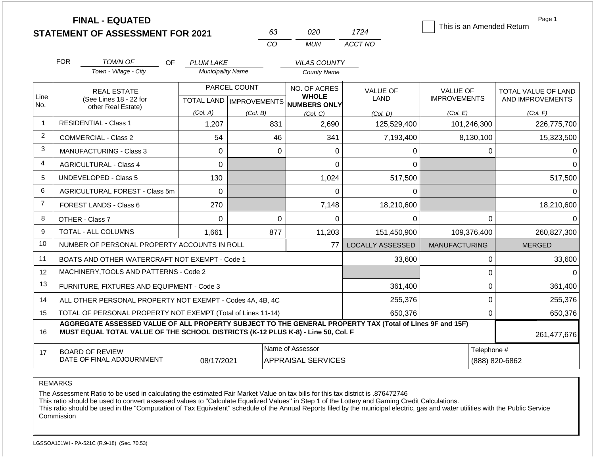|                |                                            | <b>FINAL - EQUATED</b>                                                                                                                                                                       |                          |                           | 63          | 020                          | 1724             | This is an Amended Return |              | Page 1                     |
|----------------|--------------------------------------------|----------------------------------------------------------------------------------------------------------------------------------------------------------------------------------------------|--------------------------|---------------------------|-------------|------------------------------|------------------|---------------------------|--------------|----------------------------|
|                |                                            | <b>STATEMENT OF ASSESSMENT FOR 2021</b>                                                                                                                                                      |                          | CO                        |             | <b>MUN</b>                   | ACCT NO          |                           |              |                            |
|                |                                            |                                                                                                                                                                                              |                          |                           |             |                              |                  |                           |              |                            |
|                | <b>FOR</b>                                 | <b>TOWN OF</b><br>OF.                                                                                                                                                                        | <b>PLUM LAKE</b>         |                           |             | <b>VILAS COUNTY</b>          |                  |                           |              |                            |
|                |                                            | Town - Village - City                                                                                                                                                                        | <b>Municipality Name</b> |                           |             | <b>County Name</b>           |                  |                           |              |                            |
|                |                                            | <b>REAL ESTATE</b>                                                                                                                                                                           | PARCEL COUNT             |                           |             | NO. OF ACRES                 | <b>VALUE OF</b>  | <b>VALUE OF</b>           |              | <b>TOTAL VALUE OF LAND</b> |
| Line<br>No.    |                                            | (See Lines 18 - 22 for<br>other Real Estate)                                                                                                                                                 |                          | TOTAL LAND   IMPROVEMENTS |             | <b>WHOLE</b><br>NUMBERS ONLY | LAND             | <b>IMPROVEMENTS</b>       |              | AND IMPROVEMENTS           |
|                |                                            |                                                                                                                                                                                              | (Col. A)                 | (Col. B)                  |             | (Col, C)                     | (Col. D)         | (Col. E)                  |              | (Col. F)                   |
| $\overline{1}$ |                                            | <b>RESIDENTIAL - Class 1</b>                                                                                                                                                                 | 1,207                    |                           | 831         | 2,690                        | 125,529,400      | 101,246,300               |              | 226,775,700                |
| $\overline{2}$ | 54<br><b>COMMERCIAL - Class 2</b>          |                                                                                                                                                                                              |                          |                           | 46          | 341                          | 7,193,400        | 8,130,100                 |              | 15,323,500                 |
| 3              | <b>MANUFACTURING - Class 3</b><br>$\Omega$ |                                                                                                                                                                                              |                          |                           | $\Omega$    | 0                            | 0                |                           | $\mathbf{0}$ |                            |
| 4              |                                            | <b>AGRICULTURAL - Class 4</b>                                                                                                                                                                | 0                        |                           |             | 0                            | 0                |                           |              | $\Omega$                   |
| 5              |                                            | UNDEVELOPED - Class 5                                                                                                                                                                        | 130                      |                           |             | 1,024                        | 517,500          |                           |              | 517,500                    |
| 6              |                                            | AGRICULTURAL FOREST - Class 5m                                                                                                                                                               | $\overline{0}$           |                           |             | 0                            | 0                |                           |              | $\Omega$                   |
| $\overline{7}$ |                                            | <b>FOREST LANDS - Class 6</b>                                                                                                                                                                | 270                      |                           |             | 7,148<br>18,210,600          |                  |                           |              | 18,210,600                 |
| 8              |                                            | OTHER - Class 7                                                                                                                                                                              | $\Omega$                 |                           | $\mathbf 0$ | 0                            | $\Omega$         |                           | $\mathbf 0$  | $\Omega$                   |
| 9              |                                            | <b>TOTAL - ALL COLUMNS</b>                                                                                                                                                                   | 1,661                    |                           | 877         | 11,203                       | 151,450,900      | 109,376,400               |              | 260,827,300                |
| 10             |                                            | NUMBER OF PERSONAL PROPERTY ACCOUNTS IN ROLL                                                                                                                                                 |                          |                           |             | 77                           | LOCALLY ASSESSED | <b>MANUFACTURING</b>      |              | <b>MERGED</b>              |
| 11             |                                            | BOATS AND OTHER WATERCRAFT NOT EXEMPT - Code 1                                                                                                                                               |                          |                           |             |                              | 33,600           |                           | $\mathbf 0$  | 33,600                     |
| 12             |                                            | MACHINERY, TOOLS AND PATTERNS - Code 2                                                                                                                                                       |                          |                           |             |                              |                  |                           | $\mathsf 0$  | $\Omega$                   |
| 13             |                                            | FURNITURE, FIXTURES AND EQUIPMENT - Code 3                                                                                                                                                   |                          |                           |             |                              | 361,400          |                           | $\mathbf 0$  | 361,400                    |
| 14             |                                            | ALL OTHER PERSONAL PROPERTY NOT EXEMPT - Codes 4A, 4B, 4C                                                                                                                                    |                          |                           |             |                              | 255,376          |                           | $\mathbf 0$  | 255,376                    |
| 15             |                                            | TOTAL OF PERSONAL PROPERTY NOT EXEMPT (Total of Lines 11-14)                                                                                                                                 |                          |                           |             | 650.376                      | $\Omega$         |                           | 650,376      |                            |
| 16             |                                            | AGGREGATE ASSESSED VALUE OF ALL PROPERTY SUBJECT TO THE GENERAL PROPERTY TAX (Total of Lines 9F and 15F)<br>MUST EQUAL TOTAL VALUE OF THE SCHOOL DISTRICTS (K-12 PLUS K-8) - Line 50, Col. F |                          |                           |             |                              |                  |                           |              | 261,477,676                |
| 17             |                                            | Name of Assessor<br>Telephone #<br><b>BOARD OF REVIEW</b><br>DATE OF FINAL ADJOURNMENT<br><b>APPRAISAL SERVICES</b><br>08/17/2021                                                            |                          |                           |             |                              |                  |                           |              | (888) 820-6862             |

The Assessment Ratio to be used in calculating the estimated Fair Market Value on tax bills for this tax district is .876472746

This ratio should be used to convert assessed values to "Calculate Equalized Values" in Step 1 of the Lottery and Gaming Credit Calculations.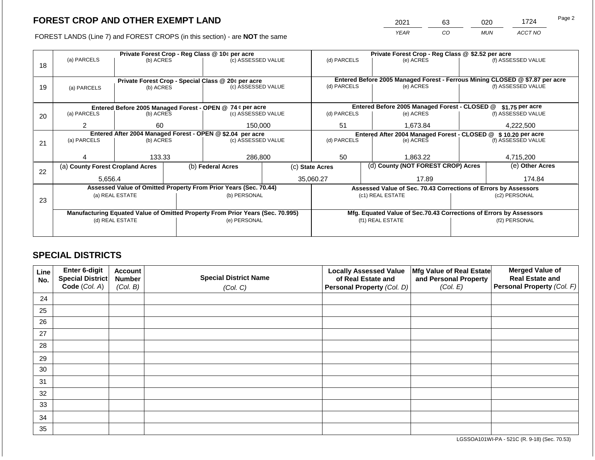2021 63 020 1724

FOREST LANDS (Line 7) and FOREST CROPS (in this section) - are **NOT** the same *YEAR CO MUN ACCT NO*

| (a) PARCELS                                                                    | (b) ACRES |                                                                                                | Private Forest Crop - Reg Class @ 10¢ per acre |                   |                                                                                                                                                                                                                                                                                                             | Private Forest Crop - Reg Class @ \$2.52 per acre |           |                                      |                                                                                                                                                           |
|--------------------------------------------------------------------------------|-----------|------------------------------------------------------------------------------------------------|------------------------------------------------|-------------------|-------------------------------------------------------------------------------------------------------------------------------------------------------------------------------------------------------------------------------------------------------------------------------------------------------------|---------------------------------------------------|-----------|--------------------------------------|-----------------------------------------------------------------------------------------------------------------------------------------------------------|
|                                                                                |           |                                                                                                | (c) ASSESSED VALUE                             |                   | (d) PARCELS                                                                                                                                                                                                                                                                                                 |                                                   | (e) ACRES |                                      | (f) ASSESSED VALUE                                                                                                                                        |
|                                                                                |           |                                                                                                |                                                |                   | Entered Before 2005 Managed Forest - Ferrous Mining CLOSED @ \$7.87 per acre                                                                                                                                                                                                                                |                                                   |           |                                      |                                                                                                                                                           |
| (a) PARCELS                                                                    | (b) ACRES |                                                                                                |                                                |                   | (d) PARCELS                                                                                                                                                                                                                                                                                                 |                                                   | (e) ACRES |                                      | (f) ASSESSED VALUE                                                                                                                                        |
|                                                                                |           |                                                                                                |                                                |                   |                                                                                                                                                                                                                                                                                                             |                                                   |           |                                      |                                                                                                                                                           |
|                                                                                |           |                                                                                                |                                                |                   |                                                                                                                                                                                                                                                                                                             |                                                   |           |                                      | \$1.75 per acre                                                                                                                                           |
| (a) PARCELS                                                                    | (b) ACRES |                                                                                                |                                                |                   | (d) PARCELS                                                                                                                                                                                                                                                                                                 |                                                   | (e) ACRES |                                      | (f) ASSESSED VALUE                                                                                                                                        |
|                                                                                | 60        |                                                                                                |                                                |                   | 51                                                                                                                                                                                                                                                                                                          |                                                   | 1,673.84  | 4,222,500                            |                                                                                                                                                           |
| Entered After 2004 Managed Forest - OPEN @ \$2.04 per acre                     |           |                                                                                                |                                                |                   | Entered After 2004 Managed Forest - CLOSED @ \$10.20 per acre                                                                                                                                                                                                                                               |                                                   |           |                                      |                                                                                                                                                           |
| (a) PARCELS                                                                    |           |                                                                                                |                                                |                   |                                                                                                                                                                                                                                                                                                             |                                                   | (e) ACRES |                                      | (f) ASSESSED VALUE                                                                                                                                        |
|                                                                                |           |                                                                                                |                                                |                   |                                                                                                                                                                                                                                                                                                             |                                                   |           |                                      |                                                                                                                                                           |
|                                                                                | 133.33    |                                                                                                |                                                |                   | 50                                                                                                                                                                                                                                                                                                          |                                                   | 1,863.22  |                                      | 4,715,200                                                                                                                                                 |
|                                                                                |           |                                                                                                |                                                |                   |                                                                                                                                                                                                                                                                                                             |                                                   |           |                                      | (e) Other Acres                                                                                                                                           |
|                                                                                |           |                                                                                                | 35,060.27                                      |                   |                                                                                                                                                                                                                                                                                                             |                                                   | 17.89     | 174.84                               |                                                                                                                                                           |
|                                                                                |           |                                                                                                |                                                |                   | Assessed Value of Sec. 70.43 Corrections of Errors by Assessors                                                                                                                                                                                                                                             |                                                   |           |                                      |                                                                                                                                                           |
|                                                                                |           |                                                                                                |                                                |                   |                                                                                                                                                                                                                                                                                                             |                                                   |           |                                      | (c2) PERSONAL                                                                                                                                             |
|                                                                                |           |                                                                                                |                                                |                   |                                                                                                                                                                                                                                                                                                             |                                                   |           |                                      |                                                                                                                                                           |
| Manufacturing Equated Value of Omitted Property From Prior Years (Sec. 70.995) |           |                                                                                                |                                                |                   |                                                                                                                                                                                                                                                                                                             |                                                   |           |                                      |                                                                                                                                                           |
|                                                                                |           |                                                                                                |                                                |                   |                                                                                                                                                                                                                                                                                                             |                                                   |           |                                      | (f2) PERSONAL                                                                                                                                             |
|                                                                                |           |                                                                                                |                                                |                   |                                                                                                                                                                                                                                                                                                             |                                                   |           |                                      |                                                                                                                                                           |
|                                                                                |           | (b) ACRES<br>(a) County Forest Cropland Acres<br>5,656.4<br>(a) REAL ESTATE<br>(d) REAL ESTATE |                                                | (b) Federal Acres | Private Forest Crop - Special Class @ 20¢ per acre<br>(c) ASSESSED VALUE<br>Entered Before 2005 Managed Forest - OPEN @ 74 ¢ per acre<br>(c) ASSESSED VALUE<br>150,000<br>(c) ASSESSED VALUE<br>286,800<br>Assessed Value of Omitted Property From Prior Years (Sec. 70.44)<br>(b) PERSONAL<br>(e) PERSONAL | (d) PARCELS<br>(c) State Acres                    |           | (c1) REAL ESTATE<br>(f1) REAL ESTATE | Entered Before 2005 Managed Forest - CLOSED @<br>(d) County (NOT FOREST CROP) Acres<br>Mfg. Equated Value of Sec.70.43 Corrections of Errors by Assessors |

### **SPECIAL DISTRICTS**

| Line<br>No. | Enter 6-digit<br>Special District<br>Code (Col. A) | <b>Account</b><br><b>Number</b><br>(Col. B) | <b>Special District Name</b><br>(Col. C) | <b>Locally Assessed Value</b><br>of Real Estate and<br><b>Personal Property (Col. D)</b> | Mfg Value of Real Estate<br>and Personal Property<br>(Col. E) | <b>Merged Value of</b><br><b>Real Estate and</b><br>Personal Property (Col. F) |
|-------------|----------------------------------------------------|---------------------------------------------|------------------------------------------|------------------------------------------------------------------------------------------|---------------------------------------------------------------|--------------------------------------------------------------------------------|
| 24          |                                                    |                                             |                                          |                                                                                          |                                                               |                                                                                |
| 25          |                                                    |                                             |                                          |                                                                                          |                                                               |                                                                                |
| 26          |                                                    |                                             |                                          |                                                                                          |                                                               |                                                                                |
| 27          |                                                    |                                             |                                          |                                                                                          |                                                               |                                                                                |
| 28          |                                                    |                                             |                                          |                                                                                          |                                                               |                                                                                |
| 29          |                                                    |                                             |                                          |                                                                                          |                                                               |                                                                                |
| 30          |                                                    |                                             |                                          |                                                                                          |                                                               |                                                                                |
| 31          |                                                    |                                             |                                          |                                                                                          |                                                               |                                                                                |
| 32          |                                                    |                                             |                                          |                                                                                          |                                                               |                                                                                |
| 33          |                                                    |                                             |                                          |                                                                                          |                                                               |                                                                                |
| 34          |                                                    |                                             |                                          |                                                                                          |                                                               |                                                                                |
| 35          |                                                    |                                             |                                          |                                                                                          |                                                               |                                                                                |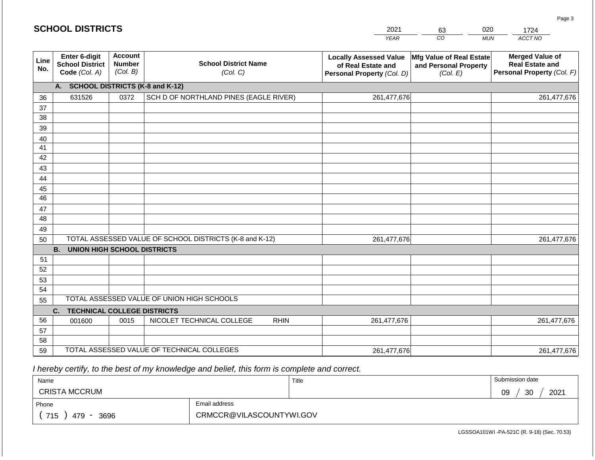| 2021 | 63 | )20 | 724     |
|------|----|-----|---------|
| YFAR | CO | MUN | ACCT NO |

| Line<br>No. | Enter 6-digit<br><b>School District</b><br>Code (Col. A) | <b>Account</b><br><b>Number</b><br>(Col. B) | <b>School District Name</b><br>(Col. C)                 | <b>Locally Assessed Value</b><br>of Real Estate and<br>Personal Property (Col. D) | Mfg Value of Real Estate<br>and Personal Property<br>(Col. E) | <b>Merged Value of</b><br><b>Real Estate and</b><br>Personal Property (Col. F) |
|-------------|----------------------------------------------------------|---------------------------------------------|---------------------------------------------------------|-----------------------------------------------------------------------------------|---------------------------------------------------------------|--------------------------------------------------------------------------------|
|             | <b>SCHOOL DISTRICTS (K-8 and K-12)</b><br>A.             |                                             |                                                         |                                                                                   |                                                               |                                                                                |
| 36          | 631526                                                   | 0372                                        | SCH D OF NORTHLAND PINES (EAGLE RIVER)                  | 261,477,676                                                                       |                                                               | 261,477,676                                                                    |
| 37          |                                                          |                                             |                                                         |                                                                                   |                                                               |                                                                                |
| 38          |                                                          |                                             |                                                         |                                                                                   |                                                               |                                                                                |
| 39          |                                                          |                                             |                                                         |                                                                                   |                                                               |                                                                                |
| 40          |                                                          |                                             |                                                         |                                                                                   |                                                               |                                                                                |
| 41          |                                                          |                                             |                                                         |                                                                                   |                                                               |                                                                                |
| 42          |                                                          |                                             |                                                         |                                                                                   |                                                               |                                                                                |
| 43          |                                                          |                                             |                                                         |                                                                                   |                                                               |                                                                                |
| 44          |                                                          |                                             |                                                         |                                                                                   |                                                               |                                                                                |
| 45          |                                                          |                                             |                                                         |                                                                                   |                                                               |                                                                                |
| 46          |                                                          |                                             |                                                         |                                                                                   |                                                               |                                                                                |
| 47          |                                                          |                                             |                                                         |                                                                                   |                                                               |                                                                                |
| 48          |                                                          |                                             |                                                         |                                                                                   |                                                               |                                                                                |
| 49          |                                                          |                                             |                                                         |                                                                                   |                                                               |                                                                                |
| 50          |                                                          |                                             | TOTAL ASSESSED VALUE OF SCHOOL DISTRICTS (K-8 and K-12) | 261,477,676                                                                       |                                                               | 261,477,676                                                                    |
|             | <b>B.</b><br><b>UNION HIGH SCHOOL DISTRICTS</b>          |                                             |                                                         |                                                                                   |                                                               |                                                                                |
| 51          |                                                          |                                             |                                                         |                                                                                   |                                                               |                                                                                |
| 52          |                                                          |                                             |                                                         |                                                                                   |                                                               |                                                                                |
| 53          |                                                          |                                             |                                                         |                                                                                   |                                                               |                                                                                |
| 54          |                                                          |                                             |                                                         |                                                                                   |                                                               |                                                                                |
| 55          |                                                          |                                             | TOTAL ASSESSED VALUE OF UNION HIGH SCHOOLS              |                                                                                   |                                                               |                                                                                |
|             | C.<br><b>TECHNICAL COLLEGE DISTRICTS</b>                 |                                             |                                                         |                                                                                   |                                                               |                                                                                |
| 56          | 001600                                                   | 0015                                        | NICOLET TECHNICAL COLLEGE<br><b>RHIN</b>                | 261,477,676                                                                       |                                                               | 261,477,676                                                                    |
| 57          |                                                          |                                             |                                                         |                                                                                   |                                                               |                                                                                |
| 58          |                                                          |                                             |                                                         |                                                                                   |                                                               |                                                                                |
| 59          |                                                          |                                             | TOTAL ASSESSED VALUE OF TECHNICAL COLLEGES              | 261,477,676                                                                       |                                                               | 261,477,676                                                                    |

 *I hereby certify, to the best of my knowledge and belief, this form is complete and correct.*

| Name                                           |  | Title | Submission date  |
|------------------------------------------------|--|-------|------------------|
| <b>CRISTA MCCRUM</b>                           |  |       | 2021<br>09<br>30 |
| Email address<br>Phone                         |  |       |                  |
| CRMCCR@VILASCOUNTYWI.GOV<br>715<br>479<br>3696 |  |       |                  |

Page 3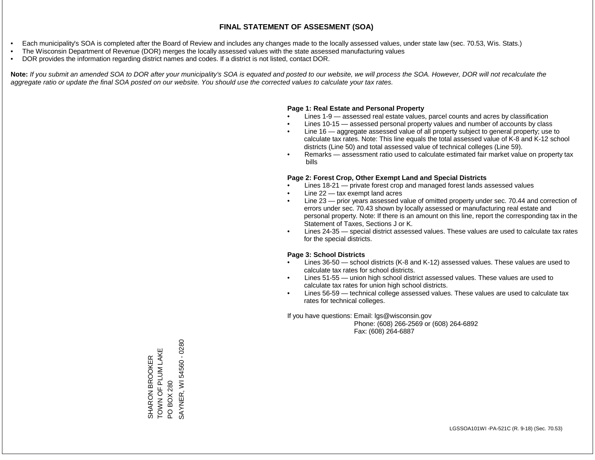- Each municipality's SOA is completed after the Board of Review and includes any changes made to the locally assessed values, under state law (sec. 70.53, Wis. Stats.)
- The Wisconsin Department of Revenue (DOR) merges the locally assessed values with the state assessed manufacturing values
- DOR provides the information regarding district names and codes. If a district is not listed, contact DOR.

Note: If you submit an amended SOA to DOR after your municipality's SOA is equated and posted to our website, we will process the SOA. However, DOR will not recalculate the *aggregate ratio or update the final SOA posted on our website. You should use the corrected values to calculate your tax rates.*

### **Page 1: Real Estate and Personal Property**

- Lines 1-9 assessed real estate values, parcel counts and acres by classification
- Lines 10-15 assessed personal property values and number of accounts by class
- Line 16 aggregate assessed value of all property subject to general property; use to calculate tax rates. Note: This line equals the total assessed value of K-8 and K-12 school districts (Line 50) and total assessed value of technical colleges (Line 59).
- Remarks assessment ratio used to calculate estimated fair market value on property tax bills

### **Page 2: Forest Crop, Other Exempt Land and Special Districts**

- Lines 18-21 private forest crop and managed forest lands assessed values
- Line  $22 -$  tax exempt land acres
- Line 23 prior years assessed value of omitted property under sec. 70.44 and correction of errors under sec. 70.43 shown by locally assessed or manufacturing real estate and personal property. Note: If there is an amount on this line, report the corresponding tax in the Statement of Taxes, Sections J or K.
- Lines 24-35 special district assessed values. These values are used to calculate tax rates for the special districts.

### **Page 3: School Districts**

- Lines 36-50 school districts (K-8 and K-12) assessed values. These values are used to calculate tax rates for school districts.
- Lines 51-55 union high school district assessed values. These values are used to calculate tax rates for union high school districts.
- Lines 56-59 technical college assessed values. These values are used to calculate tax rates for technical colleges.

If you have questions: Email: lgs@wisconsin.gov

 Phone: (608) 266-2569 or (608) 264-6892 Fax: (608) 264-6887

SHARON BROOKER TOWN OF PLUM LAKE SHARON BROOKER<br>TOWN OF PLUM LAKE<br>PO BOX 280<br>SAYNER, WI 54560 - 0280 SAYNER, WI 54560 - 0280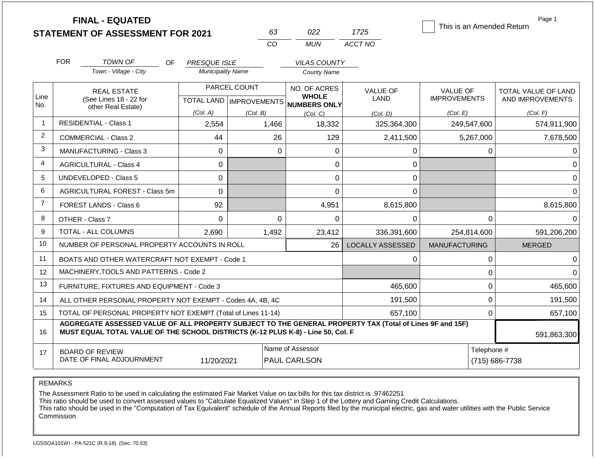|                |                                                                                                       | <b>FINAL - EQUATED</b><br><b>STATEMENT OF ASSESSMENT FOR 2021</b>                                                                                                                            |                          |              | 63       | 022                                                                 | 1725                    |                                        |             | Page 1<br>This is an Amended Return            |
|----------------|-------------------------------------------------------------------------------------------------------|----------------------------------------------------------------------------------------------------------------------------------------------------------------------------------------------|--------------------------|--------------|----------|---------------------------------------------------------------------|-------------------------|----------------------------------------|-------------|------------------------------------------------|
|                |                                                                                                       |                                                                                                                                                                                              |                          | CO           |          | <b>MUN</b>                                                          | ACCT NO                 |                                        |             |                                                |
|                | <b>FOR</b>                                                                                            | TOWN OF<br>OF.                                                                                                                                                                               | <b>PRESQUE ISLE</b>      |              |          | <b>VILAS COUNTY</b>                                                 |                         |                                        |             |                                                |
|                |                                                                                                       | Town - Village - City                                                                                                                                                                        | <b>Municipality Name</b> |              |          | <b>County Name</b>                                                  |                         |                                        |             |                                                |
| Line           |                                                                                                       | <b>REAL ESTATE</b><br>(See Lines 18 - 22 for                                                                                                                                                 |                          | PARCEL COUNT |          | NO. OF ACRES<br><b>WHOLE</b><br>TOTAL LAND MPROVEMENTS NUMBERS ONLY | <b>VALUE OF</b><br>LAND | <b>VALUE OF</b><br><b>IMPROVEMENTS</b> |             | <b>TOTAL VALUE OF LAND</b><br>AND IMPROVEMENTS |
| No.            |                                                                                                       | other Real Estate)                                                                                                                                                                           | (Col. A)                 | (Col. B)     |          | (Col, C)                                                            | (Col. D)                | (Col. E)                               |             | (Col. F)                                       |
| $\mathbf{1}$   |                                                                                                       | <b>RESIDENTIAL - Class 1</b>                                                                                                                                                                 | 2,554                    | 1,466        |          | 18,332                                                              | 325,364,300             |                                        | 249,547,600 | 574,911,900                                    |
| 2              |                                                                                                       | <b>COMMERCIAL - Class 2</b>                                                                                                                                                                  | 44                       |              | 26       | 129                                                                 | 2,411,500               |                                        | 5,267,000   | 7,678,500                                      |
| 3              |                                                                                                       | MANUFACTURING - Class 3                                                                                                                                                                      | $\mathbf 0$              |              | $\Omega$ | $\mathbf 0$                                                         | 0                       |                                        | 0           | 0                                              |
| $\overline{4}$ |                                                                                                       | <b>AGRICULTURAL - Class 4</b>                                                                                                                                                                | $\mathbf 0$              |              |          | 0                                                                   | 0                       |                                        |             | $\Omega$                                       |
| 5              |                                                                                                       | UNDEVELOPED - Class 5                                                                                                                                                                        | 0                        |              |          | 0                                                                   | 0                       |                                        |             | $\Omega$                                       |
| 6              |                                                                                                       | AGRICULTURAL FOREST - Class 5m                                                                                                                                                               | $\mathbf 0$              |              |          | $\overline{0}$                                                      | $\mathbf 0$             |                                        |             | $\Omega$                                       |
| $\overline{7}$ |                                                                                                       | <b>FOREST LANDS - Class 6</b>                                                                                                                                                                | 92                       |              |          | 4,951                                                               | 8,615,800               |                                        |             | 8,615,800                                      |
| 8              |                                                                                                       | OTHER - Class 7                                                                                                                                                                              | $\Omega$                 |              | $\Omega$ | $\Omega$                                                            | $\Omega$                |                                        | $\Omega$    | <sup>0</sup>                                   |
| 9              |                                                                                                       | <b>TOTAL - ALL COLUMNS</b>                                                                                                                                                                   | 2.690                    | 1,492        |          | 23,412                                                              | 336,391,600             |                                        | 254,814,600 | 591,206,200                                    |
| 10             |                                                                                                       | NUMBER OF PERSONAL PROPERTY ACCOUNTS IN ROLL                                                                                                                                                 |                          |              |          | 26                                                                  | <b>LOCALLY ASSESSED</b> | <b>MANUFACTURING</b>                   |             | <b>MERGED</b>                                  |
| 11             |                                                                                                       | BOATS AND OTHER WATERCRAFT NOT EXEMPT - Code 1                                                                                                                                               |                          |              |          |                                                                     | 0                       |                                        | 0           | $\Omega$                                       |
| 12             |                                                                                                       | MACHINERY, TOOLS AND PATTERNS - Code 2                                                                                                                                                       |                          |              |          |                                                                     |                         |                                        | 0           | $\Omega$                                       |
| 13             |                                                                                                       | FURNITURE, FIXTURES AND EQUIPMENT - Code 3                                                                                                                                                   |                          |              |          |                                                                     | 465,600                 |                                        | 0           | 465,600                                        |
| 14             |                                                                                                       | ALL OTHER PERSONAL PROPERTY NOT EXEMPT - Codes 4A, 4B, 4C                                                                                                                                    |                          | 191,500      |          | $\mathbf 0$                                                         | 191,500                 |                                        |             |                                                |
| 15             | TOTAL OF PERSONAL PROPERTY NOT EXEMPT (Total of Lines 11-14)                                          |                                                                                                                                                                                              |                          |              |          |                                                                     | 657,100                 |                                        | $\Omega$    | 657,100                                        |
| 16             |                                                                                                       | AGGREGATE ASSESSED VALUE OF ALL PROPERTY SUBJECT TO THE GENERAL PROPERTY TAX (Total of Lines 9F and 15F)<br>MUST EQUAL TOTAL VALUE OF THE SCHOOL DISTRICTS (K-12 PLUS K-8) - Line 50, Col. F |                          |              |          |                                                                     |                         |                                        |             | 591,863,300                                    |
| 17             | Name of Assessor<br><b>BOARD OF REVIEW</b><br>DATE OF FINAL ADJOURNMENT<br>11/20/2021<br>PAUL CARLSON |                                                                                                                                                                                              |                          |              |          |                                                                     |                         |                                        | Telephone # | (715) 686-7738                                 |

The Assessment Ratio to be used in calculating the estimated Fair Market Value on tax bills for this tax district is .97462251

This ratio should be used to convert assessed values to "Calculate Equalized Values" in Step 1 of the Lottery and Gaming Credit Calculations.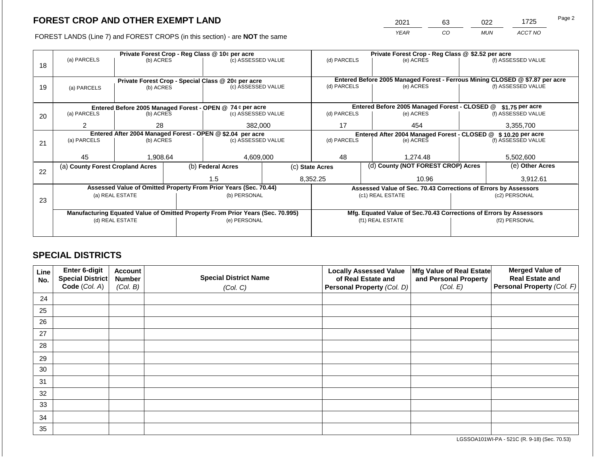2021 63 022 1725 Page 2

FOREST LANDS (Line 7) and FOREST CROPS (in this section) - are **NOT** the same *YEAR CO MUN ACCT NO*

|    | Private Forest Crop - Reg Class @ 10¢ per acre                                 |                 |  |                                                                          |  | Private Forest Crop - Reg Class @ \$2.52 per acre               |                                                                    |                                               |  |                                                                              |
|----|--------------------------------------------------------------------------------|-----------------|--|--------------------------------------------------------------------------|--|-----------------------------------------------------------------|--------------------------------------------------------------------|-----------------------------------------------|--|------------------------------------------------------------------------------|
|    | (a) PARCELS                                                                    | (b) ACRES       |  | (c) ASSESSED VALUE                                                       |  | (d) PARCELS                                                     |                                                                    | (e) ACRES                                     |  | (f) ASSESSED VALUE                                                           |
| 18 |                                                                                |                 |  |                                                                          |  |                                                                 |                                                                    |                                               |  |                                                                              |
|    |                                                                                |                 |  |                                                                          |  |                                                                 |                                                                    |                                               |  | Entered Before 2005 Managed Forest - Ferrous Mining CLOSED @ \$7.87 per acre |
| 19 |                                                                                |                 |  | Private Forest Crop - Special Class @ 20¢ per acre<br>(c) ASSESSED VALUE |  | (d) PARCELS                                                     |                                                                    | (e) ACRES                                     |  | (f) ASSESSED VALUE                                                           |
|    | (a) PARCELS                                                                    | (b) ACRES       |  |                                                                          |  |                                                                 |                                                                    |                                               |  |                                                                              |
|    |                                                                                |                 |  |                                                                          |  |                                                                 |                                                                    |                                               |  |                                                                              |
|    |                                                                                |                 |  | Entered Before 2005 Managed Forest - OPEN @ 74 ¢ per acre                |  |                                                                 |                                                                    | Entered Before 2005 Managed Forest - CLOSED @ |  | $$1.75$ per acre                                                             |
| 20 | (a) PARCELS                                                                    | (b) ACRES       |  | (c) ASSESSED VALUE                                                       |  | (d) PARCELS                                                     |                                                                    | (e) ACRES                                     |  | (f) ASSESSED VALUE                                                           |
|    |                                                                                |                 |  |                                                                          |  |                                                                 |                                                                    |                                               |  |                                                                              |
|    | 2                                                                              | 28              |  | 382,000                                                                  |  | 17                                                              |                                                                    | 454                                           |  | 3,355,700                                                                    |
|    |                                                                                |                 |  | Entered After 2004 Managed Forest - OPEN @ \$2.04 per acre               |  | Entered After 2004 Managed Forest - CLOSED @ \$ 10.20 per acre  |                                                                    |                                               |  |                                                                              |
| 21 | (a) PARCELS                                                                    | (b) ACRES       |  | (c) ASSESSED VALUE                                                       |  | (d) PARCELS                                                     |                                                                    | (e) ACRES                                     |  | (f) ASSESSED VALUE                                                           |
|    |                                                                                |                 |  |                                                                          |  |                                                                 |                                                                    |                                               |  |                                                                              |
|    | 45                                                                             | 1,908.64        |  | 4,609,000                                                                |  | 48                                                              |                                                                    | 1,274.48                                      |  | 5,502,600                                                                    |
|    | (a) County Forest Cropland Acres                                               |                 |  | (b) Federal Acres                                                        |  | (c) State Acres                                                 |                                                                    | (d) County (NOT FOREST CROP) Acres            |  | (e) Other Acres                                                              |
| 22 |                                                                                |                 |  |                                                                          |  |                                                                 |                                                                    |                                               |  |                                                                              |
|    |                                                                                |                 |  | 1.5                                                                      |  | 8,352.25                                                        |                                                                    | 10.96                                         |  | 3,912.61                                                                     |
|    |                                                                                |                 |  | Assessed Value of Omitted Property From Prior Years (Sec. 70.44)         |  | Assessed Value of Sec. 70.43 Corrections of Errors by Assessors |                                                                    |                                               |  |                                                                              |
|    |                                                                                | (a) REAL ESTATE |  | (b) PERSONAL                                                             |  |                                                                 |                                                                    | (c1) REAL ESTATE                              |  | (c2) PERSONAL                                                                |
| 23 |                                                                                |                 |  |                                                                          |  |                                                                 |                                                                    |                                               |  |                                                                              |
|    | Manufacturing Equated Value of Omitted Property From Prior Years (Sec. 70.995) |                 |  |                                                                          |  |                                                                 | Mfg. Equated Value of Sec.70.43 Corrections of Errors by Assessors |                                               |  |                                                                              |
|    |                                                                                | (d) REAL ESTATE |  | (e) PERSONAL                                                             |  |                                                                 |                                                                    | (f1) REAL ESTATE                              |  | (f2) PERSONAL                                                                |
|    |                                                                                |                 |  |                                                                          |  |                                                                 |                                                                    |                                               |  |                                                                              |
|    |                                                                                |                 |  |                                                                          |  |                                                                 |                                                                    |                                               |  |                                                                              |

### **SPECIAL DISTRICTS**

| Line<br>No. | Enter 6-digit<br>Special District<br>Code (Col. A) | <b>Account</b><br><b>Number</b><br>(Col. B) | <b>Special District Name</b><br>(Col. C) | <b>Locally Assessed Value</b><br>of Real Estate and<br><b>Personal Property (Col. D)</b> | Mfg Value of Real Estate<br>and Personal Property<br>(Col. E) | <b>Merged Value of</b><br><b>Real Estate and</b><br>Personal Property (Col. F) |
|-------------|----------------------------------------------------|---------------------------------------------|------------------------------------------|------------------------------------------------------------------------------------------|---------------------------------------------------------------|--------------------------------------------------------------------------------|
| 24          |                                                    |                                             |                                          |                                                                                          |                                                               |                                                                                |
| 25          |                                                    |                                             |                                          |                                                                                          |                                                               |                                                                                |
| 26          |                                                    |                                             |                                          |                                                                                          |                                                               |                                                                                |
| 27          |                                                    |                                             |                                          |                                                                                          |                                                               |                                                                                |
| 28          |                                                    |                                             |                                          |                                                                                          |                                                               |                                                                                |
| 29          |                                                    |                                             |                                          |                                                                                          |                                                               |                                                                                |
| 30          |                                                    |                                             |                                          |                                                                                          |                                                               |                                                                                |
| 31          |                                                    |                                             |                                          |                                                                                          |                                                               |                                                                                |
| 32          |                                                    |                                             |                                          |                                                                                          |                                                               |                                                                                |
| 33          |                                                    |                                             |                                          |                                                                                          |                                                               |                                                                                |
| 34          |                                                    |                                             |                                          |                                                                                          |                                                               |                                                                                |
| 35          |                                                    |                                             |                                          |                                                                                          |                                                               |                                                                                |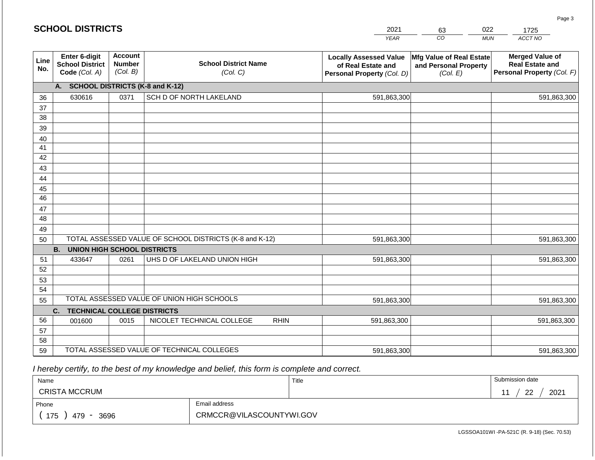|             | <b>SCHOOL DISTRICTS</b>                                  |                                             |                                                         | 2021                                                                              | 63                                                            | 022<br>1725                                                                    |
|-------------|----------------------------------------------------------|---------------------------------------------|---------------------------------------------------------|-----------------------------------------------------------------------------------|---------------------------------------------------------------|--------------------------------------------------------------------------------|
|             |                                                          |                                             |                                                         | <b>YEAR</b>                                                                       | CO                                                            | ACCT NO<br><b>MUN</b>                                                          |
| Line<br>No. | Enter 6-digit<br><b>School District</b><br>Code (Col. A) | <b>Account</b><br><b>Number</b><br>(Col. B) | <b>School District Name</b><br>(Col. C)                 | <b>Locally Assessed Value</b><br>of Real Estate and<br>Personal Property (Col. D) | Mfg Value of Real Estate<br>and Personal Property<br>(Col. E) | <b>Merged Value of</b><br><b>Real Estate and</b><br>Personal Property (Col. F) |
|             | А.                                                       |                                             | <b>SCHOOL DISTRICTS (K-8 and K-12)</b>                  |                                                                                   |                                                               |                                                                                |
| 36          | 630616                                                   | 0371                                        | SCH D OF NORTH LAKELAND                                 | 591,863,300                                                                       |                                                               | 591,863,300                                                                    |
| 37          |                                                          |                                             |                                                         |                                                                                   |                                                               |                                                                                |
| 38          |                                                          |                                             |                                                         |                                                                                   |                                                               |                                                                                |
| 39          |                                                          |                                             |                                                         |                                                                                   |                                                               |                                                                                |
| 40          |                                                          |                                             |                                                         |                                                                                   |                                                               |                                                                                |
| 41          |                                                          |                                             |                                                         |                                                                                   |                                                               |                                                                                |
| 42          |                                                          |                                             |                                                         |                                                                                   |                                                               |                                                                                |
| 43          |                                                          |                                             |                                                         |                                                                                   |                                                               |                                                                                |
| 44          |                                                          |                                             |                                                         |                                                                                   |                                                               |                                                                                |
| 45<br>46    |                                                          |                                             |                                                         |                                                                                   |                                                               |                                                                                |
| 47          |                                                          |                                             |                                                         |                                                                                   |                                                               |                                                                                |
| 48          |                                                          |                                             |                                                         |                                                                                   |                                                               |                                                                                |
| 49          |                                                          |                                             |                                                         |                                                                                   |                                                               |                                                                                |
| 50          |                                                          |                                             | TOTAL ASSESSED VALUE OF SCHOOL DISTRICTS (K-8 and K-12) | 591,863,300                                                                       |                                                               | 591,863,300                                                                    |
|             | <b>B.</b><br><b>UNION HIGH SCHOOL DISTRICTS</b>          |                                             |                                                         |                                                                                   |                                                               |                                                                                |
| 51          | 433647                                                   | 0261                                        | UHS D OF LAKELAND UNION HIGH                            | 591,863,300                                                                       |                                                               | 591,863,300                                                                    |
| 52          |                                                          |                                             |                                                         |                                                                                   |                                                               |                                                                                |
| 53          |                                                          |                                             |                                                         |                                                                                   |                                                               |                                                                                |
| 54          |                                                          |                                             |                                                         |                                                                                   |                                                               |                                                                                |
| 55          |                                                          |                                             | TOTAL ASSESSED VALUE OF UNION HIGH SCHOOLS              | 591,863,300                                                                       |                                                               | 591,863,300                                                                    |
|             | C.<br><b>TECHNICAL COLLEGE DISTRICTS</b>                 |                                             |                                                         |                                                                                   |                                                               |                                                                                |
| 56          | 001600                                                   | 0015                                        | NICOLET TECHNICAL COLLEGE<br><b>RHIN</b>                | 591,863,300                                                                       |                                                               | 591,863,300                                                                    |
| 57          |                                                          |                                             |                                                         |                                                                                   |                                                               |                                                                                |
| 58          |                                                          |                                             |                                                         |                                                                                   |                                                               |                                                                                |
| 59          |                                                          |                                             | TOTAL ASSESSED VALUE OF TECHNICAL COLLEGES              | 591,863,300                                                                       |                                                               | 591,863,300                                                                    |

 *I hereby certify, to the best of my knowledge and belief, this form is complete and correct.*

| Name                                           |               | Title | Submission date  |
|------------------------------------------------|---------------|-------|------------------|
| <b>CRISTA MCCRUM</b>                           |               |       | 2021<br>ററ<br>-- |
| Phone                                          | Email address |       |                  |
| CRMCCR@VILASCOUNTYWI.GOV<br>175<br>3696<br>479 |               |       |                  |

LGSSOA101WI -PA-521C (R. 9-18) (Sec. 70.53)

Page 3

| <b>SCHOOL DISTRICTS</b> |  |
|-------------------------|--|
|-------------------------|--|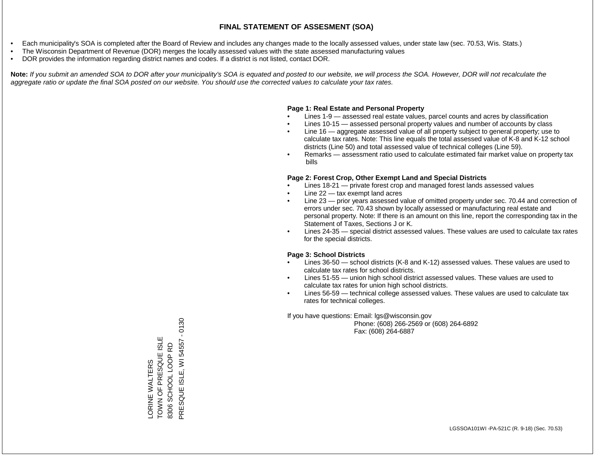- Each municipality's SOA is completed after the Board of Review and includes any changes made to the locally assessed values, under state law (sec. 70.53, Wis. Stats.)
- The Wisconsin Department of Revenue (DOR) merges the locally assessed values with the state assessed manufacturing values
- DOR provides the information regarding district names and codes. If a district is not listed, contact DOR.

Note: If you submit an amended SOA to DOR after your municipality's SOA is equated and posted to our website, we will process the SOA. However, DOR will not recalculate the *aggregate ratio or update the final SOA posted on our website. You should use the corrected values to calculate your tax rates.*

### **Page 1: Real Estate and Personal Property**

- Lines 1-9 assessed real estate values, parcel counts and acres by classification
- Lines 10-15 assessed personal property values and number of accounts by class
- Line 16 aggregate assessed value of all property subject to general property; use to calculate tax rates. Note: This line equals the total assessed value of K-8 and K-12 school districts (Line 50) and total assessed value of technical colleges (Line 59).
- Remarks assessment ratio used to calculate estimated fair market value on property tax bills

### **Page 2: Forest Crop, Other Exempt Land and Special Districts**

- Lines 18-21 private forest crop and managed forest lands assessed values
- Line  $22 -$  tax exempt land acres
- Line 23 prior years assessed value of omitted property under sec. 70.44 and correction of errors under sec. 70.43 shown by locally assessed or manufacturing real estate and personal property. Note: If there is an amount on this line, report the corresponding tax in the Statement of Taxes, Sections J or K.
- Lines 24-35 special district assessed values. These values are used to calculate tax rates for the special districts.

### **Page 3: School Districts**

- Lines 36-50 school districts (K-8 and K-12) assessed values. These values are used to calculate tax rates for school districts.
- Lines 51-55 union high school district assessed values. These values are used to calculate tax rates for union high school districts.
- Lines 56-59 technical college assessed values. These values are used to calculate tax rates for technical colleges.

If you have questions: Email: lgs@wisconsin.gov

 Phone: (608) 266-2569 or (608) 264-6892 Fax: (608) 264-6887

 $-0130$ PRESQUE ISLE, WI 54557 - 0130TOWN OF PRESQUE ISLE LORINE WALTERS<br>TOWN OF PRESQUE ISLE PRESQUE ISLE, WI 54557 SCHOOL LOOP RD 8306 SCHOOL LOOP RD LORINE WALTERS 8306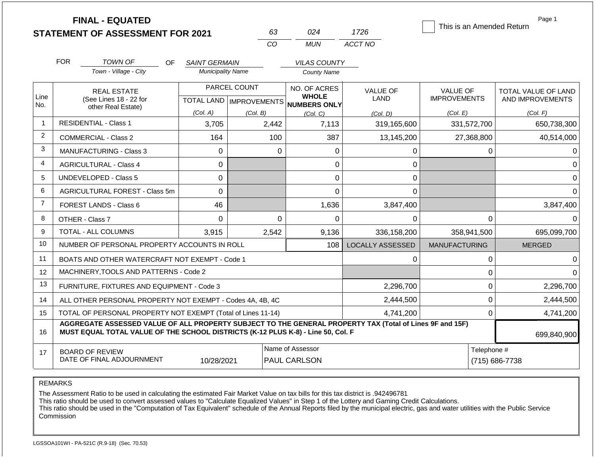|                |                                                                                                                      | <b>FINAL - EQUATED</b><br><b>STATEMENT OF ASSESSMENT FOR 2021</b>                                                                                                                            |                          |                                           | 63             | 024                                          | 1726                    |                                        |                | Page 1<br>This is an Amended Return            |
|----------------|----------------------------------------------------------------------------------------------------------------------|----------------------------------------------------------------------------------------------------------------------------------------------------------------------------------------------|--------------------------|-------------------------------------------|----------------|----------------------------------------------|-------------------------|----------------------------------------|----------------|------------------------------------------------|
|                |                                                                                                                      |                                                                                                                                                                                              |                          |                                           | CO             | <b>MUN</b>                                   | ACCT NO                 |                                        |                |                                                |
|                | <b>FOR</b>                                                                                                           | <b>TOWN OF</b><br><b>OF</b>                                                                                                                                                                  | <b>SAINT GERMAIN</b>     |                                           |                | <b>VILAS COUNTY</b>                          |                         |                                        |                |                                                |
|                |                                                                                                                      | Town - Village - City                                                                                                                                                                        | <b>Municipality Name</b> |                                           |                | <b>County Name</b>                           |                         |                                        |                |                                                |
| Line<br>No.    |                                                                                                                      | <b>REAL ESTATE</b><br>(See Lines 18 - 22 for                                                                                                                                                 |                          | PARCEL COUNT<br>TOTAL LAND   IMPROVEMENTS |                | NO. OF ACRES<br><b>WHOLE</b><br>NUMBERS ONLY | <b>VALUE OF</b><br>LAND | <b>VALUE OF</b><br><b>IMPROVEMENTS</b> |                | <b>TOTAL VALUE OF LAND</b><br>AND IMPROVEMENTS |
|                |                                                                                                                      | other Real Estate)                                                                                                                                                                           | (Col. A)                 | (Col. B)                                  |                | (Col. C)                                     | (Col. D)                | (Col. E)                               |                | (Col. F)                                       |
| $\overline{1}$ |                                                                                                                      | <b>RESIDENTIAL - Class 1</b>                                                                                                                                                                 | 3,705                    |                                           | 2,442          | 7,113                                        | 319,165,600             |                                        | 331,572,700    | 650,738,300                                    |
| $\overline{2}$ |                                                                                                                      | <b>COMMERCIAL - Class 2</b>                                                                                                                                                                  | 164                      |                                           | 100            | 387                                          | 13,145,200              |                                        | 27,368,800     | 40,514,000                                     |
| 3              |                                                                                                                      | <b>MANUFACTURING - Class 3</b>                                                                                                                                                               | $\mathbf{0}$             |                                           | $\Omega$       | 0                                            | 0                       |                                        | $\Omega$       | O                                              |
| 4              |                                                                                                                      | <b>AGRICULTURAL - Class 4</b>                                                                                                                                                                | 0                        |                                           |                | 0                                            | 0                       |                                        |                | $\Omega$                                       |
| 5              |                                                                                                                      | <b>UNDEVELOPED - Class 5</b>                                                                                                                                                                 | $\Omega$                 |                                           |                | 0                                            | 0                       |                                        |                | $\Omega$                                       |
| 6              |                                                                                                                      | <b>AGRICULTURAL FOREST - Class 5m</b>                                                                                                                                                        | 0                        |                                           | $\overline{0}$ |                                              | 0                       |                                        |                | $\Omega$                                       |
| $\overline{7}$ |                                                                                                                      | FOREST LANDS - Class 6                                                                                                                                                                       | 46                       |                                           |                | 1,636                                        | 3,847,400               |                                        |                | 3,847,400                                      |
| 8              |                                                                                                                      | OTHER - Class 7                                                                                                                                                                              | $\Omega$                 |                                           | $\Omega$       | 0                                            | $\Omega$                |                                        | $\mathbf 0$    | $\Omega$                                       |
| 9              |                                                                                                                      | <b>TOTAL - ALL COLUMNS</b>                                                                                                                                                                   | 3,915                    | 2,542                                     |                | 9,136                                        | 336,158,200             |                                        | 358.941.500    | 695,099,700                                    |
| 10             |                                                                                                                      | NUMBER OF PERSONAL PROPERTY ACCOUNTS IN ROLL                                                                                                                                                 |                          |                                           |                | 108                                          | LOCALLY ASSESSED        | <b>MANUFACTURING</b>                   |                | <b>MERGED</b>                                  |
| 11             |                                                                                                                      | BOATS AND OTHER WATERCRAFT NOT EXEMPT - Code 1                                                                                                                                               |                          |                                           |                |                                              | 0                       |                                        | 0              | $\Omega$                                       |
| 12             |                                                                                                                      | MACHINERY, TOOLS AND PATTERNS - Code 2                                                                                                                                                       |                          |                                           |                |                                              |                         |                                        | $\mathsf 0$    | $\Omega$                                       |
| 13             |                                                                                                                      | FURNITURE, FIXTURES AND EQUIPMENT - Code 3                                                                                                                                                   |                          |                                           |                |                                              | 2,296,700               |                                        | $\mathbf 0$    | 2,296,700                                      |
| 14             | 2,444,500<br>ALL OTHER PERSONAL PROPERTY NOT EXEMPT - Codes 4A, 4B, 4C                                               |                                                                                                                                                                                              |                          |                                           |                |                                              |                         |                                        | $\mathbf 0$    | 2,444,500                                      |
| 15             | TOTAL OF PERSONAL PROPERTY NOT EXEMPT (Total of Lines 11-14)<br>4,741,200<br>$\Omega$                                |                                                                                                                                                                                              |                          |                                           |                |                                              |                         | 4,741,200                              |                |                                                |
| 16             |                                                                                                                      | AGGREGATE ASSESSED VALUE OF ALL PROPERTY SUBJECT TO THE GENERAL PROPERTY TAX (Total of Lines 9F and 15F)<br>MUST EQUAL TOTAL VALUE OF THE SCHOOL DISTRICTS (K-12 PLUS K-8) - Line 50, Col. F |                          |                                           |                |                                              |                         |                                        |                | 699,840,900                                    |
| 17             | Name of Assessor<br>Telephone #<br><b>BOARD OF REVIEW</b><br>DATE OF FINAL ADJOURNMENT<br>10/28/2021<br>PAUL CARLSON |                                                                                                                                                                                              |                          |                                           |                |                                              |                         |                                        | (715) 686-7738 |                                                |

The Assessment Ratio to be used in calculating the estimated Fair Market Value on tax bills for this tax district is .942496781

This ratio should be used to convert assessed values to "Calculate Equalized Values" in Step 1 of the Lottery and Gaming Credit Calculations.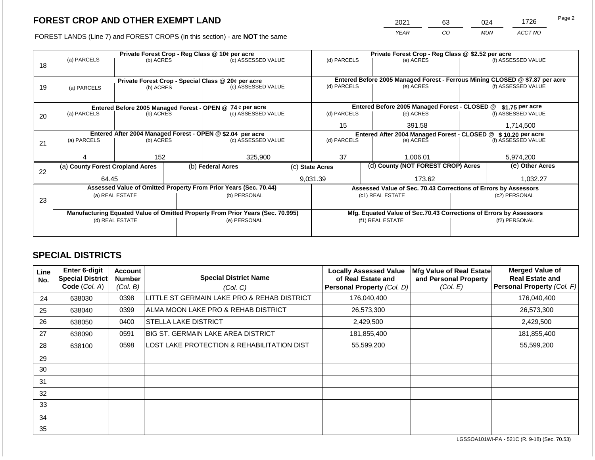2021 63 024 1726

FOREST LANDS (Line 7) and FOREST CROPS (in this section) - are **NOT** the same *YEAR CO MUN ACCT NO*

|    | Private Forest Crop - Reg Class @ 10¢ per acre                                 |                 |  |                                                                  |                                                                |                    | Private Forest Crop - Reg Class @ \$2.52 per acre |                                                                    |                                                                                                    |                    |  |
|----|--------------------------------------------------------------------------------|-----------------|--|------------------------------------------------------------------|----------------------------------------------------------------|--------------------|---------------------------------------------------|--------------------------------------------------------------------|----------------------------------------------------------------------------------------------------|--------------------|--|
|    | (a) PARCELS                                                                    | (b) ACRES       |  | (c) ASSESSED VALUE                                               |                                                                | (d) PARCELS        |                                                   | (e) ACRES                                                          |                                                                                                    | (f) ASSESSED VALUE |  |
| 18 |                                                                                |                 |  |                                                                  |                                                                |                    |                                                   |                                                                    |                                                                                                    |                    |  |
|    |                                                                                |                 |  |                                                                  |                                                                |                    |                                                   |                                                                    |                                                                                                    |                    |  |
|    |                                                                                |                 |  | Private Forest Crop - Special Class @ 20¢ per acre               |                                                                | (d) PARCELS        |                                                   | (e) ACRES                                                          | Entered Before 2005 Managed Forest - Ferrous Mining CLOSED @ \$7.87 per acre<br>(f) ASSESSED VALUE |                    |  |
| 19 | (a) PARCELS                                                                    | (b) ACRES       |  | (c) ASSESSED VALUE                                               |                                                                |                    |                                                   |                                                                    |                                                                                                    |                    |  |
|    |                                                                                |                 |  |                                                                  |                                                                |                    |                                                   |                                                                    |                                                                                                    |                    |  |
|    |                                                                                |                 |  | Entered Before 2005 Managed Forest - OPEN @ 74 ¢ per acre        |                                                                |                    |                                                   | Entered Before 2005 Managed Forest - CLOSED @                      |                                                                                                    | $$1.75$ per acre   |  |
| 20 | (a) PARCELS                                                                    | (b) ACRES       |  | (c) ASSESSED VALUE                                               |                                                                | (d) PARCELS        |                                                   | (e) ACRES                                                          |                                                                                                    | (f) ASSESSED VALUE |  |
|    |                                                                                |                 |  |                                                                  |                                                                |                    |                                                   |                                                                    |                                                                                                    |                    |  |
|    |                                                                                |                 |  |                                                                  |                                                                | 15                 |                                                   | 391.58                                                             |                                                                                                    | 1,714,500          |  |
|    |                                                                                |                 |  | Entered After 2004 Managed Forest - OPEN @ \$2.04 per acre       | Entered After 2004 Managed Forest - CLOSED @ \$ 10.20 per acre |                    |                                                   |                                                                    |                                                                                                    |                    |  |
| 21 | (a) PARCELS                                                                    | (b) ACRES       |  | (c) ASSESSED VALUE                                               |                                                                | (d) PARCELS        |                                                   | (e) ACRES                                                          |                                                                                                    | (f) ASSESSED VALUE |  |
|    |                                                                                |                 |  |                                                                  |                                                                |                    |                                                   |                                                                    |                                                                                                    |                    |  |
|    |                                                                                | 152             |  | 325,900                                                          |                                                                | 37                 |                                                   | 1,006.01                                                           |                                                                                                    | 5,974,200          |  |
|    | (a) County Forest Cropland Acres                                               |                 |  | (b) Federal Acres                                                | (d) County (NOT FOREST CROP) Acres<br>(c) State Acres          |                    |                                                   |                                                                    | (e) Other Acres                                                                                    |                    |  |
| 22 |                                                                                |                 |  |                                                                  |                                                                |                    |                                                   |                                                                    |                                                                                                    |                    |  |
|    | 64.45                                                                          |                 |  |                                                                  |                                                                | 9,031.39<br>173.62 |                                                   |                                                                    | 1,032.27                                                                                           |                    |  |
|    |                                                                                |                 |  | Assessed Value of Omitted Property From Prior Years (Sec. 70.44) |                                                                |                    |                                                   | Assessed Value of Sec. 70.43 Corrections of Errors by Assessors    |                                                                                                    |                    |  |
|    |                                                                                | (a) REAL ESTATE |  | (b) PERSONAL                                                     |                                                                |                    |                                                   | (c1) REAL ESTATE                                                   | (c2) PERSONAL                                                                                      |                    |  |
| 23 |                                                                                |                 |  |                                                                  |                                                                |                    |                                                   |                                                                    |                                                                                                    |                    |  |
|    | Manufacturing Equated Value of Omitted Property From Prior Years (Sec. 70.995) |                 |  |                                                                  |                                                                |                    |                                                   | Mfg. Equated Value of Sec.70.43 Corrections of Errors by Assessors |                                                                                                    |                    |  |
|    | (d) REAL ESTATE                                                                |                 |  | (e) PERSONAL                                                     |                                                                |                    |                                                   | (f1) REAL ESTATE                                                   | (f2) PERSONAL                                                                                      |                    |  |
|    |                                                                                |                 |  |                                                                  |                                                                |                    |                                                   |                                                                    |                                                                                                    |                    |  |
|    |                                                                                |                 |  |                                                                  |                                                                |                    |                                                   |                                                                    |                                                                                                    |                    |  |

### **SPECIAL DISTRICTS**

| Line<br>No. | <b>Enter 6-digit</b><br>Special District<br>Code (Col. A) | Account<br><b>Number</b><br>(Col. B) | <b>Special District Name</b><br>(Col. C)    | <b>Locally Assessed Value</b><br>of Real Estate and<br>Personal Property (Col. D) | Mfg Value of Real Estate<br>and Personal Property<br>(Col. E) | <b>Merged Value of</b><br><b>Real Estate and</b><br>Personal Property (Col. F) |
|-------------|-----------------------------------------------------------|--------------------------------------|---------------------------------------------|-----------------------------------------------------------------------------------|---------------------------------------------------------------|--------------------------------------------------------------------------------|
| 24          | 638030                                                    | 0398                                 | LITTLE ST GERMAIN LAKE PRO & REHAB DISTRICT | 176,040,400                                                                       |                                                               | 176,040,400                                                                    |
| 25          | 638040                                                    | 0399                                 | ALMA MOON LAKE PRO & REHAB DISTRICT         | 26,573,300                                                                        |                                                               | 26,573,300                                                                     |
| 26          | 638050                                                    | 0400                                 | <b>STELLA LAKE DISTRICT</b>                 | 2,429,500                                                                         |                                                               | 2,429,500                                                                      |
| 27          | 638090                                                    | 0591                                 | <b>BIG ST. GERMAIN LAKE AREA DISTRICT</b>   | 181,855,400                                                                       |                                                               | 181,855,400                                                                    |
| 28          | 638100                                                    | 0598                                 | LOST LAKE PROTECTION & REHABILITATION DIST  | 55,599,200                                                                        |                                                               | 55,599,200                                                                     |
| 29          |                                                           |                                      |                                             |                                                                                   |                                                               |                                                                                |
| 30          |                                                           |                                      |                                             |                                                                                   |                                                               |                                                                                |
| 31          |                                                           |                                      |                                             |                                                                                   |                                                               |                                                                                |
| 32          |                                                           |                                      |                                             |                                                                                   |                                                               |                                                                                |
| 33          |                                                           |                                      |                                             |                                                                                   |                                                               |                                                                                |
| 34          |                                                           |                                      |                                             |                                                                                   |                                                               |                                                                                |
| 35          |                                                           |                                      |                                             |                                                                                   |                                                               |                                                                                |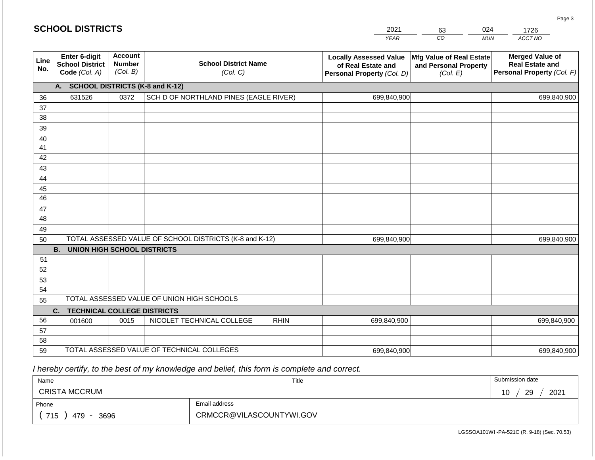| <b>SCHOOL DISTRICTS</b> |  |
|-------------------------|--|
|-------------------------|--|

| 2021 | 63 | ገ24 | 1726    |
|------|----|-----|---------|
| YFAR | CO | MUN | ACCT NO |

| Line<br>No. | Enter 6-digit<br><b>School District</b><br>Code (Col. A) | <b>Account</b><br><b>Number</b><br>(Col. B) | <b>School District Name</b><br>(Col. C)                 | <b>Locally Assessed Value</b><br>of Real Estate and<br>Personal Property (Col. D) | Mfg Value of Real Estate<br>and Personal Property<br>(Col. E) | <b>Merged Value of</b><br><b>Real Estate and</b><br>Personal Property (Col. F) |
|-------------|----------------------------------------------------------|---------------------------------------------|---------------------------------------------------------|-----------------------------------------------------------------------------------|---------------------------------------------------------------|--------------------------------------------------------------------------------|
|             | A. SCHOOL DISTRICTS (K-8 and K-12)                       |                                             |                                                         |                                                                                   |                                                               |                                                                                |
| 36          | 631526                                                   | 0372                                        | SCH D OF NORTHLAND PINES (EAGLE RIVER)                  | 699,840,900                                                                       |                                                               | 699,840,900                                                                    |
| 37          |                                                          |                                             |                                                         |                                                                                   |                                                               |                                                                                |
| 38          |                                                          |                                             |                                                         |                                                                                   |                                                               |                                                                                |
| 39          |                                                          |                                             |                                                         |                                                                                   |                                                               |                                                                                |
| 40          |                                                          |                                             |                                                         |                                                                                   |                                                               |                                                                                |
| 41          |                                                          |                                             |                                                         |                                                                                   |                                                               |                                                                                |
| 42          |                                                          |                                             |                                                         |                                                                                   |                                                               |                                                                                |
| 43          |                                                          |                                             |                                                         |                                                                                   |                                                               |                                                                                |
| 44          |                                                          |                                             |                                                         |                                                                                   |                                                               |                                                                                |
| 45          |                                                          |                                             |                                                         |                                                                                   |                                                               |                                                                                |
| 46          |                                                          |                                             |                                                         |                                                                                   |                                                               |                                                                                |
| 47          |                                                          |                                             |                                                         |                                                                                   |                                                               |                                                                                |
| 48          |                                                          |                                             |                                                         |                                                                                   |                                                               |                                                                                |
| 49          |                                                          |                                             |                                                         |                                                                                   |                                                               |                                                                                |
| 50          |                                                          |                                             | TOTAL ASSESSED VALUE OF SCHOOL DISTRICTS (K-8 and K-12) | 699,840,900                                                                       |                                                               | 699,840,900                                                                    |
|             | <b>B.</b><br><b>UNION HIGH SCHOOL DISTRICTS</b>          |                                             |                                                         |                                                                                   |                                                               |                                                                                |
| 51          |                                                          |                                             |                                                         |                                                                                   |                                                               |                                                                                |
| 52          |                                                          |                                             |                                                         |                                                                                   |                                                               |                                                                                |
| 53          |                                                          |                                             |                                                         |                                                                                   |                                                               |                                                                                |
| 54          |                                                          |                                             |                                                         |                                                                                   |                                                               |                                                                                |
| 55          |                                                          |                                             | TOTAL ASSESSED VALUE OF UNION HIGH SCHOOLS              |                                                                                   |                                                               |                                                                                |
|             | C.<br><b>TECHNICAL COLLEGE DISTRICTS</b>                 |                                             |                                                         |                                                                                   |                                                               |                                                                                |
| 56          | 001600                                                   | 0015                                        | NICOLET TECHNICAL COLLEGE<br><b>RHIN</b>                | 699,840,900                                                                       |                                                               | 699,840,900                                                                    |
| 57          |                                                          |                                             |                                                         |                                                                                   |                                                               |                                                                                |
| 58          |                                                          |                                             |                                                         |                                                                                   |                                                               |                                                                                |
| 59          |                                                          |                                             | TOTAL ASSESSED VALUE OF TECHNICAL COLLEGES              | 699,840,900                                                                       |                                                               | 699,840,900                                                                    |

 *I hereby certify, to the best of my knowledge and belief, this form is complete and correct.*

| Name                 |                          | Title | Submission date        |
|----------------------|--------------------------|-------|------------------------|
| <b>CRISTA MCCRUM</b> |                          |       | 2021<br>ാവ<br>10<br>∠ວ |
| Phone                | Email address            |       |                        |
| 715<br>479<br>3696   | CRMCCR@VILASCOUNTYWI.GOV |       |                        |

Page 3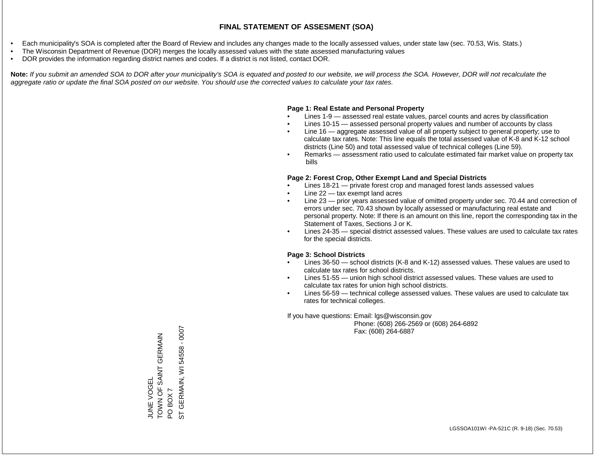- Each municipality's SOA is completed after the Board of Review and includes any changes made to the locally assessed values, under state law (sec. 70.53, Wis. Stats.)
- The Wisconsin Department of Revenue (DOR) merges the locally assessed values with the state assessed manufacturing values
- DOR provides the information regarding district names and codes. If a district is not listed, contact DOR.

Note: If you submit an amended SOA to DOR after your municipality's SOA is equated and posted to our website, we will process the SOA. However, DOR will not recalculate the *aggregate ratio or update the final SOA posted on our website. You should use the corrected values to calculate your tax rates.*

#### **Page 1: Real Estate and Personal Property**

- Lines 1-9 assessed real estate values, parcel counts and acres by classification
- Lines 10-15 assessed personal property values and number of accounts by class
- Line 16 aggregate assessed value of all property subject to general property; use to calculate tax rates. Note: This line equals the total assessed value of K-8 and K-12 school districts (Line 50) and total assessed value of technical colleges (Line 59).
- Remarks assessment ratio used to calculate estimated fair market value on property tax bills

#### **Page 2: Forest Crop, Other Exempt Land and Special Districts**

- Lines 18-21 private forest crop and managed forest lands assessed values
- Line  $22 -$  tax exempt land acres
- Line 23 prior years assessed value of omitted property under sec. 70.44 and correction of errors under sec. 70.43 shown by locally assessed or manufacturing real estate and personal property. Note: If there is an amount on this line, report the corresponding tax in the Statement of Taxes, Sections J or K.
- Lines 24-35 special district assessed values. These values are used to calculate tax rates for the special districts.

#### **Page 3: School Districts**

- Lines 36-50 school districts (K-8 and K-12) assessed values. These values are used to calculate tax rates for school districts.
- Lines 51-55 union high school district assessed values. These values are used to calculate tax rates for union high school districts.
- Lines 56-59 technical college assessed values. These values are used to calculate tax rates for technical colleges.

If you have questions: Email: lgs@wisconsin.gov

 Phone: (608) 266-2569 or (608) 264-6892 Fax: (608) 264-6887

GERMAIN, WI 54558 - 0007 ST GERMAIN, WI 54558 - 0007TOWN OF SAINT CHANGERMAIN JUNE VOGEL<br>TOWN OF SAINT GERMAIN PO BOX 7<br>ST GERM/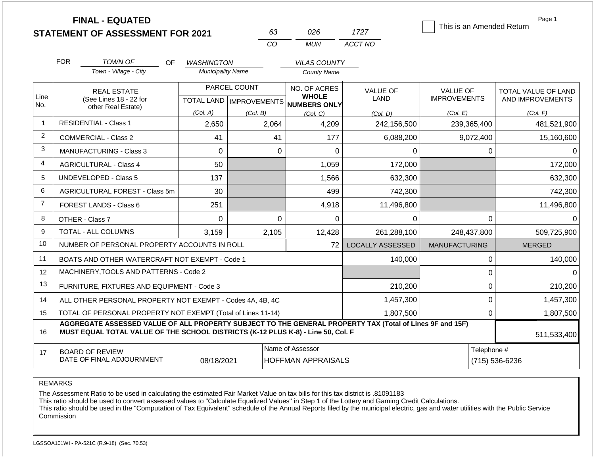|                |                                                           | <b>FINAL - EQUATED</b><br><b>STATEMENT OF ASSESSMENT FOR 2021</b>                                                                                                                            |                          | 63           | 026                                                 | 1727                    | This is an Amended Return | Page 1              |
|----------------|-----------------------------------------------------------|----------------------------------------------------------------------------------------------------------------------------------------------------------------------------------------------|--------------------------|--------------|-----------------------------------------------------|-------------------------|---------------------------|---------------------|
|                |                                                           |                                                                                                                                                                                              |                          | CO.          | <b>MUN</b>                                          | ACCT NO                 |                           |                     |
|                | <b>FOR</b>                                                | <b>TOWN OF</b><br>OF.                                                                                                                                                                        | <b>WASHINGTON</b>        |              | <b>VILAS COUNTY</b>                                 |                         |                           |                     |
|                |                                                           | Town - Village - City                                                                                                                                                                        | <b>Municipality Name</b> |              | <b>County Name</b>                                  |                         |                           |                     |
|                |                                                           | <b>REAL ESTATE</b>                                                                                                                                                                           |                          | PARCEL COUNT | NO. OF ACRES                                        | <b>VALUE OF</b>         | <b>VALUE OF</b>           | TOTAL VALUE OF LAND |
| Line<br>No.    |                                                           | (See Lines 18 - 22 for<br>other Real Estate)                                                                                                                                                 |                          |              | <b>WHOLE</b><br>TOTAL LAND MPROVEMENTS NUMBERS ONLY | LAND                    | <b>IMPROVEMENTS</b>       | AND IMPROVEMENTS    |
|                |                                                           |                                                                                                                                                                                              | (Col. A)                 | (Col. B)     | (Col, C)                                            | (Col, D)                | (Col. E)                  | (Col. F)            |
| $\mathbf{1}$   |                                                           | <b>RESIDENTIAL - Class 1</b>                                                                                                                                                                 | 2,650                    | 2,064        | 4,209                                               | 242,156,500             | 239,365,400               | 481,521,900         |
| $\overline{2}$ |                                                           | COMMERCIAL - Class 2                                                                                                                                                                         | 41                       | 41           | 177                                                 | 6,088,200               | 9,072,400                 | 15,160,600          |
| 3              |                                                           | <b>MANUFACTURING - Class 3</b>                                                                                                                                                               | $\Omega$                 | $\Omega$     | $\overline{0}$                                      | 0                       | $\Omega$                  | 0                   |
| 4              |                                                           | <b>AGRICULTURAL - Class 4</b>                                                                                                                                                                | 50                       |              | 1,059                                               | 172,000                 |                           | 172,000             |
| 5              |                                                           | <b>UNDEVELOPED - Class 5</b>                                                                                                                                                                 | 137                      |              | 1,566                                               | 632,300                 |                           | 632,300             |
| 6              |                                                           | AGRICULTURAL FOREST - Class 5m                                                                                                                                                               | 30                       |              | 499                                                 | 742,300                 |                           | 742,300             |
| $\overline{7}$ |                                                           | <b>FOREST LANDS - Class 6</b>                                                                                                                                                                | 251                      |              | 4,918                                               | 11,496,800              |                           | 11,496,800          |
| 8              |                                                           | OTHER - Class 7                                                                                                                                                                              | $\Omega$                 | $\Omega$     | $\Omega$                                            | 0                       | $\mathbf 0$               | 0                   |
| 9              |                                                           | TOTAL - ALL COLUMNS                                                                                                                                                                          | 3,159                    | 2,105        | 12,428                                              | 261,288,100             | 248,437,800               | 509,725,900         |
| 10             |                                                           | NUMBER OF PERSONAL PROPERTY ACCOUNTS IN ROLL                                                                                                                                                 |                          |              | 72                                                  | <b>LOCALLY ASSESSED</b> | <b>MANUFACTURING</b>      | <b>MERGED</b>       |
| 11             |                                                           | BOATS AND OTHER WATERCRAFT NOT EXEMPT - Code 1                                                                                                                                               |                          |              |                                                     | 140,000                 | $\mathbf 0$               | 140,000             |
| 12             |                                                           | MACHINERY.TOOLS AND PATTERNS - Code 2                                                                                                                                                        |                          |              |                                                     |                         | $\mathbf 0$               | $\Omega$            |
| 13             |                                                           | FURNITURE, FIXTURES AND EQUIPMENT - Code 3                                                                                                                                                   |                          |              |                                                     | 210,200                 | $\boldsymbol{0}$          | 210,200             |
| 14             | ALL OTHER PERSONAL PROPERTY NOT EXEMPT - Codes 4A, 4B, 4C | $\pmb{0}$                                                                                                                                                                                    | 1,457,300                |              |                                                     |                         |                           |                     |
| 15             |                                                           | TOTAL OF PERSONAL PROPERTY NOT EXEMPT (Total of Lines 11-14)                                                                                                                                 |                          |              |                                                     | 1,807,500               | $\Omega$                  | 1,807,500           |
| 16             |                                                           | AGGREGATE ASSESSED VALUE OF ALL PROPERTY SUBJECT TO THE GENERAL PROPERTY TAX (Total of Lines 9F and 15F)<br>MUST EQUAL TOTAL VALUE OF THE SCHOOL DISTRICTS (K-12 PLUS K-8) - Line 50, Col. F |                          |              |                                                     |                         |                           | 511,533,400         |
| 17             |                                                           | <b>BOARD OF REVIEW</b>                                                                                                                                                                       |                          |              | Name of Assessor                                    |                         | Telephone #               |                     |
|                |                                                           | DATE OF FINAL ADJOURNMENT                                                                                                                                                                    | 08/18/2021               |              | <b>HOFFMAN APPRAISALS</b>                           |                         |                           | (715) 536-6236      |

The Assessment Ratio to be used in calculating the estimated Fair Market Value on tax bills for this tax district is .81091183

This ratio should be used to convert assessed values to "Calculate Equalized Values" in Step 1 of the Lottery and Gaming Credit Calculations.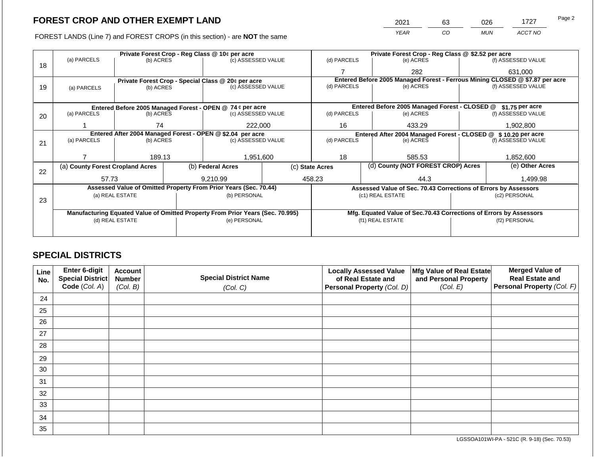FOREST LANDS (Line 7) and FOREST CROPS (in this section) - are NOT the same

|    |                                                                                |                 |  | Private Forest Crop - Reg Class @ 10¢ per acre                   |                 | Private Forest Crop - Reg Class @ \$2.52 per acre |                                    |                                                                              |                  |                    |  |
|----|--------------------------------------------------------------------------------|-----------------|--|------------------------------------------------------------------|-----------------|---------------------------------------------------|------------------------------------|------------------------------------------------------------------------------|------------------|--------------------|--|
| 18 | (a) PARCELS                                                                    | (b) ACRES       |  | (c) ASSESSED VALUE                                               |                 | (d) PARCELS                                       |                                    | (e) ACRES                                                                    |                  | (f) ASSESSED VALUE |  |
|    |                                                                                |                 |  |                                                                  |                 |                                                   |                                    | 282                                                                          |                  | 631,000            |  |
|    |                                                                                |                 |  | Private Forest Crop - Special Class @ 20¢ per acre               |                 |                                                   |                                    | Entered Before 2005 Managed Forest - Ferrous Mining CLOSED @ \$7.87 per acre |                  |                    |  |
| 19 | (a) PARCELS                                                                    | (b) ACRES       |  | (c) ASSESSED VALUE                                               |                 | (d) PARCELS                                       |                                    | (e) ACRES                                                                    |                  | (f) ASSESSED VALUE |  |
|    |                                                                                |                 |  |                                                                  |                 |                                                   |                                    |                                                                              |                  |                    |  |
|    |                                                                                |                 |  | Entered Before 2005 Managed Forest - OPEN @ 74 ¢ per acre        |                 |                                                   |                                    | Entered Before 2005 Managed Forest - CLOSED @                                |                  | $$1.75$ per acre   |  |
| 20 | (a) PARCELS                                                                    | (b) ACRES       |  | (c) ASSESSED VALUE                                               |                 | (d) PARCELS                                       |                                    | (e) ACRES                                                                    |                  | (f) ASSESSED VALUE |  |
|    |                                                                                |                 |  |                                                                  |                 |                                                   |                                    |                                                                              |                  |                    |  |
|    |                                                                                | 74              |  | 222,000                                                          |                 | 16                                                |                                    | 433.29                                                                       |                  | 1,902,800          |  |
|    | Entered After 2004 Managed Forest - OPEN @ \$2.04 per acre                     |                 |  |                                                                  |                 | Entered After 2004 Managed Forest - CLOSED @      |                                    |                                                                              | \$10.20 per acre |                    |  |
| 21 | (a) PARCELS                                                                    | (b) ACRES       |  | (c) ASSESSED VALUE                                               |                 | (d) PARCELS                                       |                                    | (e) ACRES                                                                    |                  | (f) ASSESSED VALUE |  |
|    |                                                                                |                 |  |                                                                  |                 |                                                   |                                    |                                                                              |                  |                    |  |
|    |                                                                                | 189.13          |  | 1,951,600                                                        |                 | 18                                                |                                    | 585.53                                                                       |                  | 1,852,600          |  |
|    | (a) County Forest Cropland Acres                                               |                 |  | (b) Federal Acres                                                | (c) State Acres |                                                   | (d) County (NOT FOREST CROP) Acres |                                                                              | (e) Other Acres  |                    |  |
| 22 | 57.73                                                                          |                 |  | 9.210.99                                                         | 458.23          |                                                   | 44.3                               |                                                                              |                  |                    |  |
|    |                                                                                |                 |  |                                                                  |                 |                                                   |                                    |                                                                              |                  | 1,499.98           |  |
|    |                                                                                |                 |  | Assessed Value of Omitted Property From Prior Years (Sec. 70.44) |                 |                                                   |                                    | Assessed Value of Sec. 70.43 Corrections of Errors by Assessors              |                  |                    |  |
| 23 |                                                                                | (a) REAL ESTATE |  | (b) PERSONAL                                                     |                 |                                                   |                                    | (c1) REAL ESTATE                                                             |                  | (c2) PERSONAL      |  |
|    |                                                                                |                 |  |                                                                  |                 |                                                   |                                    |                                                                              |                  |                    |  |
|    | Manufacturing Equated Value of Omitted Property From Prior Years (Sec. 70.995) |                 |  |                                                                  |                 |                                                   |                                    | Mfg. Equated Value of Sec.70.43 Corrections of Errors by Assessors           |                  |                    |  |
|    |                                                                                | (d) REAL ESTATE |  | (e) PERSONAL                                                     |                 |                                                   |                                    | (f1) REAL ESTATE                                                             |                  | (f2) PERSONAL      |  |
|    |                                                                                |                 |  |                                                                  |                 |                                                   |                                    |                                                                              |                  |                    |  |
|    |                                                                                |                 |  |                                                                  |                 |                                                   |                                    |                                                                              |                  |                    |  |

### **SPECIAL DISTRICTS**

| Line<br>No. | Enter 6-digit<br>Special District<br>Code (Col. A) | <b>Account</b><br><b>Number</b><br>(Col. B) | <b>Special District Name</b><br>(Col. C) | <b>Locally Assessed Value</b><br>of Real Estate and<br>Personal Property (Col. D) | Mfg Value of Real Estate<br>and Personal Property<br>(Col. E) | <b>Merged Value of</b><br><b>Real Estate and</b><br>Personal Property (Col. F) |
|-------------|----------------------------------------------------|---------------------------------------------|------------------------------------------|-----------------------------------------------------------------------------------|---------------------------------------------------------------|--------------------------------------------------------------------------------|
| 24          |                                                    |                                             |                                          |                                                                                   |                                                               |                                                                                |
| 25          |                                                    |                                             |                                          |                                                                                   |                                                               |                                                                                |
| 26          |                                                    |                                             |                                          |                                                                                   |                                                               |                                                                                |
| 27          |                                                    |                                             |                                          |                                                                                   |                                                               |                                                                                |
| 28          |                                                    |                                             |                                          |                                                                                   |                                                               |                                                                                |
| 29          |                                                    |                                             |                                          |                                                                                   |                                                               |                                                                                |
| 30          |                                                    |                                             |                                          |                                                                                   |                                                               |                                                                                |
| 31          |                                                    |                                             |                                          |                                                                                   |                                                               |                                                                                |
| 32          |                                                    |                                             |                                          |                                                                                   |                                                               |                                                                                |
| 33          |                                                    |                                             |                                          |                                                                                   |                                                               |                                                                                |
| 34          |                                                    |                                             |                                          |                                                                                   |                                                               |                                                                                |
| 35          |                                                    |                                             |                                          |                                                                                   |                                                               |                                                                                |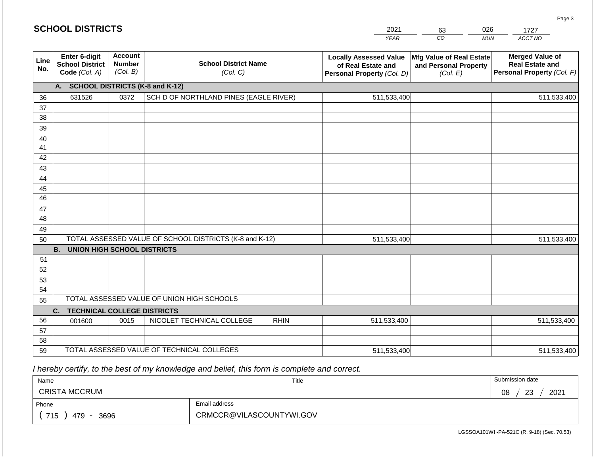| 2021        | 63  |     | 727     |
|-------------|-----|-----|---------|
| <b>VFAR</b> | 30. | MUN | ACCT NO |

| Line<br>No. | Enter 6-digit<br><b>School District</b><br>Code (Col. A) | <b>Account</b><br><b>Number</b><br>(Col. B) | <b>School District Name</b><br>(Col. C)                 | <b>Locally Assessed Value</b><br>of Real Estate and<br>Personal Property (Col. D) | Mfg Value of Real Estate<br>and Personal Property<br>(Col. E) | <b>Merged Value of</b><br><b>Real Estate and</b><br>Personal Property (Col. F) |
|-------------|----------------------------------------------------------|---------------------------------------------|---------------------------------------------------------|-----------------------------------------------------------------------------------|---------------------------------------------------------------|--------------------------------------------------------------------------------|
|             | <b>SCHOOL DISTRICTS (K-8 and K-12)</b><br>A.             |                                             |                                                         |                                                                                   |                                                               |                                                                                |
| 36          | 631526                                                   | 0372                                        | SCH D OF NORTHLAND PINES (EAGLE RIVER)                  | 511,533,400                                                                       |                                                               | 511,533,400                                                                    |
| 37          |                                                          |                                             |                                                         |                                                                                   |                                                               |                                                                                |
| 38          |                                                          |                                             |                                                         |                                                                                   |                                                               |                                                                                |
| 39          |                                                          |                                             |                                                         |                                                                                   |                                                               |                                                                                |
| 40          |                                                          |                                             |                                                         |                                                                                   |                                                               |                                                                                |
| 41          |                                                          |                                             |                                                         |                                                                                   |                                                               |                                                                                |
| 42          |                                                          |                                             |                                                         |                                                                                   |                                                               |                                                                                |
| 43          |                                                          |                                             |                                                         |                                                                                   |                                                               |                                                                                |
| 44          |                                                          |                                             |                                                         |                                                                                   |                                                               |                                                                                |
| 45          |                                                          |                                             |                                                         |                                                                                   |                                                               |                                                                                |
| 46          |                                                          |                                             |                                                         |                                                                                   |                                                               |                                                                                |
| 47          |                                                          |                                             |                                                         |                                                                                   |                                                               |                                                                                |
| 48          |                                                          |                                             |                                                         |                                                                                   |                                                               |                                                                                |
| 49          |                                                          |                                             |                                                         |                                                                                   |                                                               |                                                                                |
| 50          |                                                          |                                             | TOTAL ASSESSED VALUE OF SCHOOL DISTRICTS (K-8 and K-12) | 511,533,400                                                                       |                                                               | 511,533,400                                                                    |
|             | <b>B.</b><br><b>UNION HIGH SCHOOL DISTRICTS</b>          |                                             |                                                         |                                                                                   |                                                               |                                                                                |
| 51          |                                                          |                                             |                                                         |                                                                                   |                                                               |                                                                                |
| 52          |                                                          |                                             |                                                         |                                                                                   |                                                               |                                                                                |
| 53          |                                                          |                                             |                                                         |                                                                                   |                                                               |                                                                                |
| 54          |                                                          |                                             |                                                         |                                                                                   |                                                               |                                                                                |
| 55          |                                                          |                                             | TOTAL ASSESSED VALUE OF UNION HIGH SCHOOLS              |                                                                                   |                                                               |                                                                                |
|             | C.<br><b>TECHNICAL COLLEGE DISTRICTS</b>                 |                                             |                                                         |                                                                                   |                                                               |                                                                                |
| 56          | 001600                                                   | 0015                                        | NICOLET TECHNICAL COLLEGE<br><b>RHIN</b>                | 511,533,400                                                                       |                                                               | 511,533,400                                                                    |
| 57          |                                                          |                                             |                                                         |                                                                                   |                                                               |                                                                                |
| 58          |                                                          |                                             |                                                         |                                                                                   |                                                               |                                                                                |
| 59          |                                                          |                                             | TOTAL ASSESSED VALUE OF TECHNICAL COLLEGES              | 511,533,400                                                                       |                                                               | 511,533,400                                                                    |

 *I hereby certify, to the best of my knowledge and belief, this form is complete and correct.*

| Name                 |                          | Title | Submission date        |
|----------------------|--------------------------|-------|------------------------|
| <b>CRISTA MCCRUM</b> |                          |       | 2021<br>08<br>ററ<br>دے |
| Phone                | Email address            |       |                        |
| 715<br>3696<br>479   | CRMCCR@VILASCOUNTYWI.GOV |       |                        |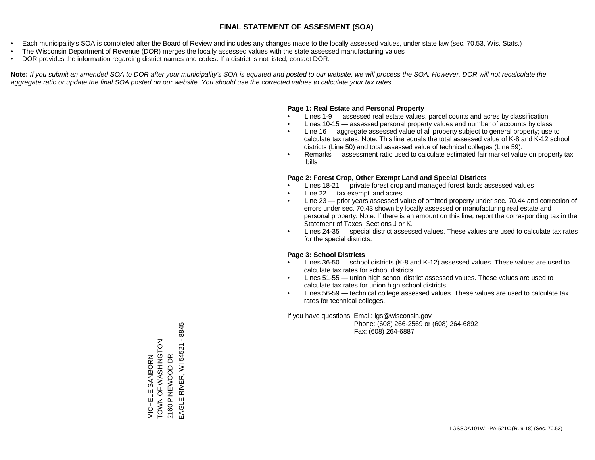- Each municipality's SOA is completed after the Board of Review and includes any changes made to the locally assessed values, under state law (sec. 70.53, Wis. Stats.)
- The Wisconsin Department of Revenue (DOR) merges the locally assessed values with the state assessed manufacturing values
- DOR provides the information regarding district names and codes. If a district is not listed, contact DOR.

Note: If you submit an amended SOA to DOR after your municipality's SOA is equated and posted to our website, we will process the SOA. However, DOR will not recalculate the *aggregate ratio or update the final SOA posted on our website. You should use the corrected values to calculate your tax rates.*

### **Page 1: Real Estate and Personal Property**

- Lines 1-9 assessed real estate values, parcel counts and acres by classification
- Lines 10-15 assessed personal property values and number of accounts by class
- Line 16 aggregate assessed value of all property subject to general property; use to calculate tax rates. Note: This line equals the total assessed value of K-8 and K-12 school districts (Line 50) and total assessed value of technical colleges (Line 59).
- Remarks assessment ratio used to calculate estimated fair market value on property tax bills

### **Page 2: Forest Crop, Other Exempt Land and Special Districts**

- Lines 18-21 private forest crop and managed forest lands assessed values
- Line  $22 -$  tax exempt land acres
- Line 23 prior years assessed value of omitted property under sec. 70.44 and correction of errors under sec. 70.43 shown by locally assessed or manufacturing real estate and personal property. Note: If there is an amount on this line, report the corresponding tax in the Statement of Taxes, Sections J or K.
- Lines 24-35 special district assessed values. These values are used to calculate tax rates for the special districts.

### **Page 3: School Districts**

- Lines 36-50 school districts (K-8 and K-12) assessed values. These values are used to calculate tax rates for school districts.
- Lines 51-55 union high school district assessed values. These values are used to calculate tax rates for union high school districts.
- Lines 56-59 technical college assessed values. These values are used to calculate tax rates for technical colleges.

If you have questions: Email: lgs@wisconsin.gov

 Phone: (608) 266-2569 or (608) 264-6892 Fax: (608) 264-6887

RIVER, WI 54521 - 8845 EAGLE RIVER, WI 54521 - 8845MICHELE SANBORN<br>TOWN OF WASHINGTON<br>2160 PINEWOOD DR ZOLUNIHSY N LO N NOL 2160 PINEWOOD DR MICHELE SANBORN EAGLE F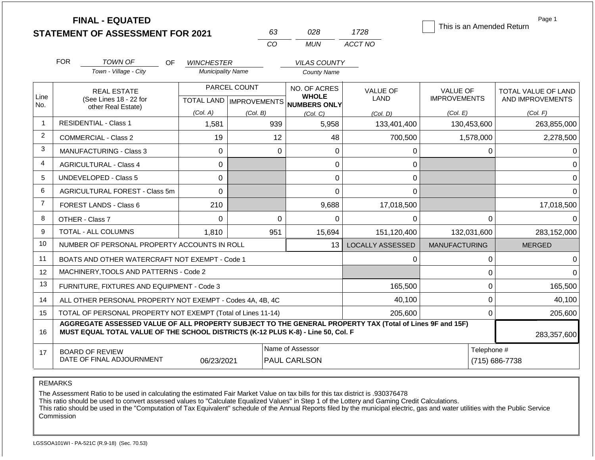|                |                                                                   | <b>FINAL - EQUATED</b><br><b>STATEMENT OF ASSESSMENT FOR 2021</b>                                                                                                                            |                          |              | 63       | 028                                                                 | 1728                    | This is an Amended Return              |                               | Page 1                                         |
|----------------|-------------------------------------------------------------------|----------------------------------------------------------------------------------------------------------------------------------------------------------------------------------------------|--------------------------|--------------|----------|---------------------------------------------------------------------|-------------------------|----------------------------------------|-------------------------------|------------------------------------------------|
|                |                                                                   |                                                                                                                                                                                              |                          |              | CO       | <b>MUN</b>                                                          | ACCT NO                 |                                        |                               |                                                |
|                | <b>FOR</b>                                                        | TOWN OF<br>OF.                                                                                                                                                                               | <b>WINCHESTER</b>        |              |          | <b>VILAS COUNTY</b>                                                 |                         |                                        |                               |                                                |
|                |                                                                   | Town - Village - City                                                                                                                                                                        | <b>Municipality Name</b> |              |          | <b>County Name</b>                                                  |                         |                                        |                               |                                                |
| Line           | <b>REAL ESTATE</b><br>(See Lines 18 - 22 for                      |                                                                                                                                                                                              |                          | PARCEL COUNT |          | NO. OF ACRES<br><b>WHOLE</b><br>TOTAL LAND MPROVEMENTS NUMBERS ONLY | <b>VALUE OF</b><br>LAND | <b>VALUE OF</b><br><b>IMPROVEMENTS</b> |                               | <b>TOTAL VALUE OF LAND</b><br>AND IMPROVEMENTS |
| No.            |                                                                   | other Real Estate)                                                                                                                                                                           | (Col. A)                 | (Col. B)     |          | (Col, C)                                                            | (Col. D)                | (Col. E)                               |                               | (Col. F)                                       |
| $\overline{1}$ |                                                                   | <b>RESIDENTIAL - Class 1</b>                                                                                                                                                                 | 1,581                    |              | 939      | 5,958                                                               | 133,401,400             | 130,453,600                            |                               | 263,855,000                                    |
| 2              |                                                                   | <b>COMMERCIAL - Class 2</b>                                                                                                                                                                  | 19                       |              | 12       | 48                                                                  | 700,500                 | 1,578,000                              |                               | 2,278,500                                      |
| 3              | MANUFACTURING - Class 3<br>$\mathbf 0$                            |                                                                                                                                                                                              |                          | $\mathbf 0$  | 0        | 0                                                                   |                         | 0                                      | 0                             |                                                |
| $\overline{4}$ |                                                                   | <b>AGRICULTURAL - Class 4</b>                                                                                                                                                                | $\mathbf 0$              |              |          | 0                                                                   | 0                       |                                        |                               | $\Omega$                                       |
| 5              |                                                                   | UNDEVELOPED - Class 5                                                                                                                                                                        | 0                        |              |          | 0                                                                   | 0                       |                                        |                               | $\Omega$                                       |
| 6              |                                                                   | AGRICULTURAL FOREST - Class 5m                                                                                                                                                               | $\overline{0}$           |              |          | $\overline{0}$                                                      | $\mathbf 0$             |                                        |                               | $\Omega$                                       |
| $\overline{7}$ |                                                                   | <b>FOREST LANDS - Class 6</b>                                                                                                                                                                | 210                      |              |          | 9,688                                                               | 17,018,500              |                                        |                               | 17,018,500                                     |
| 8              |                                                                   | OTHER - Class 7                                                                                                                                                                              | $\Omega$                 |              | $\Omega$ | $\Omega$                                                            | $\Omega$                |                                        | $\Omega$                      | <sup>0</sup>                                   |
| 9              |                                                                   | <b>TOTAL - ALL COLUMNS</b>                                                                                                                                                                   | 1.810                    |              | 951      | 15,694                                                              | 151,120,400             | 132,031,600                            |                               | 283,152,000                                    |
| 10             |                                                                   | NUMBER OF PERSONAL PROPERTY ACCOUNTS IN ROLL                                                                                                                                                 |                          |              |          | 13                                                                  | <b>LOCALLY ASSESSED</b> | <b>MANUFACTURING</b>                   |                               | <b>MERGED</b>                                  |
| 11             |                                                                   | BOATS AND OTHER WATERCRAFT NOT EXEMPT - Code 1                                                                                                                                               |                          |              |          |                                                                     | 0                       |                                        | 0                             | $\Omega$                                       |
| 12             |                                                                   | MACHINERY, TOOLS AND PATTERNS - Code 2                                                                                                                                                       |                          |              |          |                                                                     |                         |                                        | 0                             | $\Omega$                                       |
| 13             |                                                                   | FURNITURE, FIXTURES AND EQUIPMENT - Code 3                                                                                                                                                   |                          |              |          |                                                                     | 165,500                 |                                        | 0                             | 165,500                                        |
| 14             |                                                                   | ALL OTHER PERSONAL PROPERTY NOT EXEMPT - Codes 4A, 4B, 4C                                                                                                                                    |                          |              |          |                                                                     | 40,100                  |                                        | $\mathbf 0$                   | 40,100                                         |
| 15             |                                                                   | TOTAL OF PERSONAL PROPERTY NOT EXEMPT (Total of Lines 11-14)                                                                                                                                 |                          |              |          |                                                                     | 205,600                 | $\Omega$                               |                               | 205,600                                        |
| 16             |                                                                   | AGGREGATE ASSESSED VALUE OF ALL PROPERTY SUBJECT TO THE GENERAL PROPERTY TAX (Total of Lines 9F and 15F)<br>MUST EQUAL TOTAL VALUE OF THE SCHOOL DISTRICTS (K-12 PLUS K-8) - Line 50, Col. F |                          |              |          |                                                                     |                         |                                        |                               | 283,357,600                                    |
| 17             | <b>BOARD OF REVIEW</b><br>DATE OF FINAL ADJOURNMENT<br>06/23/2021 |                                                                                                                                                                                              |                          |              |          | Name of Assessor<br>PAUL CARLSON                                    |                         |                                        | Telephone #<br>(715) 686-7738 |                                                |

The Assessment Ratio to be used in calculating the estimated Fair Market Value on tax bills for this tax district is .930376478

This ratio should be used to convert assessed values to "Calculate Equalized Values" in Step 1 of the Lottery and Gaming Credit Calculations.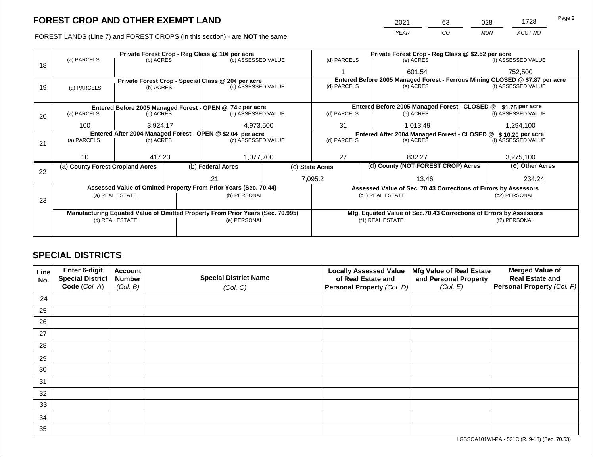2021 63 028 1728

FOREST LANDS (Line 7) and FOREST CROPS (in this section) - are **NOT** the same *YEAR CO MUN ACCT NO*

|    |                                                                                                              |           |  | Private Forest Crop - Reg Class @ 10¢ per acre                                 |           | Private Forest Crop - Reg Class @ \$2.52 per acre                            |  |                                                                    |               |                    |
|----|--------------------------------------------------------------------------------------------------------------|-----------|--|--------------------------------------------------------------------------------|-----------|------------------------------------------------------------------------------|--|--------------------------------------------------------------------|---------------|--------------------|
| 18 | (a) PARCELS                                                                                                  | (b) ACRES |  | (c) ASSESSED VALUE                                                             |           | (d) PARCELS                                                                  |  | (e) ACRES                                                          |               | (f) ASSESSED VALUE |
|    |                                                                                                              |           |  |                                                                                |           |                                                                              |  | 601.54                                                             |               | 752,500            |
|    |                                                                                                              |           |  | Private Forest Crop - Special Class @ 20¢ per acre                             |           | Entered Before 2005 Managed Forest - Ferrous Mining CLOSED @ \$7.87 per acre |  |                                                                    |               |                    |
| 19 | (a) PARCELS                                                                                                  | (b) ACRES |  | (c) ASSESSED VALUE                                                             |           | (d) PARCELS                                                                  |  | (e) ACRES                                                          |               | (f) ASSESSED VALUE |
|    |                                                                                                              |           |  |                                                                                |           |                                                                              |  |                                                                    |               |                    |
|    |                                                                                                              |           |  | Entered Before 2005 Managed Forest - OPEN @ 74 ¢ per acre                      |           |                                                                              |  | Entered Before 2005 Managed Forest - CLOSED @                      |               | $$1.75$ per acre   |
| 20 | (a) PARCELS                                                                                                  | (b) ACRES |  | (c) ASSESSED VALUE                                                             |           | (d) PARCELS                                                                  |  | (e) ACRES                                                          |               | (f) ASSESSED VALUE |
|    | 100                                                                                                          | 3,924.17  |  |                                                                                | 4,973,500 |                                                                              |  | 1,013.49                                                           |               | 1,294,100          |
|    |                                                                                                              |           |  |                                                                                | 31        |                                                                              |  |                                                                    |               |                    |
|    | Entered After 2004 Managed Forest - OPEN @ \$2.04 per acre<br>(a) PARCELS<br>(c) ASSESSED VALUE<br>(b) ACRES |           |  | (d) PARCELS                                                                    |           | Entered After 2004 Managed Forest - CLOSED @<br>(e) ACRES                    |  | \$10,20 per acre<br>(f) ASSESSED VALUE                             |               |                    |
| 21 |                                                                                                              |           |  |                                                                                |           |                                                                              |  |                                                                    |               |                    |
|    |                                                                                                              |           |  |                                                                                |           |                                                                              |  |                                                                    |               |                    |
|    | 10                                                                                                           | 417.23    |  | 1,077,700                                                                      |           | 27                                                                           |  | 832.27                                                             |               | 3,275,100          |
| 22 | (a) County Forest Cropland Acres                                                                             |           |  | (b) Federal Acres                                                              |           | (c) State Acres                                                              |  | (d) County (NOT FOREST CROP) Acres                                 |               | (e) Other Acres    |
|    |                                                                                                              |           |  | .21                                                                            |           | 7,095.2                                                                      |  | 13.46                                                              |               | 234.24             |
|    |                                                                                                              |           |  | Assessed Value of Omitted Property From Prior Years (Sec. 70.44)               |           |                                                                              |  | Assessed Value of Sec. 70.43 Corrections of Errors by Assessors    |               |                    |
|    | (a) REAL ESTATE                                                                                              |           |  | (b) PERSONAL                                                                   |           |                                                                              |  | (c1) REAL ESTATE                                                   |               | (c2) PERSONAL      |
| 23 |                                                                                                              |           |  |                                                                                |           |                                                                              |  |                                                                    |               |                    |
|    |                                                                                                              |           |  |                                                                                |           |                                                                              |  |                                                                    |               |                    |
|    |                                                                                                              |           |  | Manufacturing Equated Value of Omitted Property From Prior Years (Sec. 70.995) |           |                                                                              |  | Mfg. Equated Value of Sec.70.43 Corrections of Errors by Assessors |               |                    |
|    | (d) REAL ESTATE                                                                                              |           |  | (e) PERSONAL                                                                   |           |                                                                              |  | (f1) REAL ESTATE                                                   | (f2) PERSONAL |                    |
|    |                                                                                                              |           |  |                                                                                |           |                                                                              |  |                                                                    |               |                    |
|    |                                                                                                              |           |  |                                                                                |           |                                                                              |  |                                                                    |               |                    |

### **SPECIAL DISTRICTS**

| Line<br>No. | Enter 6-digit<br>Special District<br>Code (Col. A) | <b>Account</b><br><b>Number</b><br>(Col. B) | <b>Special District Name</b><br>(Col. C) | <b>Locally Assessed Value</b><br>of Real Estate and<br>Personal Property (Col. D) | Mfg Value of Real Estate<br>and Personal Property<br>(Col. E) | <b>Merged Value of</b><br><b>Real Estate and</b><br>Personal Property (Col. F) |
|-------------|----------------------------------------------------|---------------------------------------------|------------------------------------------|-----------------------------------------------------------------------------------|---------------------------------------------------------------|--------------------------------------------------------------------------------|
| 24          |                                                    |                                             |                                          |                                                                                   |                                                               |                                                                                |
| 25          |                                                    |                                             |                                          |                                                                                   |                                                               |                                                                                |
| 26          |                                                    |                                             |                                          |                                                                                   |                                                               |                                                                                |
| 27          |                                                    |                                             |                                          |                                                                                   |                                                               |                                                                                |
| 28          |                                                    |                                             |                                          |                                                                                   |                                                               |                                                                                |
| 29          |                                                    |                                             |                                          |                                                                                   |                                                               |                                                                                |
| 30          |                                                    |                                             |                                          |                                                                                   |                                                               |                                                                                |
| 31          |                                                    |                                             |                                          |                                                                                   |                                                               |                                                                                |
| 32          |                                                    |                                             |                                          |                                                                                   |                                                               |                                                                                |
| 33          |                                                    |                                             |                                          |                                                                                   |                                                               |                                                                                |
| 34          |                                                    |                                             |                                          |                                                                                   |                                                               |                                                                                |
| 35          |                                                    |                                             |                                          |                                                                                   |                                                               |                                                                                |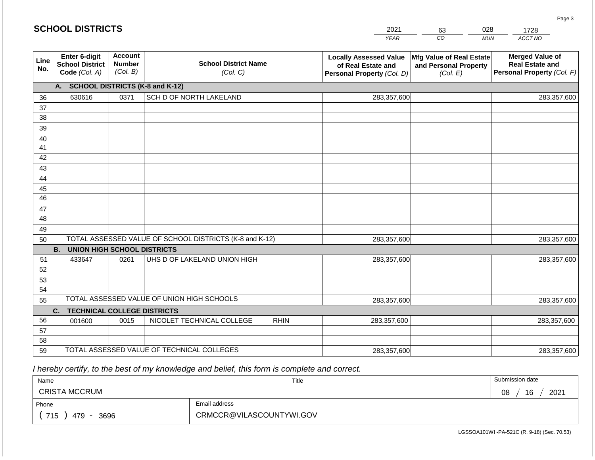|             | <b>SCHOOL DISTRICTS</b>                                  |                                             |                                                         | 2021                                                                              | 63                                                            | 028        | 1728                                                                           |
|-------------|----------------------------------------------------------|---------------------------------------------|---------------------------------------------------------|-----------------------------------------------------------------------------------|---------------------------------------------------------------|------------|--------------------------------------------------------------------------------|
|             |                                                          |                                             |                                                         | <b>YEAR</b>                                                                       | CO                                                            | <b>MUN</b> | ACCT NO                                                                        |
| Line<br>No. | Enter 6-digit<br><b>School District</b><br>Code (Col. A) | <b>Account</b><br><b>Number</b><br>(Col. B) | <b>School District Name</b><br>(Col. C)                 | <b>Locally Assessed Value</b><br>of Real Estate and<br>Personal Property (Col. D) | Mfg Value of Real Estate<br>and Personal Property<br>(Col. E) |            | <b>Merged Value of</b><br><b>Real Estate and</b><br>Personal Property (Col. F) |
|             | A.                                                       |                                             | <b>SCHOOL DISTRICTS (K-8 and K-12)</b>                  |                                                                                   |                                                               |            |                                                                                |
| 36          | 630616                                                   | 0371                                        | SCH D OF NORTH LAKELAND                                 | 283,357,600                                                                       |                                                               |            | 283,357,600                                                                    |
| 37          |                                                          |                                             |                                                         |                                                                                   |                                                               |            |                                                                                |
| 38          |                                                          |                                             |                                                         |                                                                                   |                                                               |            |                                                                                |
| 39          |                                                          |                                             |                                                         |                                                                                   |                                                               |            |                                                                                |
| 40          |                                                          |                                             |                                                         |                                                                                   |                                                               |            |                                                                                |
| 41<br>42    |                                                          |                                             |                                                         |                                                                                   |                                                               |            |                                                                                |
| 43          |                                                          |                                             |                                                         |                                                                                   |                                                               |            |                                                                                |
| 44          |                                                          |                                             |                                                         |                                                                                   |                                                               |            |                                                                                |
| 45          |                                                          |                                             |                                                         |                                                                                   |                                                               |            |                                                                                |
| 46          |                                                          |                                             |                                                         |                                                                                   |                                                               |            |                                                                                |
| 47          |                                                          |                                             |                                                         |                                                                                   |                                                               |            |                                                                                |
| 48          |                                                          |                                             |                                                         |                                                                                   |                                                               |            |                                                                                |
| 49          |                                                          |                                             |                                                         |                                                                                   |                                                               |            |                                                                                |
| 50          |                                                          |                                             | TOTAL ASSESSED VALUE OF SCHOOL DISTRICTS (K-8 and K-12) | 283,357,600                                                                       |                                                               |            | 283,357,600                                                                    |
|             | <b>B.</b><br><b>UNION HIGH SCHOOL DISTRICTS</b>          |                                             |                                                         |                                                                                   |                                                               |            |                                                                                |
| 51          | 433647                                                   | 0261                                        | UHS D OF LAKELAND UNION HIGH                            | 283,357,600                                                                       |                                                               |            | 283,357,600                                                                    |
| 52          |                                                          |                                             |                                                         |                                                                                   |                                                               |            |                                                                                |
| 53<br>54    |                                                          |                                             |                                                         |                                                                                   |                                                               |            |                                                                                |
| 55          |                                                          |                                             | TOTAL ASSESSED VALUE OF UNION HIGH SCHOOLS              | 283,357,600                                                                       |                                                               |            | 283,357,600                                                                    |
|             | C.<br><b>TECHNICAL COLLEGE DISTRICTS</b>                 |                                             |                                                         |                                                                                   |                                                               |            |                                                                                |
| 56          | 001600                                                   | 0015                                        | NICOLET TECHNICAL COLLEGE<br><b>RHIN</b>                | 283,357,600                                                                       |                                                               |            | 283,357,600                                                                    |
| 57          |                                                          |                                             |                                                         |                                                                                   |                                                               |            |                                                                                |
| 58          |                                                          |                                             |                                                         |                                                                                   |                                                               |            |                                                                                |
| 59          |                                                          |                                             | TOTAL ASSESSED VALUE OF TECHNICAL COLLEGES              | 283,357,600                                                                       |                                                               |            | 283,357,600                                                                    |

 *I hereby certify, to the best of my knowledge and belief, this form is complete and correct.*

| Name                 |                          | Title | Submission date  |
|----------------------|--------------------------|-------|------------------|
| <b>CRISTA MCCRUM</b> |                          |       | 16<br>2021<br>08 |
| Phone                | Email address            |       |                  |
| 715<br>3696<br>479   | CRMCCR@VILASCOUNTYWI.GOV |       |                  |

LGSSOA101WI -PA-521C (R. 9-18) (Sec. 70.53)

Page 3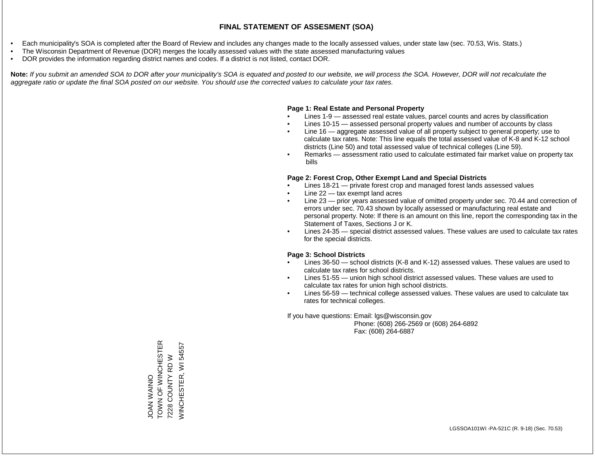- Each municipality's SOA is completed after the Board of Review and includes any changes made to the locally assessed values, under state law (sec. 70.53, Wis. Stats.)
- The Wisconsin Department of Revenue (DOR) merges the locally assessed values with the state assessed manufacturing values
- DOR provides the information regarding district names and codes. If a district is not listed, contact DOR.

Note: If you submit an amended SOA to DOR after your municipality's SOA is equated and posted to our website, we will process the SOA. However, DOR will not recalculate the *aggregate ratio or update the final SOA posted on our website. You should use the corrected values to calculate your tax rates.*

### **Page 1: Real Estate and Personal Property**

- Lines 1-9 assessed real estate values, parcel counts and acres by classification
- Lines 10-15 assessed personal property values and number of accounts by class
- Line 16 aggregate assessed value of all property subject to general property; use to calculate tax rates. Note: This line equals the total assessed value of K-8 and K-12 school districts (Line 50) and total assessed value of technical colleges (Line 59).
- Remarks assessment ratio used to calculate estimated fair market value on property tax bills

### **Page 2: Forest Crop, Other Exempt Land and Special Districts**

- Lines 18-21 private forest crop and managed forest lands assessed values
- Line  $22 -$  tax exempt land acres
- Line 23 prior years assessed value of omitted property under sec. 70.44 and correction of errors under sec. 70.43 shown by locally assessed or manufacturing real estate and personal property. Note: If there is an amount on this line, report the corresponding tax in the Statement of Taxes, Sections J or K.
- Lines 24-35 special district assessed values. These values are used to calculate tax rates for the special districts.

### **Page 3: School Districts**

- Lines 36-50 school districts (K-8 and K-12) assessed values. These values are used to calculate tax rates for school districts.
- Lines 51-55 union high school district assessed values. These values are used to calculate tax rates for union high school districts.
- Lines 56-59 technical college assessed values. These values are used to calculate tax rates for technical colleges.

If you have questions: Email: lgs@wisconsin.gov

 Phone: (608) 266-2569 or (608) 264-6892 Fax: (608) 264-6887

TOWN OF WINCHESTER JOAN WAINIO<br>TOWN OF WINCHESTER 54557 WINCHESTER, WI 545577228 COUNTY RD W 7228 COUNTY RD W *NINCHESTER, WI*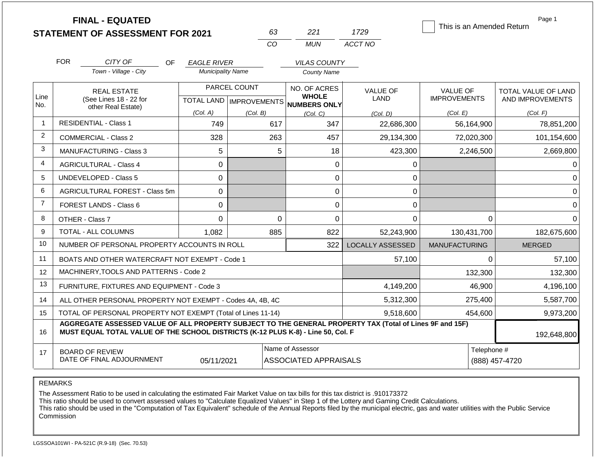|                |                                     | <b>FINAL - EQUATED</b><br><b>STATEMENT OF ASSESSMENT FOR 2021</b>                                                                                                                            |                                                |                           | 63                 | 221                          | 1729                    | This is an Amended Return | Page 1                  |  |
|----------------|-------------------------------------|----------------------------------------------------------------------------------------------------------------------------------------------------------------------------------------------|------------------------------------------------|---------------------------|--------------------|------------------------------|-------------------------|---------------------------|-------------------------|--|
|                |                                     |                                                                                                                                                                                              |                                                | CO                        |                    | <b>MUN</b>                   | ACCT NO                 |                           |                         |  |
|                |                                     |                                                                                                                                                                                              |                                                |                           |                    |                              |                         |                           |                         |  |
|                | <b>FOR</b>                          | CITY OF<br><b>OF</b><br>Town - Village - City                                                                                                                                                | <b>EAGLE RIVER</b><br><b>Municipality Name</b> |                           |                    | <b>VILAS COUNTY</b>          |                         |                           |                         |  |
|                |                                     |                                                                                                                                                                                              |                                                |                           | <b>County Name</b> |                              |                         |                           |                         |  |
| Line           |                                     | <b>REAL ESTATE</b>                                                                                                                                                                           |                                                | PARCEL COUNT              |                    | NO. OF ACRES<br><b>WHOLE</b> | <b>VALUE OF</b>         | <b>VALUE OF</b>           | TOTAL VALUE OF LAND     |  |
| No.            |                                     | (See Lines 18 - 22 for<br>other Real Estate)                                                                                                                                                 |                                                | TOTAL LAND   IMPROVEMENTS |                    | NUMBERS ONLY                 | LAND                    | <b>IMPROVEMENTS</b>       | AND IMPROVEMENTS        |  |
|                |                                     |                                                                                                                                                                                              | (Col. A)                                       | (Col. B)                  |                    | (Col, C)                     | (Col. D)                | (Col. E)                  | (Col. F)                |  |
| $\overline{1}$ |                                     | <b>RESIDENTIAL - Class 1</b>                                                                                                                                                                 | 749                                            |                           | 617                | 347                          | 22,686,300              | 56,164,900                | 78,851,200              |  |
| 2              |                                     | <b>COMMERCIAL - Class 2</b>                                                                                                                                                                  | 328                                            |                           | 263                | 457                          | 29,134,300              | 72,020,300                | 101,154,600             |  |
| 3              | <b>MANUFACTURING - Class 3</b><br>5 |                                                                                                                                                                                              |                                                |                           | 5                  | 18                           | 423,300                 | 2,246,500                 | 2,669,800               |  |
| $\overline{4}$ | 0<br><b>AGRICULTURAL - Class 4</b>  |                                                                                                                                                                                              |                                                |                           |                    | 0                            | 0                       |                           | 0                       |  |
| 5              |                                     | <b>UNDEVELOPED - Class 5</b>                                                                                                                                                                 | 0                                              |                           |                    | 0                            | 0                       |                           | 0                       |  |
| 6              |                                     | AGRICULTURAL FOREST - Class 5m                                                                                                                                                               | 0                                              |                           |                    | 0                            | 0                       |                           | $\overline{0}$          |  |
| $\overline{7}$ |                                     | FOREST LANDS - Class 6                                                                                                                                                                       | 0                                              |                           |                    | 0                            | 0                       |                           | 0                       |  |
| 8              |                                     | OTHER - Class 7                                                                                                                                                                              | 0                                              |                           | $\mathbf 0$        | 0                            | 0                       |                           | $\mathbf 0$<br>$\Omega$ |  |
| 9              |                                     | <b>TOTAL - ALL COLUMNS</b>                                                                                                                                                                   | 1,082                                          |                           | 885                | 822                          | 52,243,900              | 130,431,700               | 182,675,600             |  |
| 10             |                                     | NUMBER OF PERSONAL PROPERTY ACCOUNTS IN ROLL                                                                                                                                                 |                                                |                           |                    | 322                          | <b>LOCALLY ASSESSED</b> | <b>MANUFACTURING</b>      | <b>MERGED</b>           |  |
| 11             |                                     | BOATS AND OTHER WATERCRAFT NOT EXEMPT - Code 1                                                                                                                                               |                                                |                           |                    |                              | 57,100                  |                           | $\Omega$<br>57,100      |  |
| 12             |                                     | MACHINERY, TOOLS AND PATTERNS - Code 2                                                                                                                                                       |                                                |                           |                    |                              |                         | 132,300                   | 132,300                 |  |
| 13             |                                     | FURNITURE, FIXTURES AND EQUIPMENT - Code 3                                                                                                                                                   |                                                |                           |                    |                              | 4,149,200               | 46,900                    | 4,196,100               |  |
| 14             |                                     | ALL OTHER PERSONAL PROPERTY NOT EXEMPT - Codes 4A, 4B, 4C                                                                                                                                    |                                                |                           |                    |                              | 5,312,300               | 275,400                   | 5,587,700               |  |
| 15             |                                     | TOTAL OF PERSONAL PROPERTY NOT EXEMPT (Total of Lines 11-14)                                                                                                                                 |                                                |                           |                    |                              | 9,518,600               | 454,600                   | 9,973,200               |  |
| 16             |                                     | AGGREGATE ASSESSED VALUE OF ALL PROPERTY SUBJECT TO THE GENERAL PROPERTY TAX (Total of Lines 9F and 15F)<br>MUST EQUAL TOTAL VALUE OF THE SCHOOL DISTRICTS (K-12 PLUS K-8) - Line 50, Col. F |                                                |                           |                    |                              |                         |                           | 192,648,800             |  |
| 17             |                                     | <b>BOARD OF REVIEW</b>                                                                                                                                                                       |                                                |                           | Name of Assessor   |                              |                         |                           | Telephone #             |  |
|                |                                     | DATE OF FINAL ADJOURNMENT                                                                                                                                                                    | 05/11/2021                                     |                           |                    | <b>ASSOCIATED APPRAISALS</b> |                         |                           | (888) 457-4720          |  |

The Assessment Ratio to be used in calculating the estimated Fair Market Value on tax bills for this tax district is .910173372

This ratio should be used to convert assessed values to "Calculate Equalized Values" in Step 1 of the Lottery and Gaming Credit Calculations.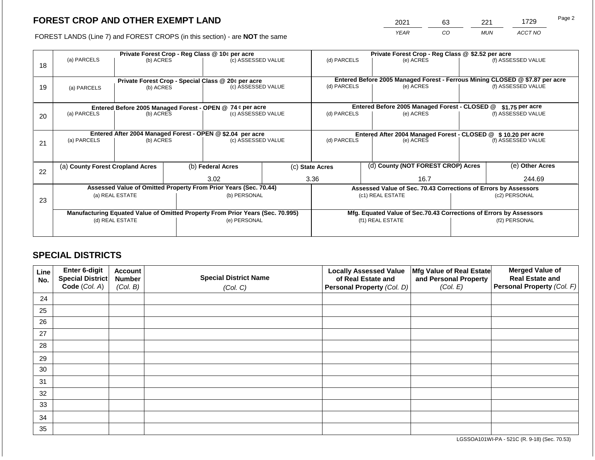2021 63 221 1729

FOREST LANDS (Line 7) and FOREST CROPS (in this section) - are **NOT** the same *YEAR CO MUN ACCT NO*

| 18 | (a) PARCELS                                                                    | (b) ACRES                                                       |                                                                    | Private Forest Crop - Reg Class @ 10¢ per acre<br>(c) ASSESSED VALUE |                    |                  | (d) PARCELS | Private Forest Crop - Reg Class @ \$2.52 per acre<br>(e) ACRES  |                 | (f) ASSESSED VALUE                                                                                 |
|----|--------------------------------------------------------------------------------|-----------------------------------------------------------------|--------------------------------------------------------------------|----------------------------------------------------------------------|--------------------|------------------|-------------|-----------------------------------------------------------------|-----------------|----------------------------------------------------------------------------------------------------|
| 19 | (a) PARCELS                                                                    | Private Forest Crop - Special Class @ 20¢ per acre<br>(b) ACRES |                                                                    |                                                                      | (c) ASSESSED VALUE | (d) PARCELS      |             | (e) ACRES                                                       |                 | Entered Before 2005 Managed Forest - Ferrous Mining CLOSED @ \$7.87 per acre<br>(f) ASSESSED VALUE |
|    |                                                                                |                                                                 |                                                                    | Entered Before 2005 Managed Forest - OPEN @ 74 ¢ per acre            |                    |                  |             | Entered Before 2005 Managed Forest - CLOSED @                   |                 | $$1.75$ per acre                                                                                   |
| 20 |                                                                                | (a) PARCELS<br>(b) ACRES                                        |                                                                    | (c) ASSESSED VALUE                                                   |                    | (d) PARCELS      |             | (e) ACRES                                                       |                 | (f) ASSESSED VALUE                                                                                 |
|    | Entered After 2004 Managed Forest - OPEN @ \$2.04 per acre                     |                                                                 |                                                                    |                                                                      |                    | (d) PARCELS      |             | Entered After 2004 Managed Forest - CLOSED @ \$10.20 per acre   |                 |                                                                                                    |
| 21 | (a) PARCELS                                                                    | (b) ACRES                                                       |                                                                    | (c) ASSESSED VALUE                                                   |                    |                  |             | (e) ACRES                                                       |                 | (f) ASSESSED VALUE                                                                                 |
|    |                                                                                |                                                                 |                                                                    |                                                                      |                    |                  |             |                                                                 |                 |                                                                                                    |
| 22 | (a) County Forest Cropland Acres                                               |                                                                 |                                                                    | (b) Federal Acres                                                    |                    | (c) State Acres  |             | (d) County (NOT FOREST CROP) Acres                              | (e) Other Acres |                                                                                                    |
|    |                                                                                |                                                                 |                                                                    | 3.02                                                                 |                    | 3.36             |             | 16.7                                                            |                 | 244.69                                                                                             |
|    |                                                                                |                                                                 |                                                                    | Assessed Value of Omitted Property From Prior Years (Sec. 70.44)     |                    |                  |             | Assessed Value of Sec. 70.43 Corrections of Errors by Assessors |                 |                                                                                                    |
| 23 | (a) REAL ESTATE                                                                |                                                                 |                                                                    | (b) PERSONAL                                                         |                    | (c1) REAL ESTATE |             |                                                                 | (c2) PERSONAL   |                                                                                                    |
|    | Manufacturing Equated Value of Omitted Property From Prior Years (Sec. 70.995) |                                                                 | Mfg. Equated Value of Sec.70.43 Corrections of Errors by Assessors |                                                                      |                    |                  |             |                                                                 |                 |                                                                                                    |
|    | (d) REAL ESTATE                                                                |                                                                 |                                                                    | (e) PERSONAL                                                         | (f1) REAL ESTATE   |                  |             | (f2) PERSONAL                                                   |                 |                                                                                                    |
|    |                                                                                |                                                                 |                                                                    |                                                                      |                    |                  |             |                                                                 |                 |                                                                                                    |

### **SPECIAL DISTRICTS**

| Line<br>No. | <b>Enter 6-digit</b><br>Special District | <b>Account</b><br><b>Number</b> | <b>Special District Name</b> | <b>Locally Assessed Value</b><br>of Real Estate and | Mfg Value of Real Estate<br>and Personal Property | <b>Merged Value of</b><br><b>Real Estate and</b> |
|-------------|------------------------------------------|---------------------------------|------------------------------|-----------------------------------------------------|---------------------------------------------------|--------------------------------------------------|
|             | Code (Col. A)                            | (Col. B)                        | (Col. C)                     | Personal Property (Col. D)                          | (Col. E)                                          | <b>Personal Property (Col. F)</b>                |
| 24          |                                          |                                 |                              |                                                     |                                                   |                                                  |
| 25          |                                          |                                 |                              |                                                     |                                                   |                                                  |
| 26          |                                          |                                 |                              |                                                     |                                                   |                                                  |
| 27          |                                          |                                 |                              |                                                     |                                                   |                                                  |
| 28          |                                          |                                 |                              |                                                     |                                                   |                                                  |
| 29          |                                          |                                 |                              |                                                     |                                                   |                                                  |
| 30          |                                          |                                 |                              |                                                     |                                                   |                                                  |
| 31          |                                          |                                 |                              |                                                     |                                                   |                                                  |
| 32          |                                          |                                 |                              |                                                     |                                                   |                                                  |
| 33          |                                          |                                 |                              |                                                     |                                                   |                                                  |
| 34          |                                          |                                 |                              |                                                     |                                                   |                                                  |
| 35          |                                          |                                 |                              |                                                     |                                                   |                                                  |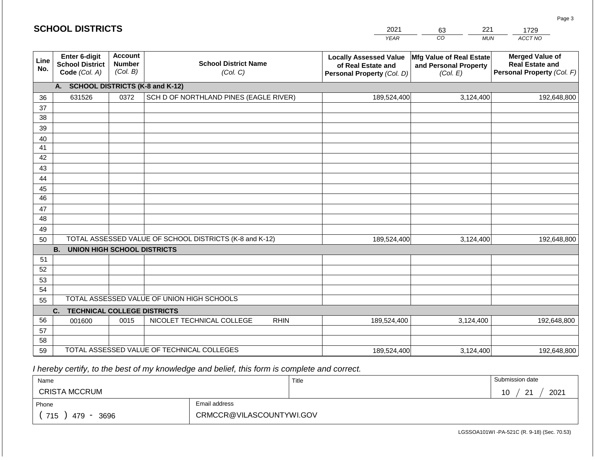### **SCHOOL DISTRICTS**

| 2021        | 63 | 221        | ס?      |
|-------------|----|------------|---------|
| <b>VEAD</b> | ി∩ | <b>MUN</b> | ACCT NO |

| Line<br>No. | Enter 6-digit<br><b>School District</b><br>Code (Col. A) | <b>Account</b><br><b>Number</b><br>(Col. B) | <b>School District Name</b><br>(Col. C)                 | <b>Locally Assessed Value</b><br>of Real Estate and<br>Personal Property (Col. D) | Mfg Value of Real Estate<br>and Personal Property<br>(Col. E) | <b>Merged Value of</b><br><b>Real Estate and</b><br>Personal Property (Col. F) |
|-------------|----------------------------------------------------------|---------------------------------------------|---------------------------------------------------------|-----------------------------------------------------------------------------------|---------------------------------------------------------------|--------------------------------------------------------------------------------|
|             | A.                                                       |                                             | <b>SCHOOL DISTRICTS (K-8 and K-12)</b>                  |                                                                                   |                                                               |                                                                                |
| 36          | 631526                                                   | 0372                                        | SCH D OF NORTHLAND PINES (EAGLE RIVER)                  | 189,524,400                                                                       | 3,124,400                                                     | 192,648,800                                                                    |
| 37          |                                                          |                                             |                                                         |                                                                                   |                                                               |                                                                                |
| 38          |                                                          |                                             |                                                         |                                                                                   |                                                               |                                                                                |
| 39          |                                                          |                                             |                                                         |                                                                                   |                                                               |                                                                                |
| 40          |                                                          |                                             |                                                         |                                                                                   |                                                               |                                                                                |
| 41          |                                                          |                                             |                                                         |                                                                                   |                                                               |                                                                                |
| 42          |                                                          |                                             |                                                         |                                                                                   |                                                               |                                                                                |
| 43          |                                                          |                                             |                                                         |                                                                                   |                                                               |                                                                                |
| 44          |                                                          |                                             |                                                         |                                                                                   |                                                               |                                                                                |
| 45          |                                                          |                                             |                                                         |                                                                                   |                                                               |                                                                                |
| 46          |                                                          |                                             |                                                         |                                                                                   |                                                               |                                                                                |
| 47          |                                                          |                                             |                                                         |                                                                                   |                                                               |                                                                                |
| 48          |                                                          |                                             |                                                         |                                                                                   |                                                               |                                                                                |
| 49          |                                                          |                                             |                                                         |                                                                                   |                                                               |                                                                                |
| 50          |                                                          |                                             | TOTAL ASSESSED VALUE OF SCHOOL DISTRICTS (K-8 and K-12) | 189,524,400                                                                       | 3,124,400                                                     | 192,648,800                                                                    |
|             | <b>B.</b><br><b>UNION HIGH SCHOOL DISTRICTS</b>          |                                             |                                                         |                                                                                   |                                                               |                                                                                |
| 51          |                                                          |                                             |                                                         |                                                                                   |                                                               |                                                                                |
| 52          |                                                          |                                             |                                                         |                                                                                   |                                                               |                                                                                |
| 53          |                                                          |                                             |                                                         |                                                                                   |                                                               |                                                                                |
| 54          |                                                          |                                             |                                                         |                                                                                   |                                                               |                                                                                |
| 55          |                                                          | TOTAL ASSESSED VALUE OF UNION HIGH SCHOOLS  |                                                         |                                                                                   |                                                               |                                                                                |
|             | C.<br><b>TECHNICAL COLLEGE DISTRICTS</b>                 |                                             |                                                         |                                                                                   |                                                               |                                                                                |
| 56          | 001600                                                   | 0015                                        | NICOLET TECHNICAL COLLEGE<br><b>RHIN</b>                | 189,524,400                                                                       | 3,124,400                                                     | 192,648,800                                                                    |
| 57          |                                                          |                                             |                                                         |                                                                                   |                                                               |                                                                                |
| 58          |                                                          |                                             |                                                         |                                                                                   |                                                               |                                                                                |
| 59          |                                                          |                                             | TOTAL ASSESSED VALUE OF TECHNICAL COLLEGES              | 189,524,400                                                                       | 3,124,400                                                     | 192,648,800                                                                    |

 *I hereby certify, to the best of my knowledge and belief, this form is complete and correct.*

| Name                                           |                          | Title | Submission date        |
|------------------------------------------------|--------------------------|-------|------------------------|
| <b>CRISTA MCCRUM</b>                           |                          |       | 2021<br>10<br>ົດ⊿<br>- |
| Phone                                          | Email address            |       |                        |
| 715<br>3696<br>479<br>$\overline{\phantom{a}}$ | CRMCCR@VILASCOUNTYWI.GOV |       |                        |

Page 3